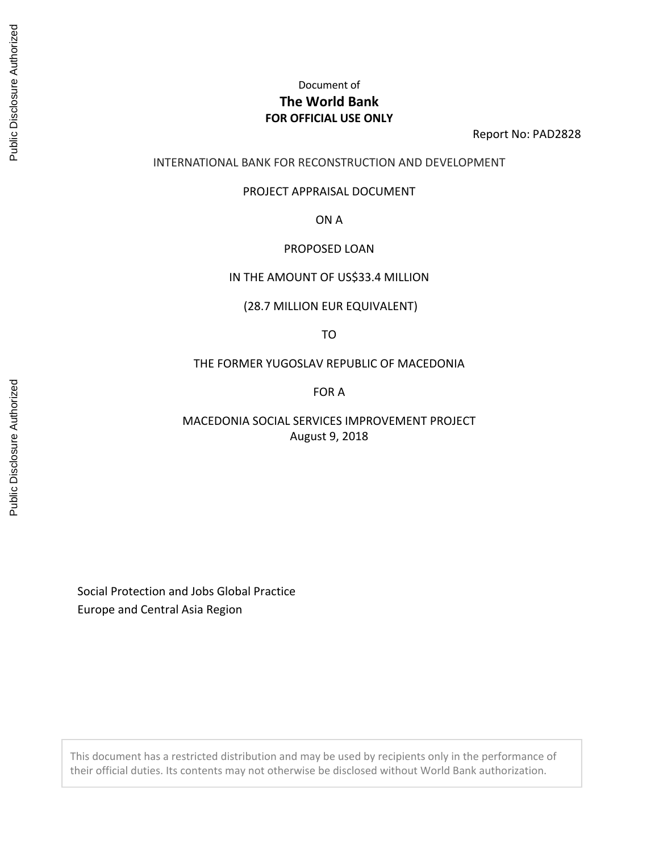# Document of **The World Bank FOR OFFICIAL USE ONLY**

Report No: PAD2828

## INTERNATIONAL BANK FOR RECONSTRUCTION AND DEVELOPMENT

#### PROJECT APPRAISAL DOCUMENT

ON A

#### PROPOSED LOAN

#### IN THE AMOUNT OF US\$33.4 MILLION

(28.7 MILLION EUR EQUIVALENT)

TO

THE FORMER YUGOSLAV REPUBLIC OF MACEDONIA

FOR A

MACEDONIA SOCIAL SERVICES IMPROVEMENT PROJECT August 9, 2018

Social Protection and Jobs Global Practice Europe and Central Asia Region

This document has a restricted distribution and may be used by recipients only in the performance of their official duties. Its contents may not otherwise be disclosed without World Bank authorization.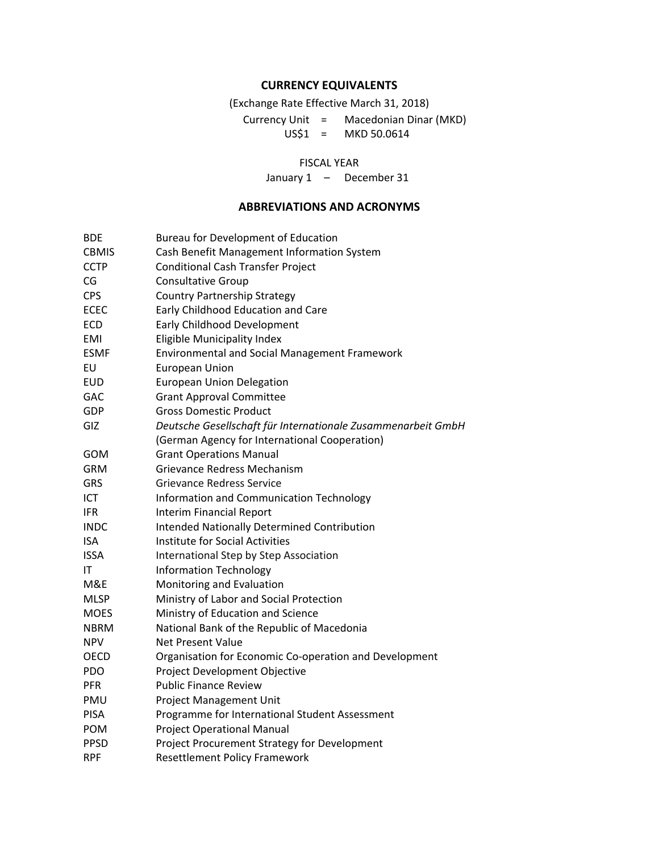#### **CURRENCY EQUIVALENTS**

(Exchange Rate Effective March 31, 2018)

Currency Unit = Macedonian Dinar (MKD) US\$1 = MKD 50.0614

#### FISCAL YEAR

January 1 - December 31

#### **ABBREVIATIONS AND ACRONYMS**

BDE Bureau for Development of Education CBMIS Cash Benefit Management Information System CCTP Conditional Cash Transfer Project CG Consultative Group CPS Country Partnership Strategy ECEC Early Childhood Education and Care ECD Early Childhood Development EMI Eligible Municipality Index ESMF Environmental and Social Management Framework EU European Union EUD European Union Delegation GAC Grant Approval Committee GDP Gross Domestic Product GIZ *Deutsche Gesellschaft für Internationale Zusammenarbeit GmbH*  (German Agency for International Cooperation) GOM Grant Operations Manual GRM Grievance Redress Mechanism GRS Grievance Redress Service ICT **Information and Communication Technology** IFR Interim Financial Report INDC Intended Nationally Determined Contribution ISA Institute for Social Activities ISSA International Step by Step Association IT Information Technology M&E Monitoring and Evaluation MLSP Ministry of Labor and Social Protection MOES Ministry of Education and Science NBRM National Bank of the Republic of Macedonia NPV Net Present Value OECD Organisation for Economic Co-operation and Development PDO Project Development Objective PFR Public Finance Review PMU Project Management Unit PISA Programme for International Student Assessment POM Project Operational Manual PPSD Project Procurement Strategy for Development RPF Resettlement Policy Framework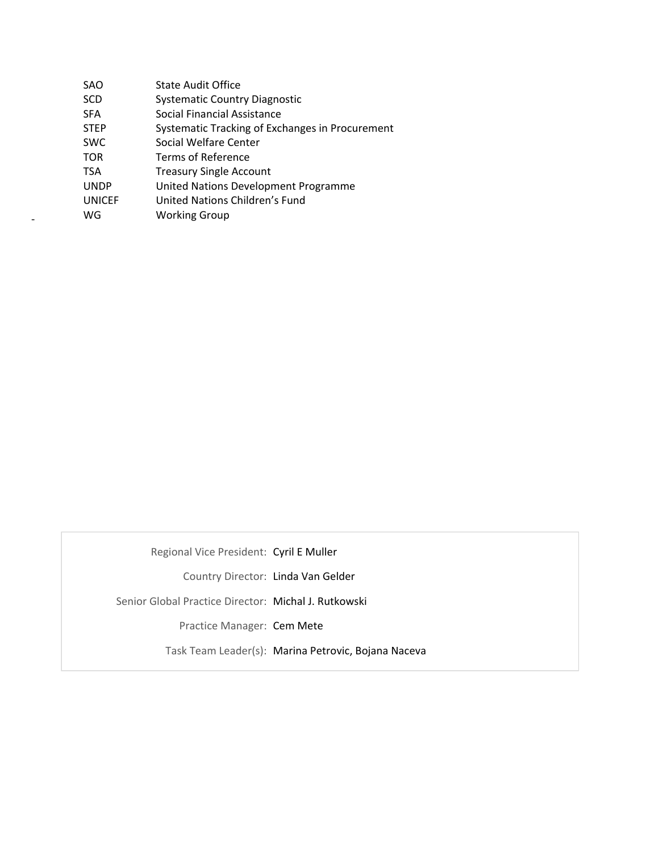| SAO           | <b>State Audit Office</b>                       |
|---------------|-------------------------------------------------|
| <b>SCD</b>    | <b>Systematic Country Diagnostic</b>            |
| <b>SFA</b>    | Social Financial Assistance                     |
| <b>STEP</b>   | Systematic Tracking of Exchanges in Procurement |
| <b>SWC</b>    | Social Welfare Center                           |
| <b>TOR</b>    | Terms of Reference                              |
| <b>TSA</b>    | <b>Treasury Single Account</b>                  |
| <b>UNDP</b>   | United Nations Development Programme            |
| <b>UNICEF</b> | United Nations Children's Fund                  |
| WG            | <b>Working Group</b>                            |
|               |                                                 |

Regional Vice President: Cyril E Muller

Country Director: Linda Van Gelder

Senior Global Practice Director: Michal J. Rutkowski

Practice Manager: Cem Mete

Task Team Leader(s): Marina Petrovic, Bojana Naceva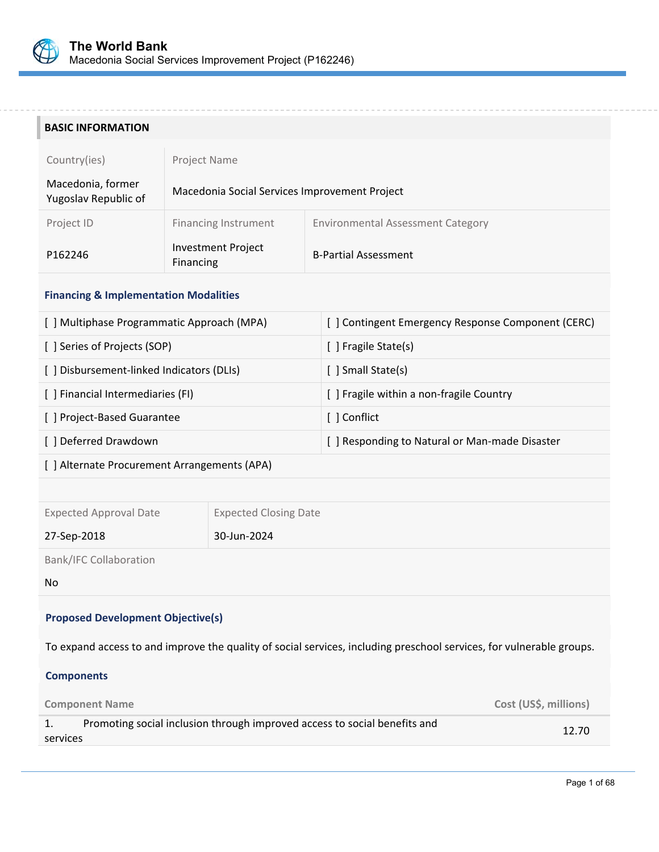

i.

#### **BASIC INFORMATION**

| Country(ies)                              | Project Name                                  |                                          |  |
|-------------------------------------------|-----------------------------------------------|------------------------------------------|--|
| Macedonia, former<br>Yugoslav Republic of | Macedonia Social Services Improvement Project |                                          |  |
| Project ID                                | <b>Financing Instrument</b>                   | <b>Environmental Assessment Category</b> |  |
| P162246                                   | <b>Investment Project</b><br>Financing        | <b>B-Partial Assessment</b>              |  |

#### **Financing & Implementation Modalities**

| [ ] Multiphase Programmatic Approach (MPA) | [ ] Contingent Emergency Response Component (CERC) |
|--------------------------------------------|----------------------------------------------------|
| [ ] Series of Projects (SOP)               | [ ] Fragile State(s)                               |
| [] Disbursement-linked Indicators (DLIs)   | [ ] Small State(s)                                 |
| [ ] Financial Intermediaries (FI)          | [ ] Fragile within a non-fragile Country           |
| [ ] Project-Based Guarantee                | [ ] Conflict                                       |
| [ ] Deferred Drawdown                      | [ ] Responding to Natural or Man-made Disaster     |

[ ] Alternate Procurement Arrangements (APA)

Expected Approval Date Expected Closing Date

27‐Sep‐2018 30‐Jun‐2024

Bank/IFC Collaboration

#### No

## **Proposed Development Objective(s)**

To expand access to and improve the quality of social services, including preschool services, for vulnerable groups.

#### **Components**

| <b>Component Name</b>                                                                 | Cost (US\$, millions) |
|---------------------------------------------------------------------------------------|-----------------------|
| Promoting social inclusion through improved access to social benefits and<br>services | 12.70                 |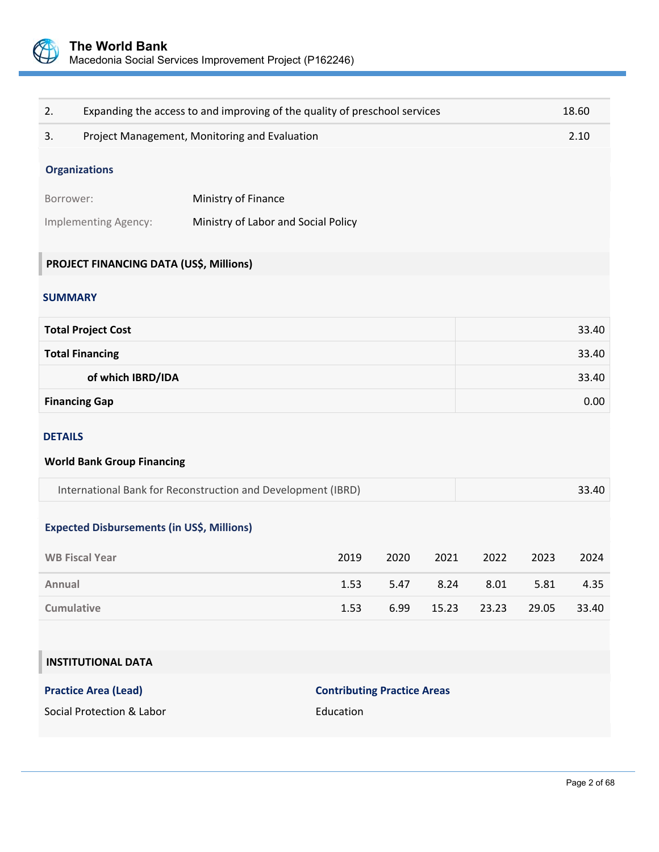

| 2.                |                                                   | Expanding the access to and improving of the quality of preschool services |                                    |      |       |       |       | 18.60 |
|-------------------|---------------------------------------------------|----------------------------------------------------------------------------|------------------------------------|------|-------|-------|-------|-------|
| 3.                |                                                   | Project Management, Monitoring and Evaluation                              |                                    |      |       |       |       | 2.10  |
|                   | <b>Organizations</b>                              |                                                                            |                                    |      |       |       |       |       |
| Borrower:         |                                                   | Ministry of Finance                                                        |                                    |      |       |       |       |       |
|                   | Implementing Agency:                              | Ministry of Labor and Social Policy                                        |                                    |      |       |       |       |       |
|                   |                                                   |                                                                            |                                    |      |       |       |       |       |
|                   | PROJECT FINANCING DATA (US\$, Millions)           |                                                                            |                                    |      |       |       |       |       |
| <b>SUMMARY</b>    |                                                   |                                                                            |                                    |      |       |       |       |       |
|                   | <b>Total Project Cost</b>                         |                                                                            |                                    |      |       |       |       | 33.40 |
|                   | <b>Total Financing</b>                            |                                                                            |                                    |      |       |       |       | 33.40 |
|                   | of which IBRD/IDA                                 |                                                                            |                                    |      |       |       |       | 33.40 |
|                   | <b>Financing Gap</b>                              |                                                                            |                                    |      |       |       |       | 0.00  |
| <b>DETAILS</b>    |                                                   |                                                                            |                                    |      |       |       |       |       |
|                   | <b>World Bank Group Financing</b>                 |                                                                            |                                    |      |       |       |       |       |
|                   |                                                   | International Bank for Reconstruction and Development (IBRD)               |                                    |      |       |       |       | 33.40 |
|                   |                                                   |                                                                            |                                    |      |       |       |       |       |
|                   | <b>Expected Disbursements (in US\$, Millions)</b> |                                                                            |                                    |      |       |       |       |       |
|                   | <b>WB Fiscal Year</b>                             |                                                                            | 2019                               | 2020 | 2021  | 2022  | 2023  | 2024  |
| Annual            |                                                   |                                                                            | 1.53                               | 5.47 | 8.24  | 8.01  | 5.81  | 4.35  |
| <b>Cumulative</b> |                                                   |                                                                            | 1.53                               | 6.99 | 15.23 | 23.23 | 29.05 | 33.40 |
|                   |                                                   |                                                                            |                                    |      |       |       |       |       |
|                   | <b>INSTITUTIONAL DATA</b>                         |                                                                            |                                    |      |       |       |       |       |
|                   | <b>Practice Area (Lead)</b>                       |                                                                            | <b>Contributing Practice Areas</b> |      |       |       |       |       |
|                   | Social Protection & Labor                         |                                                                            | Education                          |      |       |       |       |       |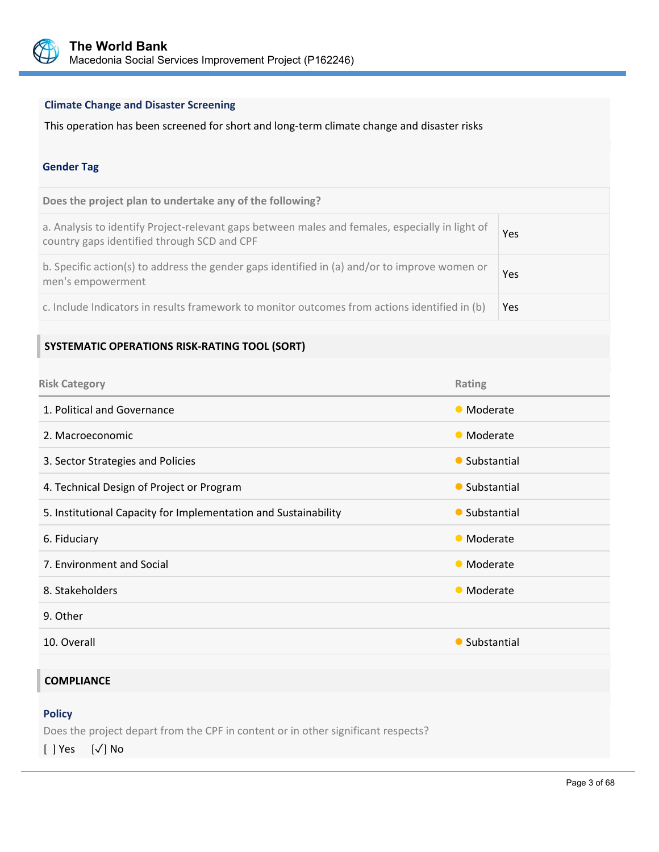

# **Climate Change and Disaster Screening**

This operation has been screened for short and long‐term climate change and disaster risks

#### **Gender Tag**

| Does the project plan to undertake any of the following?                                                                                       |            |
|------------------------------------------------------------------------------------------------------------------------------------------------|------------|
| a. Analysis to identify Project-relevant gaps between males and females, especially in light of<br>country gaps identified through SCD and CPF | Yes        |
| b. Specific action(s) to address the gender gaps identified in (a) and/or to improve women or<br>men's empowerment                             | Yes        |
| c. Include Indicators in results framework to monitor outcomes from actions identified in (b)                                                  | <b>Yes</b> |

# **SYSTEMATIC OPERATIONS RISK‐RATING TOOL (SORT)**

| <b>Risk Category</b>                                            | Rating        |
|-----------------------------------------------------------------|---------------|
| 1. Political and Governance                                     | • Moderate    |
| 2. Macroeconomic                                                | • Moderate    |
| 3. Sector Strategies and Policies                               | • Substantial |
| 4. Technical Design of Project or Program                       | • Substantial |
| 5. Institutional Capacity for Implementation and Sustainability | • Substantial |
| 6. Fiduciary                                                    | • Moderate    |
| 7. Environment and Social                                       | • Moderate    |
| 8. Stakeholders                                                 | • Moderate    |
| 9. Other                                                        |               |
| 10. Overall                                                     | • Substantial |
|                                                                 |               |

L

# **COMPLIANCE**

#### **Policy**

Does the project depart from the CPF in content or in other significant respects?

[ ] Yes [✓] No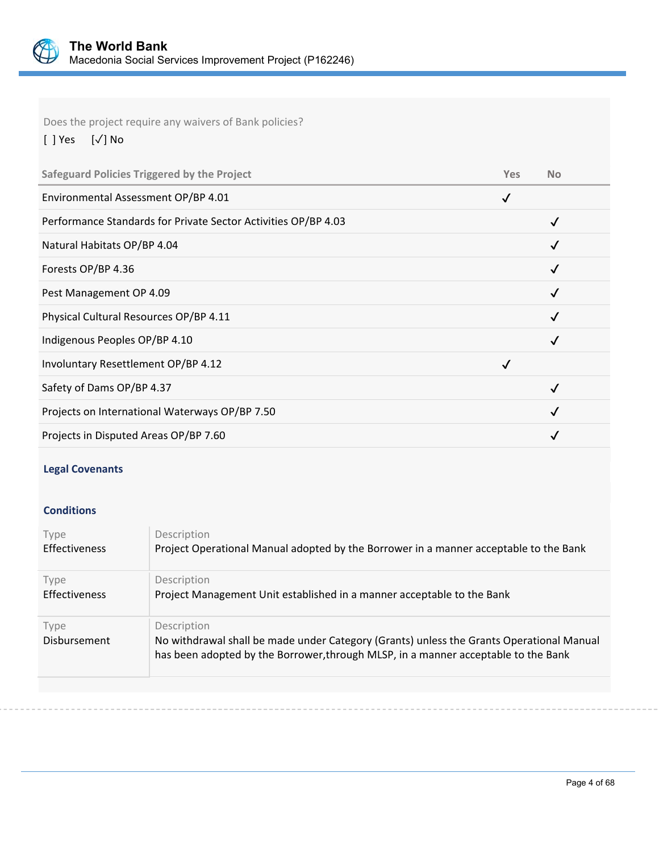

Does the project require any waivers of Bank policies?

[ ] Yes [✓] No

| <b>Safeguard Policies Triggered by the Project</b>             | <b>Yes</b> | <b>No</b>    |
|----------------------------------------------------------------|------------|--------------|
| Environmental Assessment OP/BP 4.01                            | ✓          |              |
| Performance Standards for Private Sector Activities OP/BP 4.03 |            |              |
| Natural Habitats OP/BP 4.04                                    |            | √            |
| Forests OP/BP 4.36                                             |            | $\checkmark$ |
| Pest Management OP 4.09                                        |            |              |
| Physical Cultural Resources OP/BP 4.11                         |            |              |
| Indigenous Peoples OP/BP 4.10                                  |            |              |
| Involuntary Resettlement OP/BP 4.12                            |            |              |
| Safety of Dams OP/BP 4.37                                      |            | $\checkmark$ |
| Projects on International Waterways OP/BP 7.50                 |            |              |
| Projects in Disputed Areas OP/BP 7.60                          |            |              |

# **Legal Covenants**

## **Conditions**

| Type                        | Description                                                                                                                                                                                   |
|-----------------------------|-----------------------------------------------------------------------------------------------------------------------------------------------------------------------------------------------|
| <b>Effectiveness</b>        | Project Operational Manual adopted by the Borrower in a manner acceptable to the Bank                                                                                                         |
| Type                        | Description                                                                                                                                                                                   |
| <b>Effectiveness</b>        | Project Management Unit established in a manner acceptable to the Bank                                                                                                                        |
| Type<br><b>Disbursement</b> | Description<br>No withdrawal shall be made under Category (Grants) unless the Grants Operational Manual<br>has been adopted by the Borrower, through MLSP, in a manner acceptable to the Bank |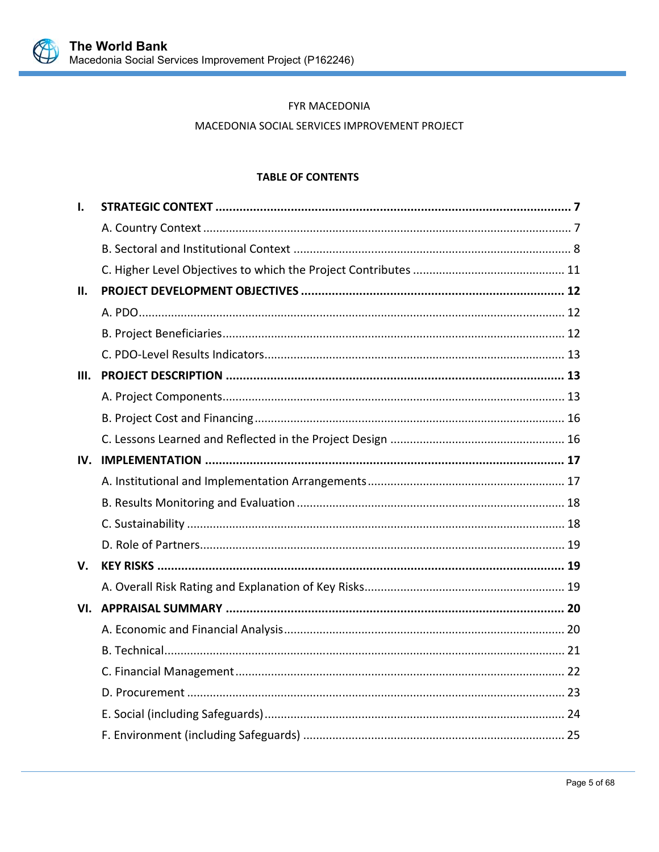

# FYR MACEDONIA

## MACEDONIA SOCIAL SERVICES IMPROVEMENT PROJECT

## **TABLE OF CONTENTS**

| Ι.   |  |
|------|--|
|      |  |
|      |  |
|      |  |
| П.   |  |
|      |  |
|      |  |
|      |  |
| III. |  |
|      |  |
|      |  |
|      |  |
|      |  |
|      |  |
|      |  |
|      |  |
|      |  |
| V.   |  |
|      |  |
|      |  |
|      |  |
|      |  |
|      |  |
|      |  |
|      |  |
|      |  |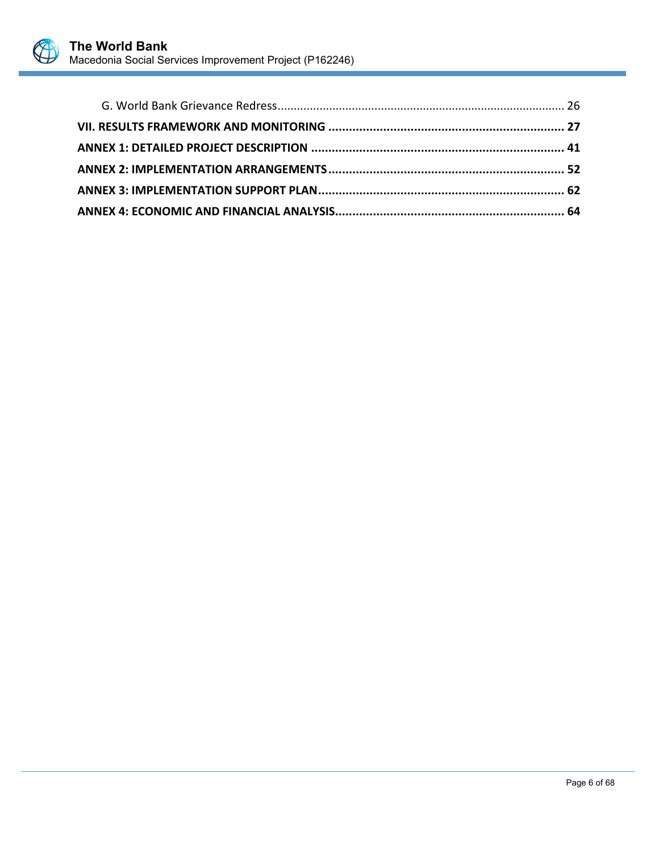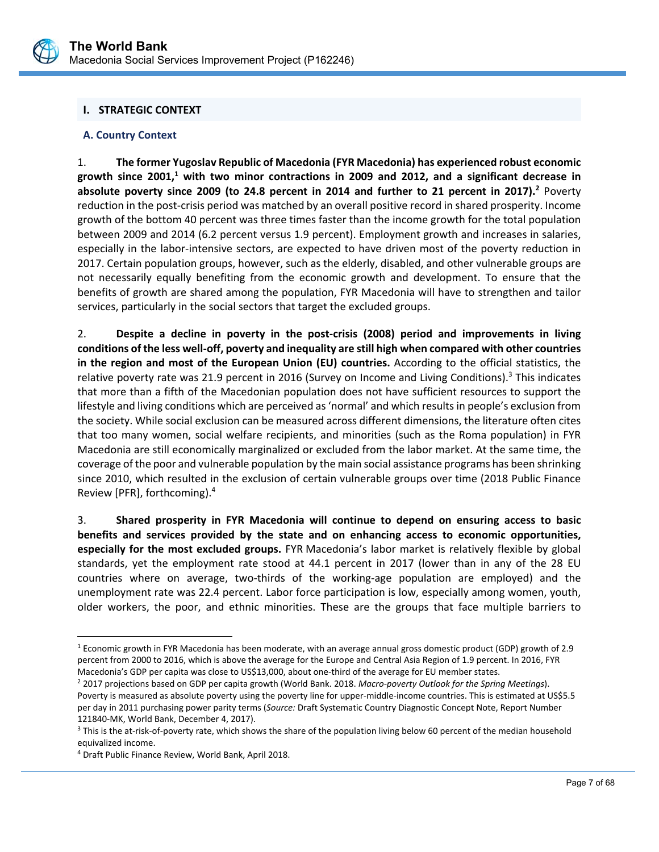

# **I. STRATEGIC CONTEXT**

## **A. Country Context**

1. **The former Yugoslav Republic of Macedonia (FYR Macedonia) has experienced robust economic**  growth since 2001,<sup>1</sup> with two minor contractions in 2009 and 2012, and a significant decrease in **absolute poverty since 2009 (to 24.8 percent in 2014 and further to 21 percent in 2017).2** Poverty reduction in the post-crisis period was matched by an overall positive record in shared prosperity. Income growth of the bottom 40 percent was three times faster than the income growth for the total population between 2009 and 2014 (6.2 percent versus 1.9 percent). Employment growth and increases in salaries, especially in the labor-intensive sectors, are expected to have driven most of the poverty reduction in 2017. Certain population groups, however, such as the elderly, disabled, and other vulnerable groups are not necessarily equally benefiting from the economic growth and development. To ensure that the benefits of growth are shared among the population, FYR Macedonia will have to strengthen and tailor services, particularly in the social sectors that target the excluded groups.

2. **Despite a decline in poverty in the post‐crisis (2008) period and improvements in living conditions of the less well‐off, poverty and inequality are still high when compared with other countries in the region and most of the European Union (EU) countries.** According to the official statistics, the relative poverty rate was 21.9 percent in 2016 (Survey on Income and Living Conditions).<sup>3</sup> This indicates that more than a fifth of the Macedonian population does not have sufficient resources to support the lifestyle and living conditions which are perceived as 'normal' and which results in people's exclusion from the society. While social exclusion can be measured across different dimensions, the literature often cites that too many women, social welfare recipients, and minorities (such as the Roma population) in FYR Macedonia are still economically marginalized or excluded from the labor market. At the same time, the coverage of the poor and vulnerable population by the main social assistance programs has been shrinking since 2010, which resulted in the exclusion of certain vulnerable groups over time (2018 Public Finance Review [PFR], forthcoming).4

3. **Shared prosperity in FYR Macedonia will continue to depend on ensuring access to basic benefits and services provided by the state and on enhancing access to economic opportunities, especially for the most excluded groups.** FYR Macedonia's labor market is relatively flexible by global standards, yet the employment rate stood at 44.1 percent in 2017 (lower than in any of the 28 EU countries where on average, two‐thirds of the working‐age population are employed) and the unemployment rate was 22.4 percent. Labor force participation is low, especially among women, youth, older workers, the poor, and ethnic minorities. These are the groups that face multiple barriers to

L

 $\overline{a}$ 

<sup>1</sup> Economic growth in FYR Macedonia has been moderate, with an average annual gross domestic product (GDP) growth of 2.9 percent from 2000 to 2016, which is above the average for the Europe and Central Asia Region of 1.9 percent. In 2016, FYR Macedonia's GDP per capita was close to US\$13,000, about one‐third of the average for EU member states.

<sup>2 2017</sup> projections based on GDP per capita growth (World Bank. 2018. *Macro‐poverty Outlook for the Spring Meetings*). Poverty is measured as absolute poverty using the poverty line for upper-middle-income countries. This is estimated at US\$5.5 per day in 2011 purchasing power parity terms (*Source:* Draft Systematic Country Diagnostic Concept Note, Report Number 121840‐MK, World Bank, December 4, 2017).

<sup>&</sup>lt;sup>3</sup> This is the at-risk-of-poverty rate, which shows the share of the population living below 60 percent of the median household equivalized income.

<sup>4</sup> Draft Public Finance Review, World Bank, April 2018.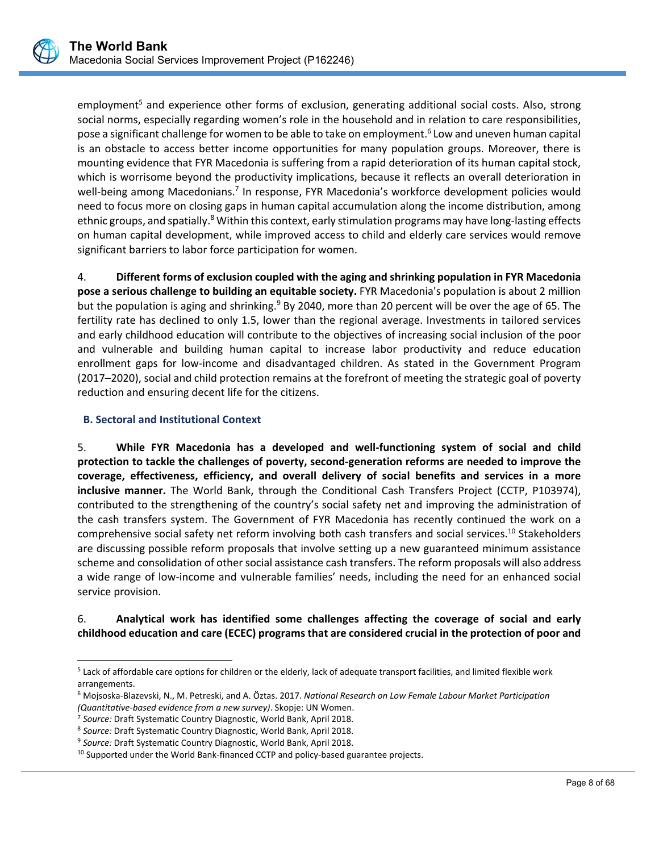employment<sup>5</sup> and experience other forms of exclusion, generating additional social costs. Also, strong social norms, especially regarding women's role in the household and in relation to care responsibilities, pose a significant challenge for women to be able to take on employment.<sup>6</sup> Low and uneven human capital is an obstacle to access better income opportunities for many population groups. Moreover, there is mounting evidence that FYR Macedonia is suffering from a rapid deterioration of its human capital stock, which is worrisome beyond the productivity implications, because it reflects an overall deterioration in well-being among Macedonians.<sup>7</sup> In response, FYR Macedonia's workforce development policies would need to focus more on closing gaps in human capital accumulation along the income distribution, among ethnic groups, and spatially.<sup>8</sup> Within this context, early stimulation programs may have long-lasting effects on human capital development, while improved access to child and elderly care services would remove significant barriers to labor force participation for women.

4. **Different forms of exclusion coupled with the aging and shrinking population in FYR Macedonia pose a serious challenge to building an equitable society.** FYR Macedonia's population is about 2 million but the population is aging and shrinking.<sup>9</sup> By 2040, more than 20 percent will be over the age of 65. The fertility rate has declined to only 1.5, lower than the regional average. Investments in tailored services and early childhood education will contribute to the objectives of increasing social inclusion of the poor and vulnerable and building human capital to increase labor productivity and reduce education enrollment gaps for low-income and disadvantaged children. As stated in the Government Program (2017–2020), social and child protection remains at the forefront of meeting the strategic goal of poverty reduction and ensuring decent life for the citizens.

# **B. Sectoral and Institutional Context**

 $\overline{a}$ 

5. **While FYR Macedonia has a developed and well‐functioning system of social and child protection to tackle the challenges of poverty, second‐generation reforms are needed to improve the coverage, effectiveness, efficiency, and overall delivery of social benefits and services in a more inclusive manner.** The World Bank, through the Conditional Cash Transfers Project (CCTP, P103974), contributed to the strengthening of the country's social safety net and improving the administration of the cash transfers system. The Government of FYR Macedonia has recently continued the work on a comprehensive social safety net reform involving both cash transfers and social services.<sup>10</sup> Stakeholders are discussing possible reform proposals that involve setting up a new guaranteed minimum assistance scheme and consolidation of other social assistance cash transfers. The reform proposals will also address a wide range of low‐income and vulnerable families' needs, including the need for an enhanced social service provision.

# 6. **Analytical work has identified some challenges affecting the coverage of social and early childhood education and care (ECEC) programs that are considered crucial in the protection of poor and**

<sup>5</sup> Lack of affordable care options for children or the elderly, lack of adequate transport facilities, and limited flexible work arrangements.

<sup>6</sup> Mojsoska‐Blazevski, N., M. Petreski, and A. Öztas. 2017. *National Research on Low Female Labour Market Participation (Quantitative‐based evidence from a new survey)*. Skopje: UN Women.

<sup>7</sup> *Source:* Draft Systematic Country Diagnostic, World Bank, April 2018.

<sup>8</sup> *Source:* Draft Systematic Country Diagnostic, World Bank, April 2018.

<sup>9</sup> *Source:* Draft Systematic Country Diagnostic, World Bank, April 2018.

<sup>&</sup>lt;sup>10</sup> Supported under the World Bank-financed CCTP and policy-based guarantee projects.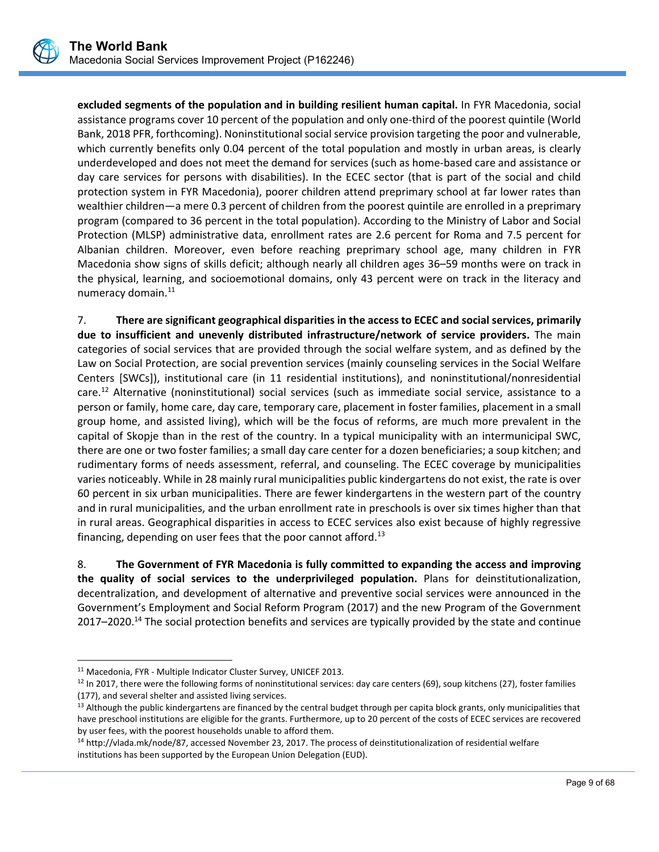

**excluded segments of the population and in building resilient human capital.** In FYR Macedonia, social assistance programs cover 10 percent of the population and only one‐third of the poorest quintile (World Bank, 2018 PFR, forthcoming). Noninstitutional social service provision targeting the poor and vulnerable, which currently benefits only 0.04 percent of the total population and mostly in urban areas, is clearly underdeveloped and does not meet the demand for services (such as home‐based care and assistance or day care services for persons with disabilities). In the ECEC sector (that is part of the social and child protection system in FYR Macedonia), poorer children attend preprimary school at far lower rates than wealthier children—a mere 0.3 percent of children from the poorest quintile are enrolled in a preprimary program (compared to 36 percent in the total population). According to the Ministry of Labor and Social Protection (MLSP) administrative data, enrollment rates are 2.6 percent for Roma and 7.5 percent for Albanian children. Moreover, even before reaching preprimary school age, many children in FYR Macedonia show signs of skills deficit; although nearly all children ages 36–59 months were on track in the physical, learning, and socioemotional domains, only 43 percent were on track in the literacy and numeracy domain.<sup>11</sup>

7. **There are significant geographical disparities in the access to ECEC and social services, primarily due to insufficient and unevenly distributed infrastructure/network of service providers.**  The main categories of social services that are provided through the social welfare system, and as defined by the Law on Social Protection, are social prevention services (mainly counseling services in the Social Welfare Centers [SWCs]), institutional care (in 11 residential institutions), and noninstitutional/nonresidential care.<sup>12</sup> Alternative (noninstitutional) social services (such as immediate social service, assistance to a person or family, home care, day care, temporary care, placement in foster families, placement in a small group home, and assisted living), which will be the focus of reforms, are much more prevalent in the capital of Skopje than in the rest of the country. In a typical municipality with an intermunicipal SWC, there are one or two foster families; a small day care center for a dozen beneficiaries; a soup kitchen; and rudimentary forms of needs assessment, referral, and counseling. The ECEC coverage by municipalities varies noticeably. While in 28 mainly rural municipalities public kindergartens do not exist, the rate is over 60 percent in six urban municipalities. There are fewer kindergartens in the western part of the country and in rural municipalities, and the urban enrollment rate in preschools is over six times higher than that in rural areas. Geographical disparities in access to ECEC services also exist because of highly regressive financing, depending on user fees that the poor cannot afford.<sup>13</sup>

8. **The Government of FYR Macedonia is fully committed to expanding the access and improving the quality of social services to the underprivileged population.**  Plans for deinstitutionalization, decentralization, and development of alternative and preventive social services were announced in the Government's Employment and Social Reform Program (2017) and the new Program of the Government 2017–2020.<sup>14</sup> The social protection benefits and services are typically provided by the state and continue

 $\overline{a}$ 

<sup>11</sup> Macedonia, FYR ‐ Multiple Indicator Cluster Survey, UNICEF 2013.

 $12$  In 2017, there were the following forms of noninstitutional services: day care centers (69), soup kitchens (27), foster families (177), and several shelter and assisted living services.

<sup>&</sup>lt;sup>13</sup> Although the public kindergartens are financed by the central budget through per capita block grants, only municipalities that have preschool institutions are eligible for the grants. Furthermore, up to 20 percent of the costs of ECEC services are recovered by user fees, with the poorest households unable to afford them.

<sup>14</sup> http://vlada.mk/node/87, accessed November 23, 2017. The process of deinstitutionalization of residential welfare institutions has been supported by the European Union Delegation (EUD).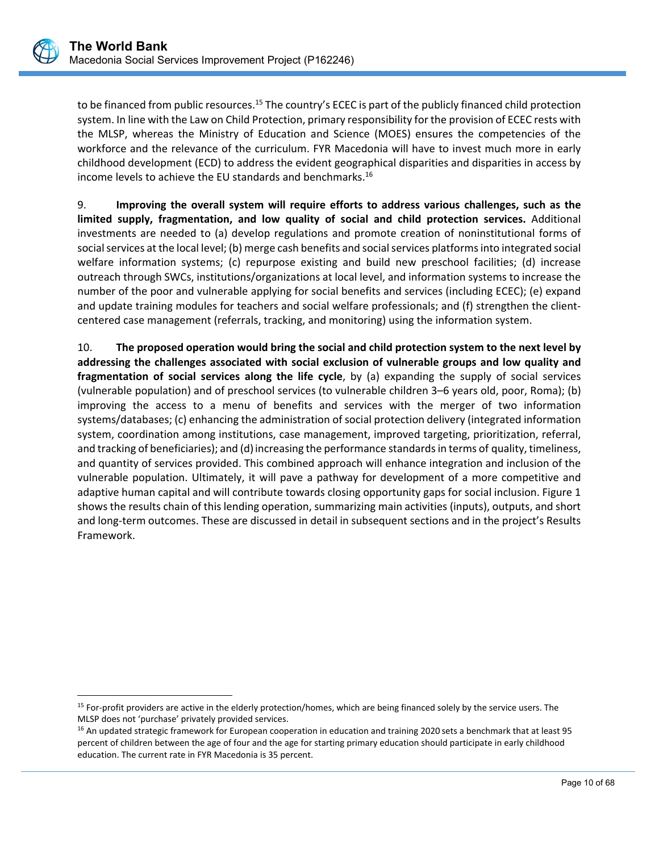$\overline{a}$ 

to be financed from public resources.<sup>15</sup> The country's ECEC is part of the publicly financed child protection system. In line with the Law on Child Protection, primary responsibility for the provision of ECEC rests with the MLSP, whereas the Ministry of Education and Science (MOES) ensures the competencies of the workforce and the relevance of the curriculum. FYR Macedonia will have to invest much more in early childhood development (ECD) to address the evident geographical disparities and disparities in access by income levels to achieve the EU standards and benchmarks.16

9. **Improving the overall system will require efforts to address various challenges, such as the limited supply, fragmentation, and low quality of social and child protection services.**  Additional investments are needed to (a) develop regulations and promote creation of noninstitutional forms of social services at the local level; (b) merge cash benefits and social services platforms into integrated social welfare information systems; (c) repurpose existing and build new preschool facilities; (d) increase outreach through SWCs, institutions/organizations at local level, and information systems to increase the number of the poor and vulnerable applying for social benefits and services (including ECEC); (e) expand and update training modules for teachers and social welfare professionals; and (f) strengthen the clientcentered case management (referrals, tracking, and monitoring) using the information system.

10. **The proposed operation would bring the social and child protection system to the next level by addressing the challenges associated with social exclusion of vulnerable groups and low quality and fragmentation of social services along the life cycle**, by (a) expanding the supply of social services (vulnerable population) and of preschool services (to vulnerable children 3–6 years old, poor, Roma); (b) improving the access to a menu of benefits and services with the merger of two information systems/databases; (c) enhancing the administration of social protection delivery (integrated information system, coordination among institutions, case management, improved targeting, prioritization, referral, and tracking of beneficiaries); and (d) increasing the performance standards in terms of quality, timeliness, and quantity of services provided. This combined approach will enhance integration and inclusion of the vulnerable population. Ultimately, it will pave a pathway for development of a more competitive and adaptive human capital and will contribute towards closing opportunity gaps for social inclusion. Figure 1 shows the results chain of this lending operation, summarizing main activities (inputs), outputs, and short and long-term outcomes. These are discussed in detail in subsequent sections and in the project's Results Framework.

<sup>&</sup>lt;sup>15</sup> For-profit providers are active in the elderly protection/homes, which are being financed solely by the service users. The MLSP does not 'purchase' privately provided services.

<sup>&</sup>lt;sup>16</sup> An updated strategic framework for European cooperation in education and training 2020 sets a benchmark that at least 95 percent of children between the age of four and the age for starting primary education should participate in early childhood education. The current rate in FYR Macedonia is 35 percent.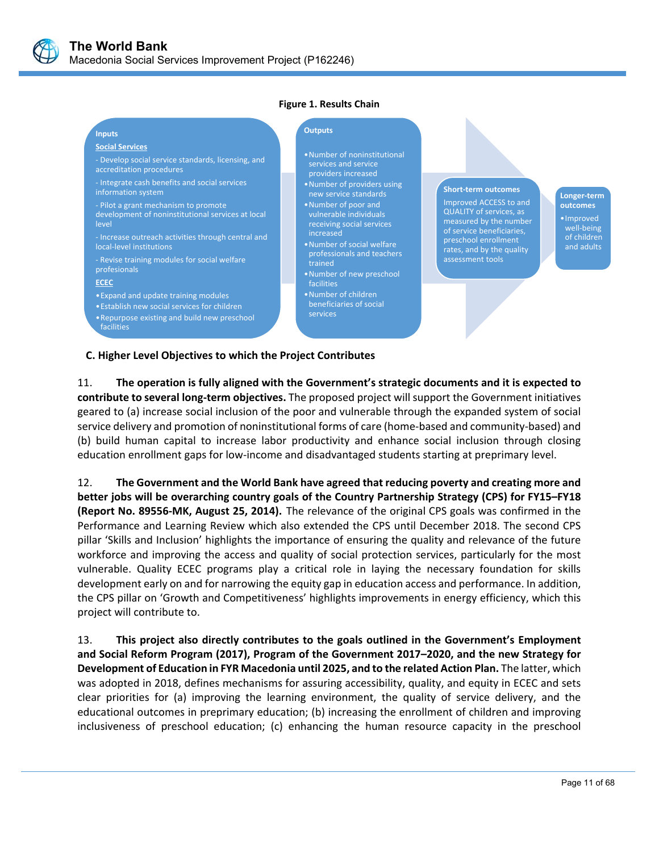

‐ Develop social service standards, licensing, and

development of noninstitutional services at local

Increase outreach activities through central and

‐ Integrate cash benefits and social services

‐ Revise training modules for social welfare

•Expand and update training modules •Establish new social services for children •Repurpose existing and build new preschool

‐ Pilot a grant mechanism to promote

#### **Figure 1. Results Chain**

#### **Inputs**

level

**Social Services**

accreditation procedures

information system

local‐level institutions

profesionals **ECEC**

facilities

#### **Outputs**

- •Number of noninstitutional services and service providers increased
- •Number of providers using new service standards
- •Number of poor and vulnerable individuals receiving social services increased
- professionals and teachers trained •Number of new preschool

•Number of social welfare

facilities •Number of children beneficiaries of social services

#### **Short‐term outcomes**

Improved ACCESS to and QUALITY of services, as measured by the number of service beneficiaries, preschool enrollment rates, and by the quality assessment tools

**Longer‐term outcomes** •Improved well‐being of children and adults

**C. Higher Level Objectives to which the Project Contributes**

11. **The operation is fully aligned with the Government's strategic documents and it is expected to contribute to several long‐term objectives.** The proposed project will support the Government initiatives geared to (a) increase social inclusion of the poor and vulnerable through the expanded system of social service delivery and promotion of noninstitutional forms of care (home-based and community-based) and (b) build human capital to increase labor productivity and enhance social inclusion through closing education enrollment gaps for low-income and disadvantaged students starting at preprimary level.

12. **The Government and the World Bank have agreed that reducing poverty and creating more and better jobs will be overarching country goals of the Country Partnership Strategy (CPS) for FY15–FY18 (Report No. 89556‐MK, August 25, 2014).** The relevance of the original CPS goals was confirmed in the Performance and Learning Review which also extended the CPS until December 2018. The second CPS pillar 'Skills and Inclusion' highlights the importance of ensuring the quality and relevance of the future workforce and improving the access and quality of social protection services, particularly for the most vulnerable. Quality ECEC programs play a critical role in laying the necessary foundation for skills development early on and for narrowing the equity gap in education access and performance. In addition, the CPS pillar on 'Growth and Competitiveness' highlights improvements in energy efficiency, which this project will contribute to.

13. **This project also directly contributes to the goals outlined in the Government's Employment and Social Reform Program (2017), Program of the Government 2017–2020, and the new Strategy for Development of Education in FYR Macedonia until 2025, and to the related Action Plan.** The latter, which was adopted in 2018, defines mechanisms for assuring accessibility, quality, and equity in ECEC and sets clear priorities for (a) improving the learning environment, the quality of service delivery, and the educational outcomes in preprimary education; (b) increasing the enrollment of children and improving inclusiveness of preschool education; (c) enhancing the human resource capacity in the preschool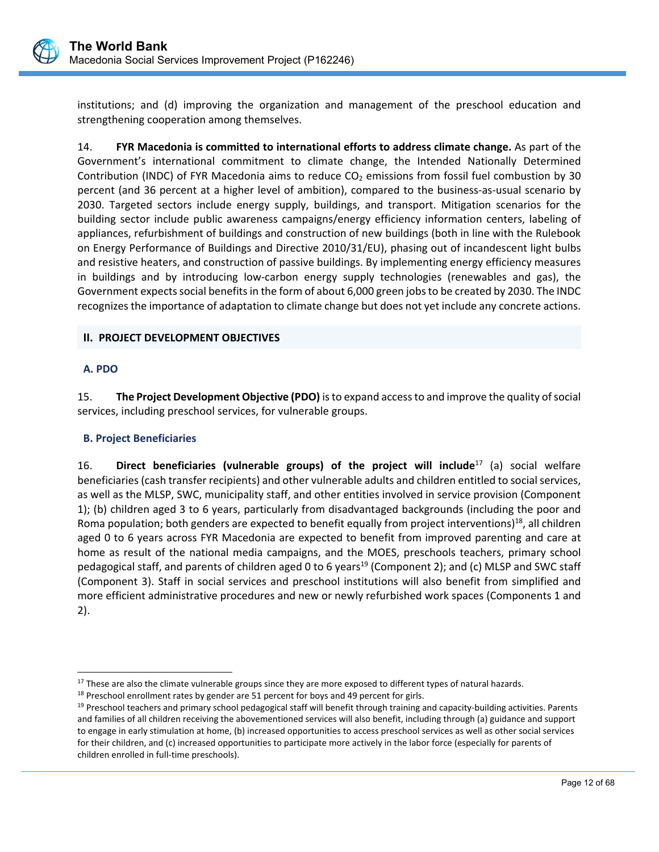

institutions; and (d) improving the organization and management of the preschool education and strengthening cooperation among themselves.

14. **FYR Macedonia is committed to international efforts to address climate change.** As part of the Government's international commitment to climate change, the Intended Nationally Determined Contribution (INDC) of FYR Macedonia aims to reduce  $CO<sub>2</sub>$  emissions from fossil fuel combustion by 30 percent (and 36 percent at a higher level of ambition), compared to the business-as-usual scenario by 2030. Targeted sectors include energy supply, buildings, and transport. Mitigation scenarios for the building sector include public awareness campaigns/energy efficiency information centers, labeling of appliances, refurbishment of buildings and construction of new buildings (both in line with the Rulebook on Energy Performance of Buildings and Directive 2010/31/EU), phasing out of incandescent light bulbs and resistive heaters, and construction of passive buildings. By implementing energy efficiency measures in buildings and by introducing low-carbon energy supply technologies (renewables and gas), the Government expects social benefits in the form of about 6,000 green jobs to be created by 2030. The INDC recognizes the importance of adaptation to climate change but does not yet include any concrete actions.

## **II. PROJECT DEVELOPMENT OBJECTIVES**

#### **A. PDO**

 $\overline{a}$ 

15. **The Project Development Objective (PDO)** is to expand access to and improve the quality of social services, including preschool services, for vulnerable groups.

## **B. Project Beneficiaries**

16. **Direct beneficiaries (vulnerable groups) of the project will include**<sup>17</sup> (a) social welfare beneficiaries (cash transfer recipients) and other vulnerable adults and children entitled to social services, as well as the MLSP, SWC, municipality staff, and other entities involved in service provision (Component 1); (b) children aged 3 to 6 years, particularly from disadvantaged backgrounds (including the poor and Roma population; both genders are expected to benefit equally from project interventions)<sup>18</sup>, all children aged 0 to 6 years across FYR Macedonia are expected to benefit from improved parenting and care at home as result of the national media campaigns, and the MOES, preschools teachers, primary school pedagogical staff, and parents of children aged 0 to 6 years<sup>19</sup> (Component 2); and (c) MLSP and SWC staff (Component 3). Staff in social services and preschool institutions will also benefit from simplified and more efficient administrative procedures and new or newly refurbished work spaces (Components 1 and 2).

<sup>&</sup>lt;sup>17</sup> These are also the climate vulnerable groups since they are more exposed to different types of natural hazards.

 $18$  Preschool enrollment rates by gender are 51 percent for boys and 49 percent for girls.

 $19$  Preschool teachers and primary school pedagogical staff will benefit through training and capacity-building activities. Parents and families of all children receiving the abovementioned services will also benefit, including through (a) guidance and support to engage in early stimulation at home, (b) increased opportunities to access preschool services as well as other social services for their children, and (c) increased opportunities to participate more actively in the labor force (especially for parents of children enrolled in full‐time preschools).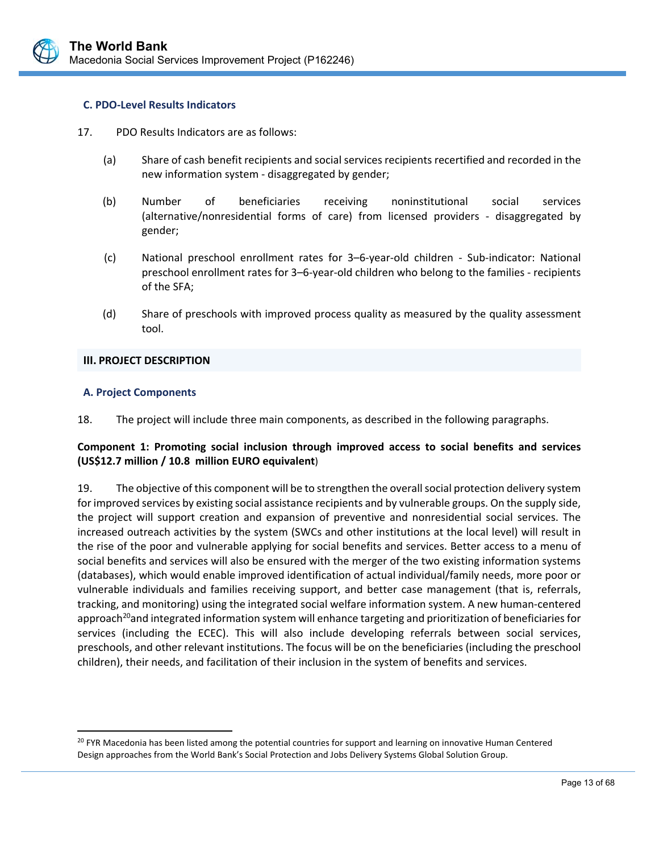

#### **C. PDO‐Level Results Indicators**

- 17. PDO Results Indicators are as follows:
	- (a) Share of cash benefit recipients and social services recipients recertified and recorded in the new information system ‐ disaggregated by gender;
	- (b) Number of beneficiaries receiving noninstitutional social services (alternative/nonresidential forms of care) from licensed providers ‐ disaggregated by gender;
	- (c) National preschool enrollment rates for 3–6‐year‐old children ‐ Sub‐indicator: National preschool enrollment rates for 3–6‐year‐old children who belong to the families ‐ recipients of the SFA;
	- (d) Share of preschools with improved process quality as measured by the quality assessment tool.

#### **III. PROJECT DESCRIPTION**

#### **A. Project Components**

 $\overline{a}$ 

18. The project will include three main components, as described in the following paragraphs.

## **Component 1: Promoting social inclusion through improved access to social benefits and services (US\$12.7 million / 10.8 million EURO equivalent**)

19. The objective of this component will be to strengthen the overall social protection delivery system for improved services by existing social assistance recipients and by vulnerable groups. On the supply side, the project will support creation and expansion of preventive and nonresidential social services. The increased outreach activities by the system (SWCs and other institutions at the local level) will result in the rise of the poor and vulnerable applying for social benefits and services. Better access to a menu of social benefits and services will also be ensured with the merger of the two existing information systems (databases), which would enable improved identification of actual individual/family needs, more poor or vulnerable individuals and families receiving support, and better case management (that is, referrals, tracking, and monitoring) using the integrated social welfare information system. A new human‐centered approach<sup>20</sup>and integrated information system will enhance targeting and prioritization of beneficiaries for services (including the ECEC). This will also include developing referrals between social services, preschools, and other relevant institutions. The focus will be on the beneficiaries (including the preschool children), their needs, and facilitation of their inclusion in the system of benefits and services.

<sup>&</sup>lt;sup>20</sup> FYR Macedonia has been listed among the potential countries for support and learning on innovative Human Centered Design approaches from the World Bank's Social Protection and Jobs Delivery Systems Global Solution Group.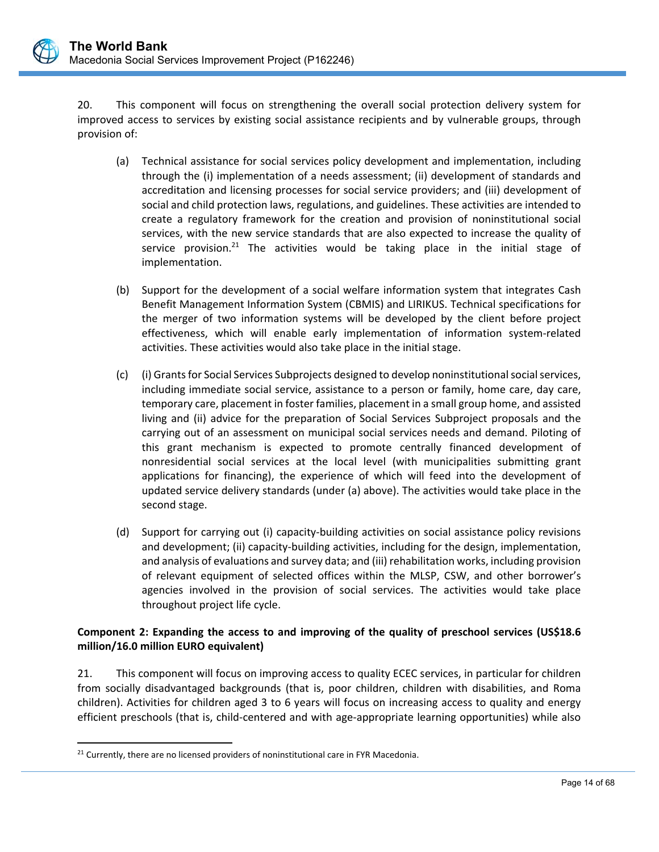20. This component will focus on strengthening the overall social protection delivery system for improved access to services by existing social assistance recipients and by vulnerable groups, through provision of:

- (a) Technical assistance for social services policy development and implementation, including through the (i) implementation of a needs assessment; (ii) development of standards and accreditation and licensing processes for social service providers; and (iii) development of social and child protection laws, regulations, and guidelines. These activities are intended to create a regulatory framework for the creation and provision of noninstitutional social services, with the new service standards that are also expected to increase the quality of service provision.<sup>21</sup> The activities would be taking place in the initial stage of implementation.
- (b) Support for the development of a social welfare information system that integrates Cash Benefit Management Information System (CBMIS) and LIRIKUS. Technical specifications for the merger of two information systems will be developed by the client before project effectiveness, which will enable early implementation of information system-related activities. These activities would also take place in the initial stage.
- (c) (i) Grants for Social Services Subprojects designed to develop noninstitutional social services, including immediate social service, assistance to a person or family, home care, day care, temporary care, placement in foster families, placement in a small group home, and assisted living and (ii) advice for the preparation of Social Services Subproject proposals and the carrying out of an assessment on municipal social services needs and demand. Piloting of this grant mechanism is expected to promote centrally financed development of nonresidential social services at the local level (with municipalities submitting grant applications for financing), the experience of which will feed into the development of updated service delivery standards (under (a) above). The activities would take place in the second stage.
- (d) Support for carrying out (i) capacity‐building activities on social assistance policy revisions and development; (ii) capacity-building activities, including for the design, implementation, and analysis of evaluations and survey data; and (iii) rehabilitation works, including provision of relevant equipment of selected offices within the MLSP, CSW, and other borrower's agencies involved in the provision of social services. The activities would take place throughout project life cycle.

## **Component 2: Expanding the access to and improving of the quality of preschool services (US\$18.6 million/16.0 million EURO equivalent)**

21. This component will focus on improving access to quality ECEC services, in particular for children from socially disadvantaged backgrounds (that is, poor children, children with disabilities, and Roma children). Activities for children aged 3 to 6 years will focus on increasing access to quality and energy efficient preschools (that is, child‐centered and with age‐appropriate learning opportunities) while also

L

 $\overline{a}$ 

<sup>&</sup>lt;sup>21</sup> Currently, there are no licensed providers of noninstitutional care in FYR Macedonia.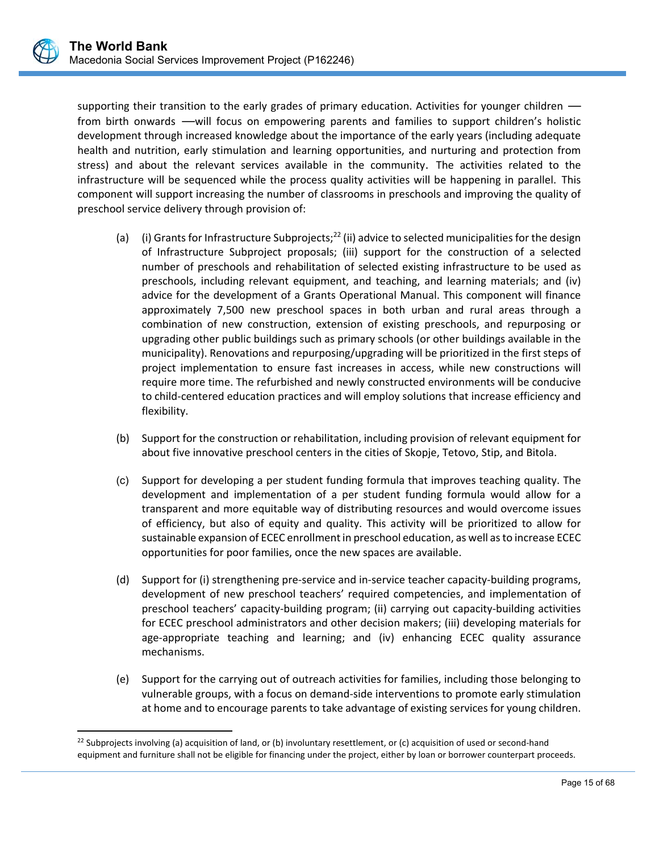supporting their transition to the early grades of primary education. Activities for younger children from birth onwards —will focus on empowering parents and families to support children's holistic development through increased knowledge about the importance of the early years (including adequate health and nutrition, early stimulation and learning opportunities, and nurturing and protection from stress) and about the relevant services available in the community. The activities related to the infrastructure will be sequenced while the process quality activities will be happening in parallel. This component will support increasing the number of classrooms in preschools and improving the quality of preschool service delivery through provision of:

- (a) (i) Grants for Infrastructure Subprojects;<sup>22</sup> (ii) advice to selected municipalities for the design of Infrastructure Subproject proposals; (iii) support for the construction of a selected number of preschools and rehabilitation of selected existing infrastructure to be used as preschools, including relevant equipment, and teaching, and learning materials; and (iv) advice for the development of a Grants Operational Manual. This component will finance approximately 7,500 new preschool spaces in both urban and rural areas through a combination of new construction, extension of existing preschools, and repurposing or upgrading other public buildings such as primary schools (or other buildings available in the municipality). Renovations and repurposing/upgrading will be prioritized in the first steps of project implementation to ensure fast increases in access, while new constructions will require more time. The refurbished and newly constructed environments will be conducive to child‐centered education practices and will employ solutions that increase efficiency and flexibility.
- (b) Support for the construction or rehabilitation, including provision of relevant equipment for about five innovative preschool centers in the cities of Skopje, Tetovo, Stip, and Bitola.
- (c) Support for developing a per student funding formula that improves teaching quality. The development and implementation of a per student funding formula would allow for a transparent and more equitable way of distributing resources and would overcome issues of efficiency, but also of equity and quality. This activity will be prioritized to allow for sustainable expansion of ECEC enrollment in preschool education, as well as to increase ECEC opportunities for poor families, once the new spaces are available.
- (d) Support for (i) strengthening pre‐service and in‐service teacher capacity‐building programs, development of new preschool teachers' required competencies, and implementation of preschool teachers' capacity‐building program; (ii) carrying out capacity‐building activities for ECEC preschool administrators and other decision makers; (iii) developing materials for age-appropriate teaching and learning; and (iv) enhancing ECEC quality assurance mechanisms.
- (e) Support for the carrying out of outreach activities for families, including those belonging to vulnerable groups, with a focus on demand‐side interventions to promote early stimulation at home and to encourage parents to take advantage of existing services for young children.

 $\overline{a}$ 

<sup>&</sup>lt;sup>22</sup> Subprojects involving (a) acquisition of land, or (b) involuntary resettlement, or (c) acquisition of used or second-hand equipment and furniture shall not be eligible for financing under the project, either by loan or borrower counterpart proceeds.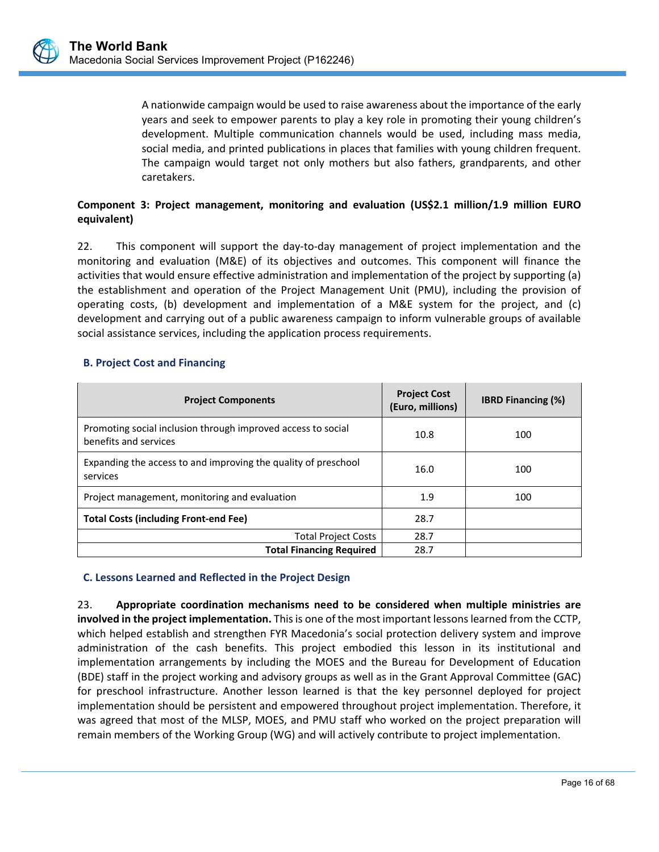

A nationwide campaign would be used to raise awareness about the importance of the early years and seek to empower parents to play a key role in promoting their young children's development. Multiple communication channels would be used, including mass media, social media, and printed publications in places that families with young children frequent. The campaign would target not only mothers but also fathers, grandparents, and other caretakers.

# **Component 3: Project management, monitoring and evaluation (US\$2.1 million/1.9 million EURO equivalent)**

22. This component will support the day-to-day management of project implementation and the monitoring and evaluation (M&E) of its objectives and outcomes. This component will finance the activities that would ensure effective administration and implementation of the project by supporting (a) the establishment and operation of the Project Management Unit (PMU), including the provision of operating costs, (b) development and implementation of a M&E system for the project, and (c) development and carrying out of a public awareness campaign to inform vulnerable groups of available social assistance services, including the application process requirements.

## **B. Project Cost and Financing**

| <b>Project Components</b>                                                             | <b>Project Cost</b><br>(Euro, millions) | <b>IBRD Financing (%)</b> |
|---------------------------------------------------------------------------------------|-----------------------------------------|---------------------------|
| Promoting social inclusion through improved access to social<br>benefits and services | 10.8                                    | 100                       |
| Expanding the access to and improving the quality of preschool<br>services            | 16.0                                    | 100                       |
| Project management, monitoring and evaluation                                         | 1.9                                     | 100                       |
| <b>Total Costs (including Front-end Fee)</b>                                          | 28.7                                    |                           |
| <b>Total Project Costs</b>                                                            | 28.7                                    |                           |
| <b>Total Financing Required</b>                                                       | 28.7                                    |                           |

# **C. Lessons Learned and Reflected in the Project Design**

23. **Appropriate coordination mechanisms need to be considered when multiple ministries are involved in the project implementation.** This is one of the most important lessons learned from the CCTP, which helped establish and strengthen FYR Macedonia's social protection delivery system and improve administration of the cash benefits. This project embodied this lesson in its institutional and implementation arrangements by including the MOES and the Bureau for Development of Education (BDE) staff in the project working and advisory groups as well as in the Grant Approval Committee (GAC) for preschool infrastructure. Another lesson learned is that the key personnel deployed for project implementation should be persistent and empowered throughout project implementation. Therefore, it was agreed that most of the MLSP, MOES, and PMU staff who worked on the project preparation will remain members of the Working Group (WG) and will actively contribute to project implementation.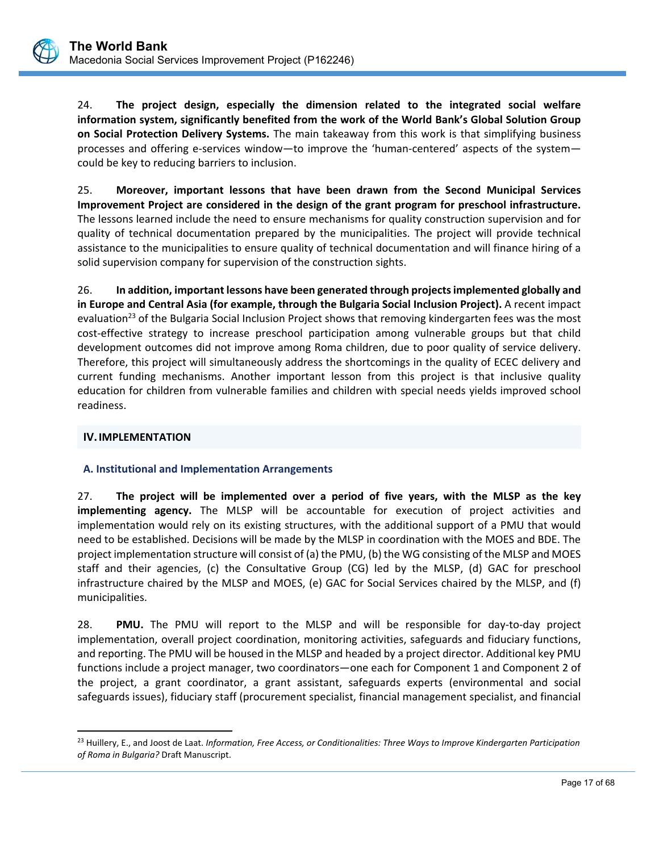24. **The project design, especially the dimension related to the integrated social welfare information system, significantly benefited from the work of the World Bank's Global Solution Group on Social Protection Delivery Systems.** The main takeaway from this work is that simplifying business processes and offering e-services window—to improve the 'human-centered' aspects of the system could be key to reducing barriers to inclusion.

25. **Moreover, important lessons that have been drawn from the Second Municipal Services Improvement Project are considered in the design of the grant program for preschool infrastructure.**  The lessons learned include the need to ensure mechanisms for quality construction supervision and for quality of technical documentation prepared by the municipalities. The project will provide technical assistance to the municipalities to ensure quality of technical documentation and will finance hiring of a solid supervision company for supervision of the construction sights.

26. **In addition, important lessons have been generated through projects implemented globally and in Europe and Central Asia (for example, through the Bulgaria Social Inclusion Project).** A recent impact evaluation<sup>23</sup> of the Bulgaria Social Inclusion Project shows that removing kindergarten fees was the most cost-effective strategy to increase preschool participation among vulnerable groups but that child development outcomes did not improve among Roma children, due to poor quality of service delivery. Therefore, this project will simultaneously address the shortcomings in the quality of ECEC delivery and current funding mechanisms. Another important lesson from this project is that inclusive quality education for children from vulnerable families and children with special needs yields improved school readiness.

# **IV.IMPLEMENTATION**

 $\overline{a}$ 

## **A. Institutional and Implementation Arrangements**

27. **The project will be implemented over a period of five years, with the MLSP as the key implementing agency.**  The MLSP will be accountable for execution of project activities and implementation would rely on its existing structures, with the additional support of a PMU that would need to be established. Decisions will be made by the MLSP in coordination with the MOES and BDE. The project implementation structure will consist of (a) the PMU, (b) the WG consisting of the MLSP and MOES staff and their agencies, (c) the Consultative Group (CG) led by the MLSP, (d) GAC for preschool infrastructure chaired by the MLSP and MOES, (e) GAC for Social Services chaired by the MLSP, and (f) municipalities.

28. **PMU.** The PMU will report to the MLSP and will be responsible for day-to-day project implementation, overall project coordination, monitoring activities, safeguards and fiduciary functions, and reporting. The PMU will be housed in the MLSP and headed by a project director. Additional key PMU functions include a project manager, two coordinators—one each for Component 1 and Component 2 of the project, a grant coordinator, a grant assistant, safeguards experts (environmental and social safeguards issues), fiduciary staff (procurement specialist, financial management specialist, and financial

L 23 Huillery, E., and Joost de Laat. *Information, Free Access, or Conditionalities: Three Ways to Improve Kindergarten Participation of Roma in Bulgaria?* Draft Manuscript.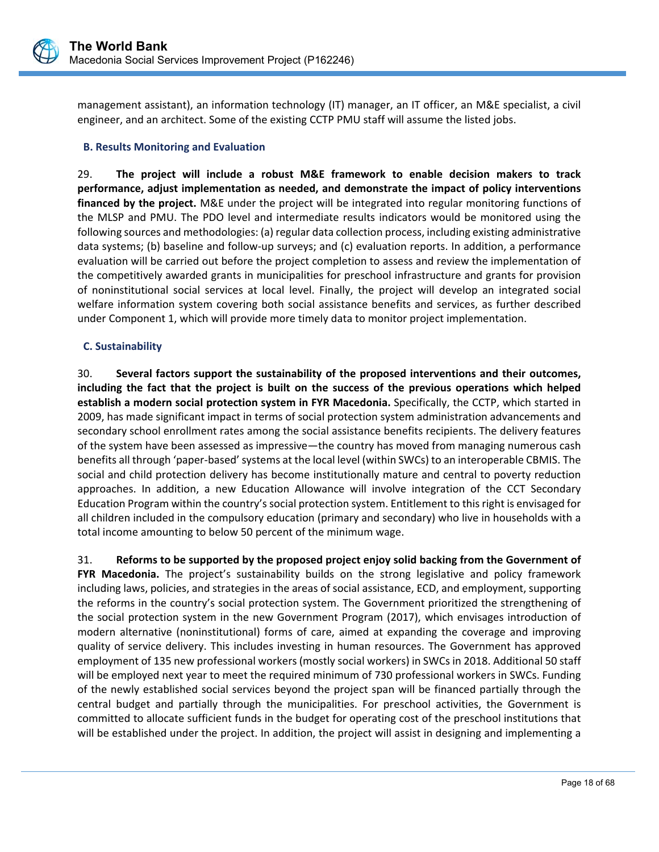

management assistant), an information technology (IT) manager, an IT officer, an M&E specialist, a civil engineer, and an architect. Some of the existing CCTP PMU staff will assume the listed jobs.

## **B. Results Monitoring and Evaluation**

29. **The project will include a robust M&E framework to enable decision makers to track performance, adjust implementation as needed, and demonstrate the impact of policy interventions financed by the project.** M&E under the project will be integrated into regular monitoring functions of the MLSP and PMU. The PDO level and intermediate results indicators would be monitored using the following sources and methodologies: (a) regular data collection process, including existing administrative data systems; (b) baseline and follow‐up surveys; and (c) evaluation reports. In addition, a performance evaluation will be carried out before the project completion to assess and review the implementation of the competitively awarded grants in municipalities for preschool infrastructure and grants for provision of noninstitutional social services at local level. Finally, the project will develop an integrated social welfare information system covering both social assistance benefits and services, as further described under Component 1, which will provide more timely data to monitor project implementation.

## **C. Sustainability**

30. **Several factors support the sustainability of the proposed interventions and their outcomes, including the fact that the project is built on the success of the previous operations which helped establish a modern social protection system in FYR Macedonia.** Specifically, the CCTP, which started in 2009, has made significant impact in terms of social protection system administration advancements and secondary school enrollment rates among the social assistance benefits recipients. The delivery features of the system have been assessed as impressive—the country has moved from managing numerous cash benefits all through 'paper‐based' systems at the local level (within SWCs) to an interoperable CBMIS. The social and child protection delivery has become institutionally mature and central to poverty reduction approaches. In addition, a new Education Allowance will involve integration of the CCT Secondary Education Program within the country's social protection system. Entitlement to this right is envisaged for all children included in the compulsory education (primary and secondary) who live in households with a total income amounting to below 50 percent of the minimum wage.

31. **Reforms to be supported by the proposed project enjoy solid backing from the Government of FYR Macedonia.** The project's sustainability builds on the strong legislative and policy framework including laws, policies, and strategies in the areas of social assistance, ECD, and employment, supporting the reforms in the country's social protection system. The Government prioritized the strengthening of the social protection system in the new Government Program (2017), which envisages introduction of modern alternative (noninstitutional) forms of care, aimed at expanding the coverage and improving quality of service delivery. This includes investing in human resources. The Government has approved employment of 135 new professional workers (mostly social workers) in SWCs in 2018. Additional 50 staff will be employed next year to meet the required minimum of 730 professional workers in SWCs. Funding of the newly established social services beyond the project span will be financed partially through the central budget and partially through the municipalities. For preschool activities, the Government is committed to allocate sufficient funds in the budget for operating cost of the preschool institutions that will be established under the project. In addition, the project will assist in designing and implementing a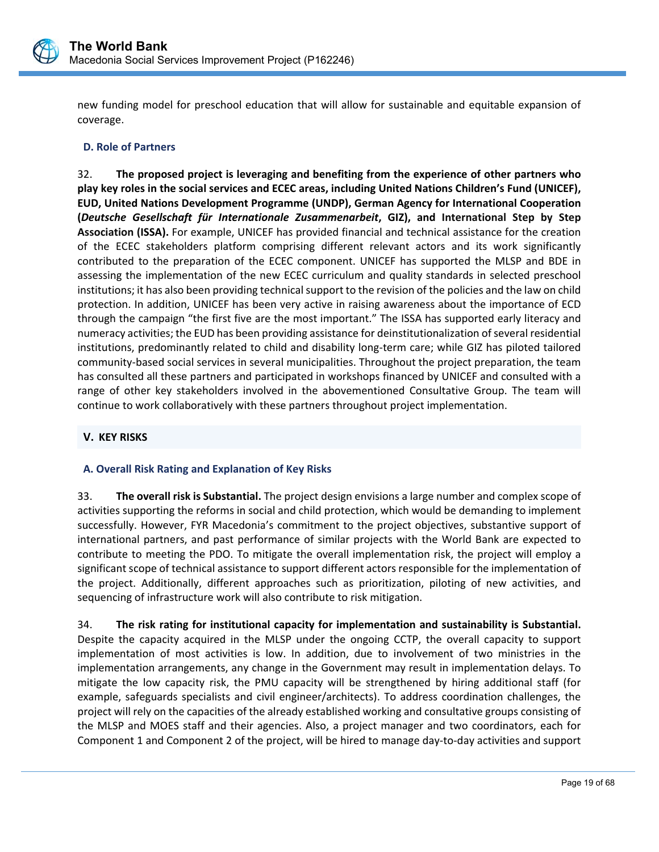

new funding model for preschool education that will allow for sustainable and equitable expansion of coverage.

## **D. Role of Partners**

32. **The proposed project is leveraging and benefiting from the experience of other partners who play key roles in the social services and ECEC areas, including United Nations Children's Fund (UNICEF), EUD, United Nations Development Programme (UNDP), German Agency for International Cooperation (***Deutsche Gesellschaft für Internationale Zusammenarbeit***, GIZ), and International Step by Step Association (ISSA).** For example, UNICEF has provided financial and technical assistance for the creation of the ECEC stakeholders platform comprising different relevant actors and its work significantly contributed to the preparation of the ECEC component. UNICEF has supported the MLSP and BDE in assessing the implementation of the new ECEC curriculum and quality standards in selected preschool institutions; it has also been providing technical support to the revision of the policies and the law on child protection. In addition, UNICEF has been very active in raising awareness about the importance of ECD through the campaign "the first five are the most important." The ISSA has supported early literacy and numeracy activities; the EUD has been providing assistance for deinstitutionalization of several residential institutions, predominantly related to child and disability long‐term care; while GIZ has piloted tailored community-based social services in several municipalities. Throughout the project preparation, the team has consulted all these partners and participated in workshops financed by UNICEF and consulted with a range of other key stakeholders involved in the abovementioned Consultative Group. The team will continue to work collaboratively with these partners throughout project implementation.

# **V. KEY RISKS**

## **A. Overall Risk Rating and Explanation of Key Risks**

33. **The overall risk is Substantial.** The project design envisions a large number and complex scope of activities supporting the reforms in social and child protection, which would be demanding to implement successfully. However, FYR Macedonia's commitment to the project objectives, substantive support of international partners, and past performance of similar projects with the World Bank are expected to contribute to meeting the PDO. To mitigate the overall implementation risk, the project will employ a significant scope of technical assistance to support different actors responsible for the implementation of the project. Additionally, different approaches such as prioritization, piloting of new activities, and sequencing of infrastructure work will also contribute to risk mitigation.

34. **The risk rating for institutional capacity for implementation and sustainability is Substantial.** Despite the capacity acquired in the MLSP under the ongoing CCTP, the overall capacity to support implementation of most activities is low. In addition, due to involvement of two ministries in the implementation arrangements, any change in the Government may result in implementation delays. To mitigate the low capacity risk, the PMU capacity will be strengthened by hiring additional staff (for example, safeguards specialists and civil engineer/architects). To address coordination challenges, the project will rely on the capacities of the already established working and consultative groups consisting of the MLSP and MOES staff and their agencies. Also, a project manager and two coordinators, each for Component 1 and Component 2 of the project, will be hired to manage day‐to‐day activities and support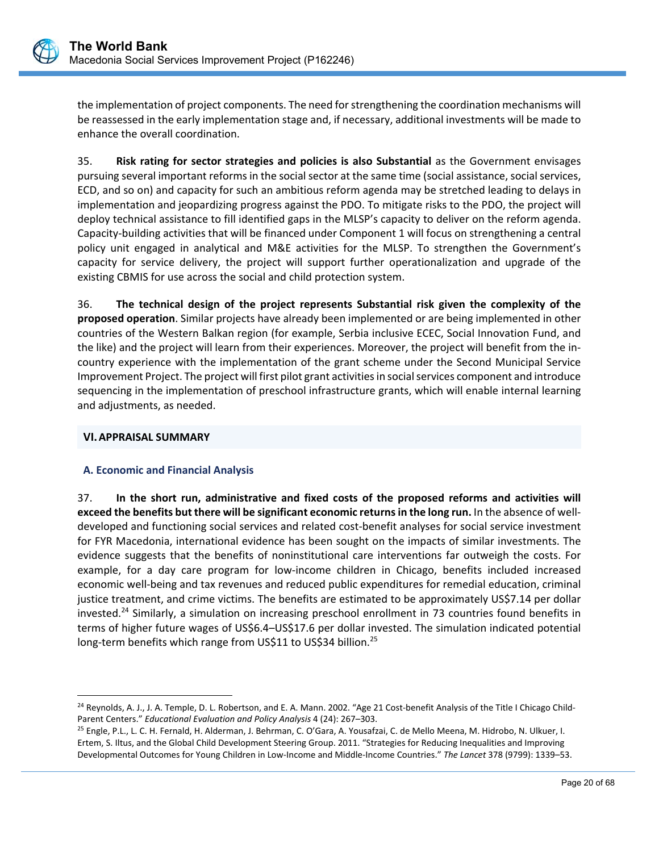

the implementation of project components. The need for strengthening the coordination mechanisms will be reassessed in the early implementation stage and, if necessary, additional investments will be made to enhance the overall coordination.

35. **Risk rating for sector strategies and policies is also Substantial** as the Government envisages pursuing several important reforms in the social sector at the same time (social assistance, social services, ECD, and so on) and capacity for such an ambitious reform agenda may be stretched leading to delays in implementation and jeopardizing progress against the PDO. To mitigate risks to the PDO, the project will deploy technical assistance to fill identified gaps in the MLSP's capacity to deliver on the reform agenda. Capacity‐building activities that will be financed under Component 1 will focus on strengthening a central policy unit engaged in analytical and M&E activities for the MLSP. To strengthen the Government's capacity for service delivery, the project will support further operationalization and upgrade of the existing CBMIS for use across the social and child protection system.

36. **The technical design of the project represents Substantial risk given the complexity of the proposed operation**. Similar projects have already been implemented or are being implemented in other countries of the Western Balkan region (for example, Serbia inclusive ECEC, Social Innovation Fund, and the like) and the project will learn from their experiences. Moreover, the project will benefit from the in‐ country experience with the implementation of the grant scheme under the Second Municipal Service Improvement Project. The project will first pilot grant activities in social services component and introduce sequencing in the implementation of preschool infrastructure grants, which will enable internal learning and adjustments, as needed.

## **VI.APPRAISAL SUMMARY**

 $\overline{a}$ 

## **A. Economic and Financial Analysis**

37. **In the short run, administrative and fixed costs of the proposed reforms and activities will exceed the benefits but there will be significant economic returns in the long run.** In the absence of well‐ developed and functioning social services and related cost-benefit analyses for social service investment for FYR Macedonia, international evidence has been sought on the impacts of similar investments. The evidence suggests that the benefits of noninstitutional care interventions far outweigh the costs. For example, for a day care program for low‐income children in Chicago, benefits included increased economic well‐being and tax revenues and reduced public expenditures for remedial education, criminal justice treatment, and crime victims. The benefits are estimated to be approximately US\$7.14 per dollar invested.<sup>24</sup> Similarly, a simulation on increasing preschool enrollment in 73 countries found benefits in terms of higher future wages of US\$6.4–US\$17.6 per dollar invested. The simulation indicated potential long-term benefits which range from US\$11 to US\$34 billion.<sup>25</sup>

<sup>&</sup>lt;sup>24</sup> Reynolds, A. J., J. A. Temple, D. L. Robertson, and E. A. Mann. 2002. "Age 21 Cost-benefit Analysis of the Title I Chicago Child-Parent Centers." *Educational Evaluation and Policy Analysis* 4 (24): 267–303.

<sup>25</sup> Engle, P.L., L. C. H. Fernald, H. Alderman, J. Behrman, C. O'Gara, A. Yousafzai, C. de Mello Meena, M. Hidrobo, N. Ulkuer, I. Ertem, S. Iltus, and the Global Child Development Steering Group. 2011. "Strategies for Reducing Inequalities and Improving Developmental Outcomes for Young Children in Low‐Income and Middle‐Income Countries." *The Lancet* 378 (9799): 1339–53.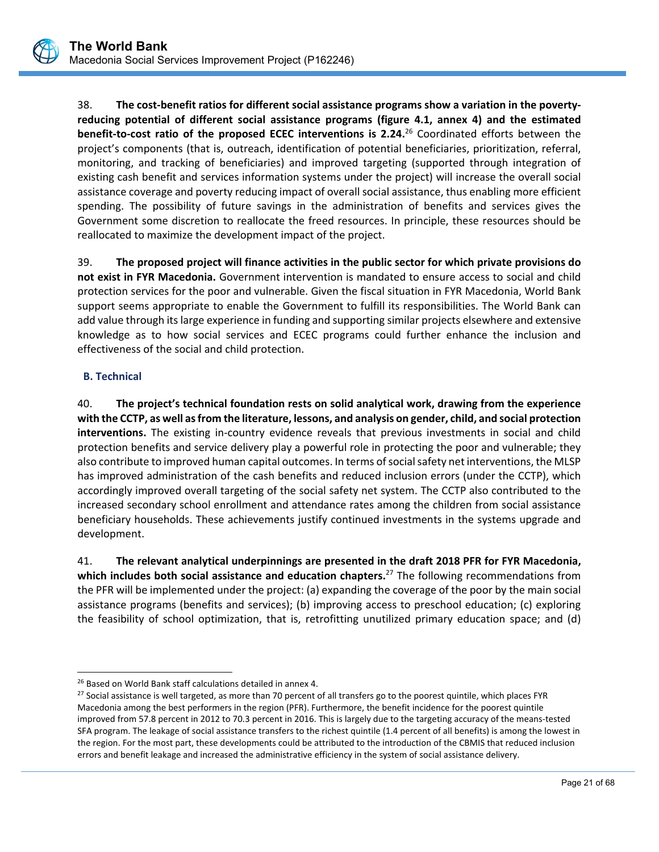

38. **The cost‐benefit ratios for different social assistance programs show a variation in the poverty‐ reducing potential of different social assistance programs (figure 4.1, annex 4) and the estimated benefit-to-cost ratio of the proposed ECEC interventions is 2.24.<sup>26</sup> Coordinated efforts between the** project's components (that is, outreach, identification of potential beneficiaries, prioritization, referral, monitoring, and tracking of beneficiaries) and improved targeting (supported through integration of existing cash benefit and services information systems under the project) will increase the overall social assistance coverage and poverty reducing impact of overall social assistance, thus enabling more efficient spending. The possibility of future savings in the administration of benefits and services gives the Government some discretion to reallocate the freed resources. In principle, these resources should be reallocated to maximize the development impact of the project.

39. **The proposed project will finance activities in the public sector for which private provisions do not exist in FYR Macedonia.** Government intervention is mandated to ensure access to social and child protection services for the poor and vulnerable. Given the fiscal situation in FYR Macedonia, World Bank support seems appropriate to enable the Government to fulfill its responsibilities. The World Bank can add value through its large experience in funding and supporting similar projects elsewhere and extensive knowledge as to how social services and ECEC programs could further enhance the inclusion and effectiveness of the social and child protection.

## **B. Technical**

40. **The project's technical foundation rests on solid analytical work, drawing from the experience with the CCTP, as well as from the literature, lessons, and analysis on gender, child, and social protection interventions.** The existing in-country evidence reveals that previous investments in social and child protection benefits and service delivery play a powerful role in protecting the poor and vulnerable; they also contribute to improved human capital outcomes. In terms of social safety net interventions, the MLSP has improved administration of the cash benefits and reduced inclusion errors (under the CCTP), which accordingly improved overall targeting of the social safety net system. The CCTP also contributed to the increased secondary school enrollment and attendance rates among the children from social assistance beneficiary households. These achievements justify continued investments in the systems upgrade and development.

41. **The relevant analytical underpinnings are presented in the draft 2018 PFR for FYR Macedonia, which includes both social assistance and education chapters.**27 The following recommendations from the PFR will be implemented under the project: (a) expanding the coverage of the poor by the main social assistance programs (benefits and services); (b) improving access to preschool education; (c) exploring the feasibility of school optimization, that is, retrofitting unutilized primary education space; and (d)

 $\overline{a}$ <sup>26</sup> Based on World Bank staff calculations detailed in annex 4.

<sup>&</sup>lt;sup>27</sup> Social assistance is well targeted, as more than 70 percent of all transfers go to the poorest quintile, which places FYR Macedonia among the best performers in the region (PFR). Furthermore, the benefit incidence for the poorest quintile improved from 57.8 percent in 2012 to 70.3 percent in 2016. This is largely due to the targeting accuracy of the means-tested SFA program. The leakage of social assistance transfers to the richest quintile (1.4 percent of all benefits) is among the lowest in the region. For the most part, these developments could be attributed to the introduction of the CBMIS that reduced inclusion errors and benefit leakage and increased the administrative efficiency in the system of social assistance delivery.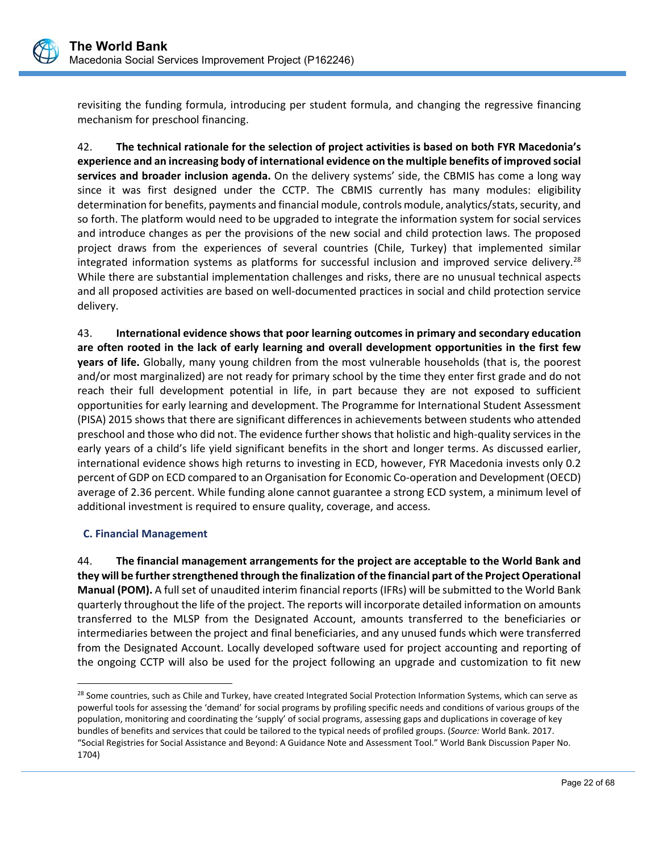

revisiting the funding formula, introducing per student formula, and changing the regressive financing mechanism for preschool financing.

42. **The technical rationale for the selection of project activities is based on both FYR Macedonia's experience and an increasing body of international evidence on the multiple benefits of improved social services and broader inclusion agenda.** On the delivery systems' side, the CBMIS has come a long way since it was first designed under the CCTP. The CBMIS currently has many modules: eligibility determination for benefits, payments and financial module, controls module, analytics/stats, security, and so forth. The platform would need to be upgraded to integrate the information system for social services and introduce changes as per the provisions of the new social and child protection laws. The proposed project draws from the experiences of several countries (Chile, Turkey) that implemented similar integrated information systems as platforms for successful inclusion and improved service delivery.<sup>28</sup> While there are substantial implementation challenges and risks, there are no unusual technical aspects and all proposed activities are based on well‐documented practices in social and child protection service delivery.

43. **International evidence shows that poor learning outcomes in primary and secondary education are often rooted in the lack of early learning and overall development opportunities in the first few years of life.** Globally, many young children from the most vulnerable households (that is, the poorest and/or most marginalized) are not ready for primary school by the time they enter first grade and do not reach their full development potential in life, in part because they are not exposed to sufficient opportunities for early learning and development. The Programme for International Student Assessment (PISA) 2015 shows that there are significant differences in achievements between students who attended preschool and those who did not. The evidence further shows that holistic and high‐quality services in the early years of a child's life yield significant benefits in the short and longer terms. As discussed earlier, international evidence shows high returns to investing in ECD, however, FYR Macedonia invests only 0.2 percent of GDP on ECD compared to an Organisation for Economic Co‐operation and Development (OECD) average of 2.36 percent. While funding alone cannot guarantee a strong ECD system, a minimum level of additional investment is required to ensure quality, coverage, and access.

## **C. Financial Management**

 $\overline{a}$ 

44. **The financial management arrangements for the project are acceptable to the World Bank and they will be further strengthened through the finalization of the financial part of the Project Operational Manual (POM).** A full set of unaudited interim financial reports (IFRs) will be submitted to the World Bank quarterly throughout the life of the project. The reports will incorporate detailed information on amounts transferred to the MLSP from the Designated Account, amounts transferred to the beneficiaries or intermediaries between the project and final beneficiaries, and any unused funds which were transferred from the Designated Account. Locally developed software used for project accounting and reporting of the ongoing CCTP will also be used for the project following an upgrade and customization to fit new

<sup>&</sup>lt;sup>28</sup> Some countries, such as Chile and Turkey, have created Integrated Social Protection Information Systems, which can serve as powerful tools for assessing the 'demand' for social programs by profiling specific needs and conditions of various groups of the population, monitoring and coordinating the 'supply' of social programs, assessing gaps and duplications in coverage of key bundles of benefits and services that could be tailored to the typical needs of profiled groups. (*Source:* World Bank. 2017. "Social Registries for Social Assistance and Beyond: A Guidance Note and Assessment Tool." World Bank Discussion Paper No. 1704)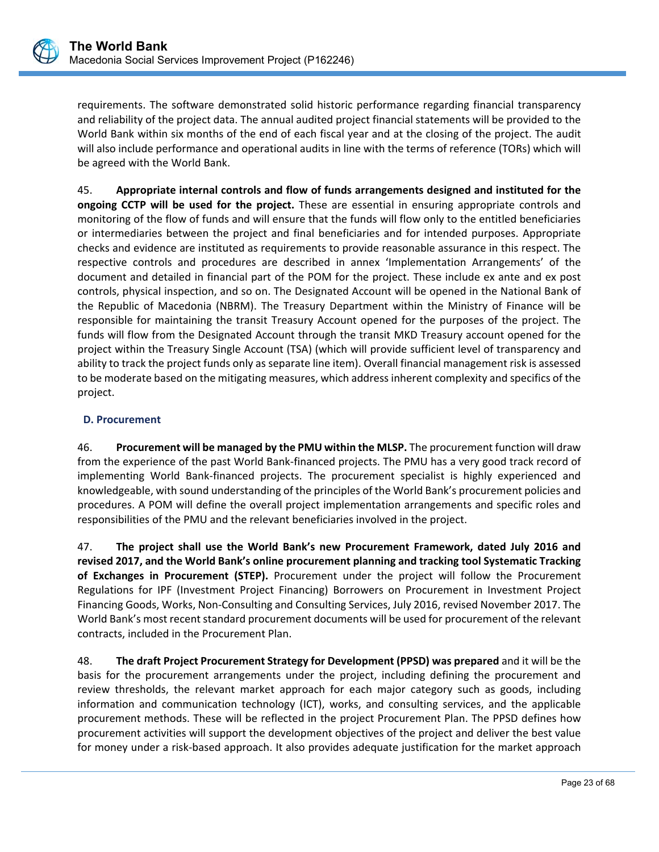requirements. The software demonstrated solid historic performance regarding financial transparency and reliability of the project data. The annual audited project financial statements will be provided to the World Bank within six months of the end of each fiscal year and at the closing of the project. The audit will also include performance and operational audits in line with the terms of reference (TORs) which will be agreed with the World Bank.

45. **Appropriate internal controls and flow of funds arrangements designed and instituted for the ongoing CCTP will be used for the project.**  These are essential in ensuring appropriate controls and monitoring of the flow of funds and will ensure that the funds will flow only to the entitled beneficiaries or intermediaries between the project and final beneficiaries and for intended purposes. Appropriate checks and evidence are instituted as requirements to provide reasonable assurance in this respect. The respective controls and procedures are described in annex 'Implementation Arrangements' of the document and detailed in financial part of the POM for the project. These include ex ante and ex post controls, physical inspection, and so on. The Designated Account will be opened in the National Bank of the Republic of Macedonia (NBRM). The Treasury Department within the Ministry of Finance will be responsible for maintaining the transit Treasury Account opened for the purposes of the project. The funds will flow from the Designated Account through the transit MKD Treasury account opened for the project within the Treasury Single Account (TSA) (which will provide sufficient level of transparency and ability to track the project funds only as separate line item). Overall financial management risk is assessed to be moderate based on the mitigating measures, which address inherent complexity and specifics of the project.

## **D. Procurement**

46. **Procurement will be managed by the PMU within the MLSP.** The procurement function will draw from the experience of the past World Bank‐financed projects. The PMU has a very good track record of implementing World Bank‐financed projects. The procurement specialist is highly experienced and knowledgeable, with sound understanding of the principles of the World Bank's procurement policies and procedures. A POM will define the overall project implementation arrangements and specific roles and responsibilities of the PMU and the relevant beneficiaries involved in the project.

47. **The project shall use the World Bank's new Procurement Framework, dated July 2016 and revised 2017, and the World Bank's online procurement planning and tracking tool Systematic Tracking of Exchanges in Procurement (STEP).** Procurement under the project will follow the Procurement Regulations for IPF (Investment Project Financing) Borrowers on Procurement in Investment Project Financing Goods, Works, Non‐Consulting and Consulting Services, July 2016, revised November 2017. The World Bank's most recent standard procurement documents will be used for procurement of the relevant contracts, included in the Procurement Plan.

48. **The draft Project Procurement Strategy for Development (PPSD) was prepared** and it will be the basis for the procurement arrangements under the project, including defining the procurement and review thresholds, the relevant market approach for each major category such as goods, including information and communication technology (ICT), works, and consulting services, and the applicable procurement methods. These will be reflected in the project Procurement Plan. The PPSD defines how procurement activities will support the development objectives of the project and deliver the best value for money under a risk-based approach. It also provides adequate justification for the market approach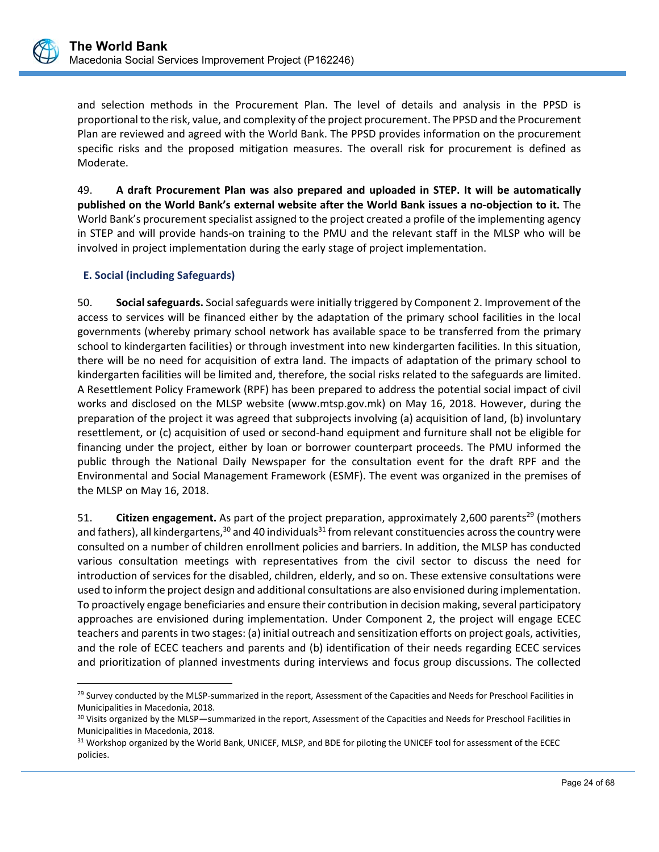

 $\overline{a}$ 

and selection methods in the Procurement Plan. The level of details and analysis in the PPSD is proportional to the risk, value, and complexity of the project procurement. The PPSD and the Procurement Plan are reviewed and agreed with the World Bank. The PPSD provides information on the procurement specific risks and the proposed mitigation measures. The overall risk for procurement is defined as Moderate.

49. **A draft Procurement Plan was also prepared and uploaded in STEP. It will be automatically published on the World Bank's external website after the World Bank issues a no‐objection to it.** The World Bank's procurement specialist assigned to the project created a profile of the implementing agency in STEP and will provide hands‐on training to the PMU and the relevant staff in the MLSP who will be involved in project implementation during the early stage of project implementation.

## **E. Social (including Safeguards)**

50. **Social safeguards.** Social safeguards were initially triggered by Component 2. Improvement of the access to services will be financed either by the adaptation of the primary school facilities in the local governments (whereby primary school network has available space to be transferred from the primary school to kindergarten facilities) or through investment into new kindergarten facilities. In this situation, there will be no need for acquisition of extra land. The impacts of adaptation of the primary school to kindergarten facilities will be limited and, therefore, the social risks related to the safeguards are limited. A Resettlement Policy Framework (RPF) has been prepared to address the potential social impact of civil works and disclosed on the MLSP website (www.mtsp.gov.mk) on May 16, 2018. However, during the preparation of the project it was agreed that subprojects involving (a) acquisition of land, (b) involuntary resettlement, or (c) acquisition of used or second-hand equipment and furniture shall not be eligible for financing under the project, either by loan or borrower counterpart proceeds. The PMU informed the public through the National Daily Newspaper for the consultation event for the draft RPF and the Environmental and Social Management Framework (ESMF). The event was organized in the premises of the MLSP on May 16, 2018.

51. **Citizen engagement.** As part of the project preparation, approximately 2,600 parents<sup>29</sup> (mothers and fathers), all kindergartens,  $30$  and 40 individuals  $31$  from relevant constituencies across the country were consulted on a number of children enrollment policies and barriers. In addition, the MLSP has conducted various consultation meetings with representatives from the civil sector to discuss the need for introduction of services for the disabled, children, elderly, and so on. These extensive consultations were used to inform the project design and additional consultations are also envisioned during implementation. To proactively engage beneficiaries and ensure their contribution in decision making, several participatory approaches are envisioned during implementation. Under Component 2, the project will engage ECEC teachers and parents in two stages: (a) initial outreach and sensitization efforts on project goals, activities, and the role of ECEC teachers and parents and (b) identification of their needs regarding ECEC services and prioritization of planned investments during interviews and focus group discussions. The collected

<sup>&</sup>lt;sup>29</sup> Survey conducted by the MLSP-summarized in the report, Assessment of the Capacities and Needs for Preschool Facilities in Municipalities in Macedonia, 2018.

<sup>&</sup>lt;sup>30</sup> Visits organized by the MLSP—summarized in the report, Assessment of the Capacities and Needs for Preschool Facilities in Municipalities in Macedonia, 2018.

<sup>&</sup>lt;sup>31</sup> Workshop organized by the World Bank, UNICEF, MLSP, and BDE for piloting the UNICEF tool for assessment of the ECEC policies.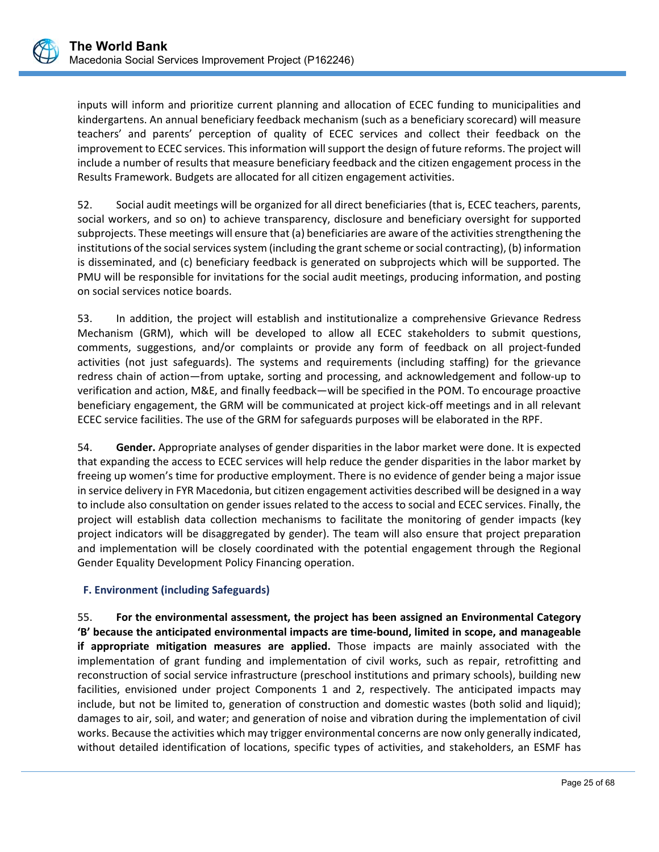inputs will inform and prioritize current planning and allocation of ECEC funding to municipalities and kindergartens. An annual beneficiary feedback mechanism (such as a beneficiary scorecard) will measure teachers' and parents' perception of quality of ECEC services and collect their feedback on the improvement to ECEC services. This information will support the design of future reforms. The project will include a number of results that measure beneficiary feedback and the citizen engagement process in the Results Framework. Budgets are allocated for all citizen engagement activities.

52. Social audit meetings will be organized for all direct beneficiaries (that is, ECEC teachers, parents, social workers, and so on) to achieve transparency, disclosure and beneficiary oversight for supported subprojects. These meetings will ensure that (a) beneficiaries are aware of the activities strengthening the institutions of the social services system (including the grant scheme or social contracting), (b) information is disseminated, and (c) beneficiary feedback is generated on subprojects which will be supported. The PMU will be responsible for invitations for the social audit meetings, producing information, and posting on social services notice boards.

53. In addition, the project will establish and institutionalize a comprehensive Grievance Redress Mechanism (GRM), which will be developed to allow all ECEC stakeholders to submit questions, comments, suggestions, and/or complaints or provide any form of feedback on all project-funded activities (not just safeguards). The systems and requirements (including staffing) for the grievance redress chain of action—from uptake, sorting and processing, and acknowledgement and follow-up to verification and action, M&E, and finally feedback—will be specified in the POM. To encourage proactive beneficiary engagement, the GRM will be communicated at project kick-off meetings and in all relevant ECEC service facilities. The use of the GRM for safeguards purposes will be elaborated in the RPF.

54. **Gender.** Appropriate analyses of gender disparities in the labor market were done. It is expected that expanding the access to ECEC services will help reduce the gender disparities in the labor market by freeing up women's time for productive employment. There is no evidence of gender being a major issue in service delivery in FYR Macedonia, but citizen engagement activities described will be designed in a way to include also consultation on gender issues related to the access to social and ECEC services. Finally, the project will establish data collection mechanisms to facilitate the monitoring of gender impacts (key project indicators will be disaggregated by gender). The team will also ensure that project preparation and implementation will be closely coordinated with the potential engagement through the Regional Gender Equality Development Policy Financing operation.

## **F. Environment (including Safeguards)**

55. **For the environmental assessment, the project has been assigned an Environmental Category 'B' because the anticipated environmental impacts are time‐bound, limited in scope, and manageable if appropriate mitigation measures are applied.** Those impacts are mainly associated with the implementation of grant funding and implementation of civil works, such as repair, retrofitting and reconstruction of social service infrastructure (preschool institutions and primary schools), building new facilities, envisioned under project Components 1 and 2, respectively. The anticipated impacts may include, but not be limited to, generation of construction and domestic wastes (both solid and liquid); damages to air, soil, and water; and generation of noise and vibration during the implementation of civil works. Because the activities which may trigger environmental concerns are now only generally indicated, without detailed identification of locations, specific types of activities, and stakeholders, an ESMF has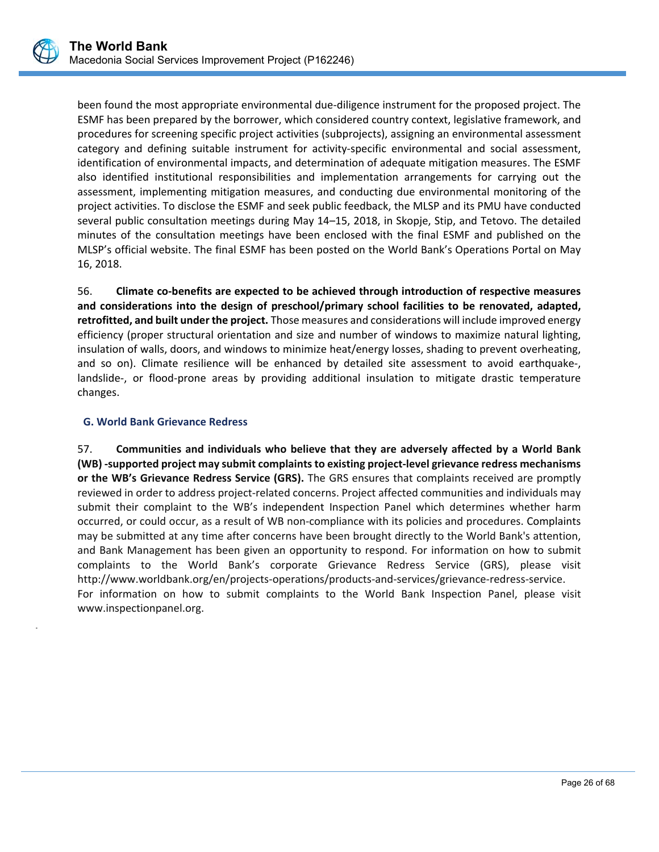.

been found the most appropriate environmental due‐diligence instrument for the proposed project. The ESMF has been prepared by the borrower, which considered country context, legislative framework, and procedures for screening specific project activities (subprojects), assigning an environmental assessment category and defining suitable instrument for activity‐specific environmental and social assessment, identification of environmental impacts, and determination of adequate mitigation measures. The ESMF also identified institutional responsibilities and implementation arrangements for carrying out the assessment, implementing mitigation measures, and conducting due environmental monitoring of the project activities. To disclose the ESMF and seek public feedback, the MLSP and its PMU have conducted several public consultation meetings during May 14–15, 2018, in Skopje, Stip, and Tetovo. The detailed minutes of the consultation meetings have been enclosed with the final ESMF and published on the MLSP's official website. The final ESMF has been posted on the World Bank's Operations Portal on May 16, 2018.

56. **Climate co‐benefits are expected to be achieved through introduction of respective measures and considerations into the design of preschool/primary school facilities to be renovated, adapted, retrofitted, and built under the project.** Those measures and considerations will include improved energy efficiency (proper structural orientation and size and number of windows to maximize natural lighting, insulation of walls, doors, and windows to minimize heat/energy losses, shading to prevent overheating, and so on). Climate resilience will be enhanced by detailed site assessment to avoid earthquake-, landslide-, or flood-prone areas by providing additional insulation to mitigate drastic temperature changes.

## **G. World Bank Grievance Redress**

57. **Communities and individuals who believe that they are adversely affected by a World Bank (WB) ‐supported project may submit complaints to existing project‐level grievance redress mechanisms or the WB's Grievance Redress Service (GRS).** The GRS ensures that complaints received are promptly reviewed in order to address project‐related concerns. Project affected communities and individuals may submit their complaint to the WB's independent Inspection Panel which determines whether harm occurred, or could occur, as a result of WB non‐compliance with its policies and procedures. Complaints may be submitted at any time after concerns have been brought directly to the World Bank's attention, and Bank Management has been given an opportunity to respond. For information on how to submit complaints to the World Bank's corporate Grievance Redress Service (GRS), please visit http://www.worldbank.org/en/projects‐operations/products‐and‐services/grievance‐redress‐service. For information on how to submit complaints to the World Bank Inspection Panel, please visit www.inspectionpanel.org.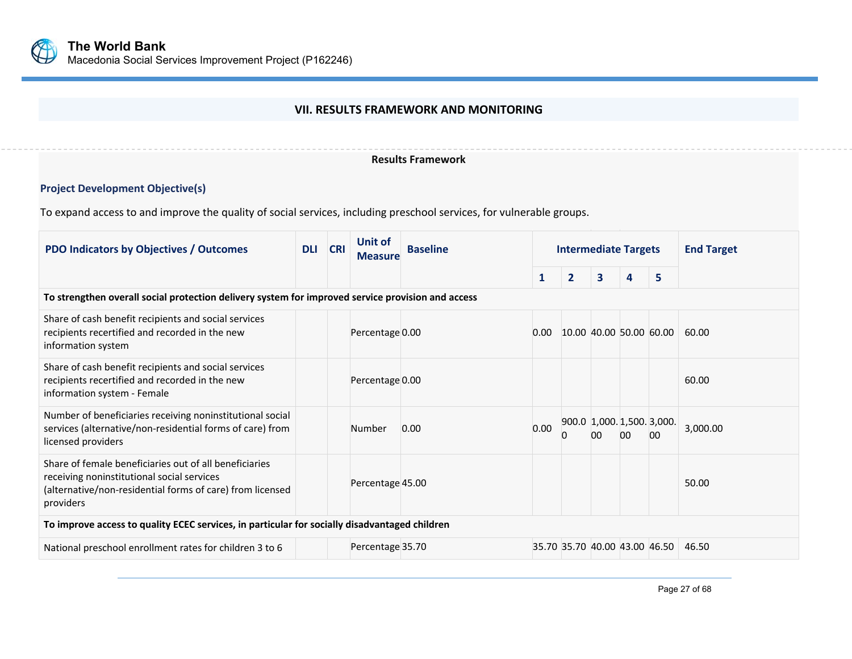

## **VII. RESULTS FRAMEWORK AND MONITORING**

#### **Results Framework**

# **Project Development Objective(s)**

To expand access to and improve the quality of social services, including preschool services, for vulnerable groups.

| <b>PDO Indicators by Objectives / Outcomes</b>                                                                                                                                 | Unit of<br><b>CRI</b><br><b>DLI</b><br><b>Baseline</b><br><b>Measure</b> |  |                  |      | <b>Intermediate Targets</b> |                | <b>End Target</b> |    |                                  |          |
|--------------------------------------------------------------------------------------------------------------------------------------------------------------------------------|--------------------------------------------------------------------------|--|------------------|------|-----------------------------|----------------|-------------------|----|----------------------------------|----------|
|                                                                                                                                                                                |                                                                          |  |                  |      | $\mathbf{1}$                | $\overline{2}$ | 3                 | 4  | 5                                |          |
| To strengthen overall social protection delivery system for improved service provision and access                                                                              |                                                                          |  |                  |      |                             |                |                   |    |                                  |          |
| Share of cash benefit recipients and social services<br>recipients recertified and recorded in the new<br>information system                                                   |                                                                          |  | Percentage 0.00  |      | 0.00                        |                |                   |    | 10.00 40.00 50.00 60.00          | 60.00    |
| Share of cash benefit recipients and social services<br>recipients recertified and recorded in the new<br>information system - Female                                          |                                                                          |  | Percentage 0.00  |      |                             |                |                   |    |                                  | 60.00    |
| Number of beneficiaries receiving noninstitutional social<br>services (alternative/non-residential forms of care) from<br>licensed providers                                   |                                                                          |  | Number           | 0.00 | 0.00                        | 0              | 00                | 00 | 900.0 1,000. 1,500. 3,000.<br>00 | 3,000.00 |
| Share of female beneficiaries out of all beneficiaries<br>receiving noninstitutional social services<br>(alternative/non-residential forms of care) from licensed<br>providers |                                                                          |  | Percentage 45.00 |      |                             |                |                   |    |                                  | 50.00    |
| To improve access to quality ECEC services, in particular for socially disadvantaged children                                                                                  |                                                                          |  |                  |      |                             |                |                   |    |                                  |          |
| National preschool enrollment rates for children 3 to 6                                                                                                                        |                                                                          |  | Percentage 35.70 |      |                             |                |                   |    | 35.70 35.70 40.00 43.00 46.50    | 46.50    |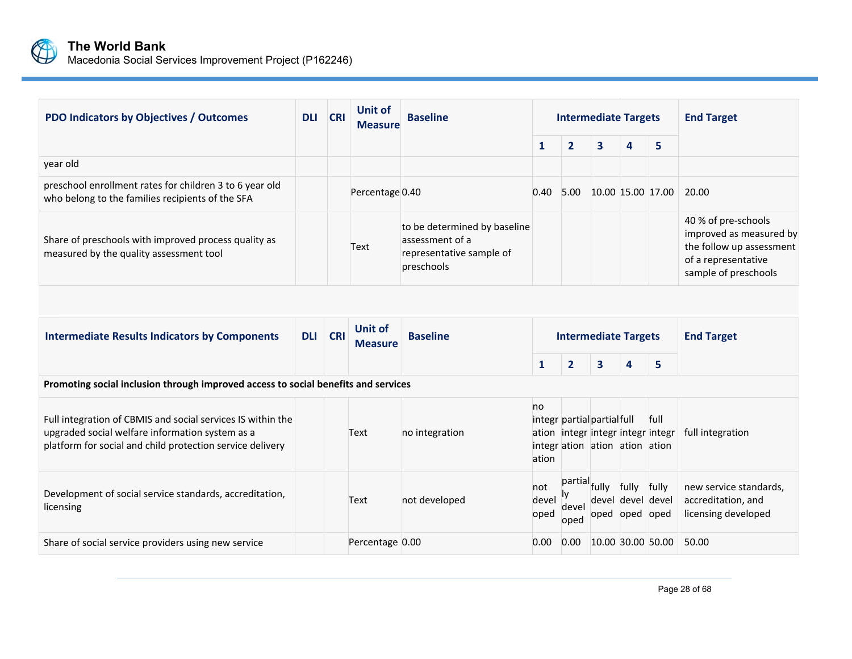

**The World Bank** Macedonia Social Services Improvement Project (P162246)

| <b>PDO Indicators by Objectives / Outcomes</b>                                                              | <b>DLI</b> | <b>CRI</b> | Unit of<br><b>Measure</b> | <b>Baseline</b>                                                                           |      | <b>Intermediate Targets</b> |   |                   |   | <b>End Target</b>                                                                                                         |
|-------------------------------------------------------------------------------------------------------------|------------|------------|---------------------------|-------------------------------------------------------------------------------------------|------|-----------------------------|---|-------------------|---|---------------------------------------------------------------------------------------------------------------------------|
|                                                                                                             |            |            |                           |                                                                                           |      |                             | 3 | 4                 | 5 |                                                                                                                           |
| year old                                                                                                    |            |            |                           |                                                                                           |      |                             |   |                   |   |                                                                                                                           |
| preschool enrollment rates for children 3 to 6 year old<br>who belong to the families recipients of the SFA |            |            | Percentage 0.40           |                                                                                           | 0.40 | 5.00                        |   | 10.00 15.00 17.00 |   | 20.00                                                                                                                     |
| Share of preschools with improved process quality as<br>measured by the quality assessment tool             |            |            | Text                      | to be determined by baseline<br>assessment of a<br>representative sample of<br>preschools |      |                             |   |                   |   | 40 % of pre-schools<br>improved as measured by<br>the follow up assessment<br>of a representative<br>sample of preschools |

| <b>Intermediate Results Indicators by Components</b>                                                                                                                        | <b>DLI</b> | <b>CRI</b> | Unit of<br><b>Measure</b> | <b>Baseline</b> |                      | <b>Intermediate Targets</b> |                                                               |                                              |                                           | <b>End Target</b>                                                   |
|-----------------------------------------------------------------------------------------------------------------------------------------------------------------------------|------------|------------|---------------------------|-----------------|----------------------|-----------------------------|---------------------------------------------------------------|----------------------------------------------|-------------------------------------------|---------------------------------------------------------------------|
|                                                                                                                                                                             |            |            |                           |                 |                      | $\overline{2}$              | 3                                                             | 4                                            | 5                                         |                                                                     |
| Promoting social inclusion through improved access to social benefits and services                                                                                          |            |            |                           |                 |                      |                             |                                                               |                                              |                                           |                                                                     |
| Full integration of CBMIS and social services IS within the<br>upgraded social welfare information system as a<br>platform for social and child protection service delivery |            |            | Text                      | no integration  | no<br>ation          |                             | integr partial partial full<br>integr ation ation ation ation |                                              | full<br>ation integr integr integr integr | full integration                                                    |
| Development of social service standards, accreditation,<br>licensing                                                                                                        |            |            | Text                      | not developed   | not<br>devel<br>oped | partial<br>devel<br>oped    | fully                                                         | fully<br>devel devel devel<br>oped oped oped | fully                                     | new service standards,<br>accreditation, and<br>licensing developed |
| Share of social service providers using new service                                                                                                                         |            |            | Percentage 0.00           |                 | 0.00                 | 0.00                        |                                                               |                                              | 10.00 30.00 50.00                         | 50.00                                                               |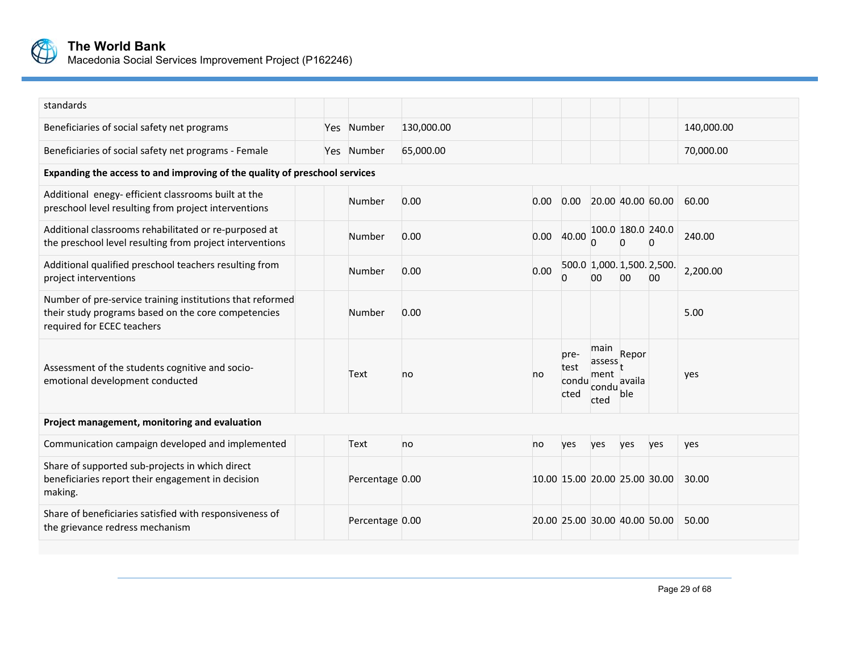

**The World Bank** Macedonia Social Services Improvement Project (P162246)

| standards                                                                                                                                      |  |                 |            |      |                               |                                         |                         |                                  |            |
|------------------------------------------------------------------------------------------------------------------------------------------------|--|-----------------|------------|------|-------------------------------|-----------------------------------------|-------------------------|----------------------------------|------------|
| Beneficiaries of social safety net programs                                                                                                    |  | Yes Number      | 130,000.00 |      |                               |                                         |                         |                                  | 140,000.00 |
| Beneficiaries of social safety net programs - Female                                                                                           |  | Yes Number      | 65,000.00  |      |                               |                                         |                         |                                  | 70,000.00  |
| Expanding the access to and improving of the quality of preschool services                                                                     |  |                 |            |      |                               |                                         |                         |                                  |            |
| Additional enegy- efficient classrooms built at the<br>preschool level resulting from project interventions                                    |  | Number          | 0.00       | 0.00 | 0.00                          |                                         | 20.00 40.00 60.00       |                                  | 60.00      |
| Additional classrooms rehabilitated or re-purposed at<br>the preschool level resulting from project interventions                              |  | Number          | 0.00       | 0.00 | 40.00                         |                                         | 100.0 180.0 240.0       | $\Omega$                         | 240.00     |
| Additional qualified preschool teachers resulting from<br>project interventions                                                                |  | Number          | 0.00       | 0.00 | <sup>0</sup>                  | 00 <sup>1</sup>                         | 00                      | 500.0 1,000. 1,500. 2,500.<br>00 | 2,200.00   |
| Number of pre-service training institutions that reformed<br>their study programs based on the core competencies<br>required for ECEC teachers |  | Number          | 0.00       |      |                               |                                         |                         |                                  | 5.00       |
| Assessment of the students cognitive and socio-<br>emotional development conducted                                                             |  | Text            | no         | no   | pre-<br>test<br>condu<br>cted | main<br>assess<br>ment<br>condu<br>cted | Repor<br>availa<br>ble: |                                  | yes        |
| Project management, monitoring and evaluation                                                                                                  |  |                 |            |      |                               |                                         |                         |                                  |            |
| Communication campaign developed and implemented                                                                                               |  | Text            | no         | no   | yes                           | yes                                     | yes                     | yes                              | yes        |
| Share of supported sub-projects in which direct<br>beneficiaries report their engagement in decision<br>making.                                |  | Percentage 0.00 |            |      | 10.00 15.00 20.00 25.00 30.00 |                                         |                         |                                  | 30.00      |
| Share of beneficiaries satisfied with responsiveness of<br>the grievance redress mechanism                                                     |  | Percentage 0.00 |            |      | 20.00 25.00 30.00 40.00 50.00 |                                         |                         |                                  | 50.00      |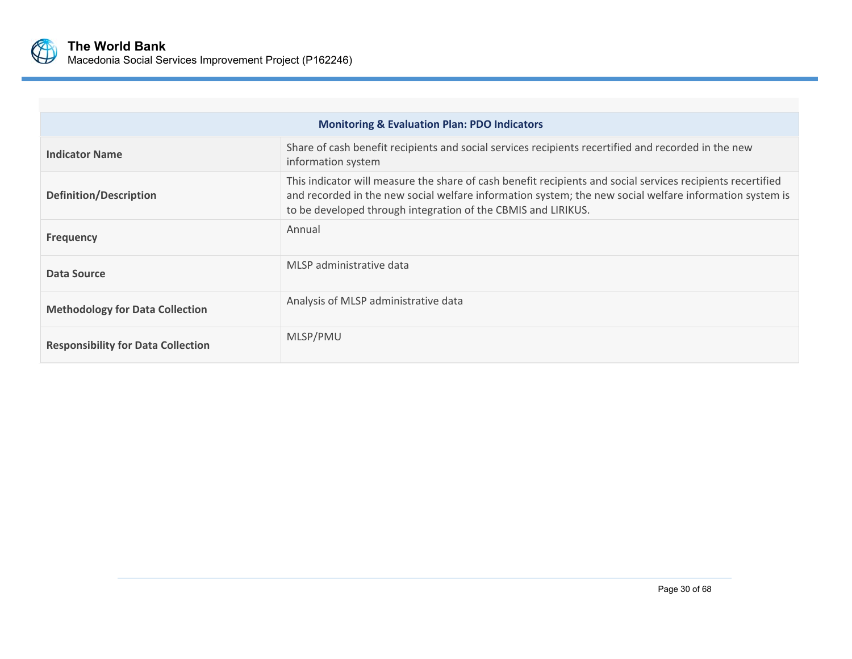

| <b>Monitoring &amp; Evaluation Plan: PDO Indicators</b> |                                                                                                                                                                                                                                                                                         |  |  |  |  |
|---------------------------------------------------------|-----------------------------------------------------------------------------------------------------------------------------------------------------------------------------------------------------------------------------------------------------------------------------------------|--|--|--|--|
| <b>Indicator Name</b>                                   | Share of cash benefit recipients and social services recipients recertified and recorded in the new<br>information system                                                                                                                                                               |  |  |  |  |
| <b>Definition/Description</b>                           | This indicator will measure the share of cash benefit recipients and social services recipients recertified<br>and recorded in the new social welfare information system; the new social welfare information system is<br>to be developed through integration of the CBMIS and LIRIKUS. |  |  |  |  |
| <b>Frequency</b>                                        | Annual                                                                                                                                                                                                                                                                                  |  |  |  |  |
| Data Source                                             | MLSP administrative data                                                                                                                                                                                                                                                                |  |  |  |  |
| <b>Methodology for Data Collection</b>                  | Analysis of MLSP administrative data                                                                                                                                                                                                                                                    |  |  |  |  |
| <b>Responsibility for Data Collection</b>               | MLSP/PMU                                                                                                                                                                                                                                                                                |  |  |  |  |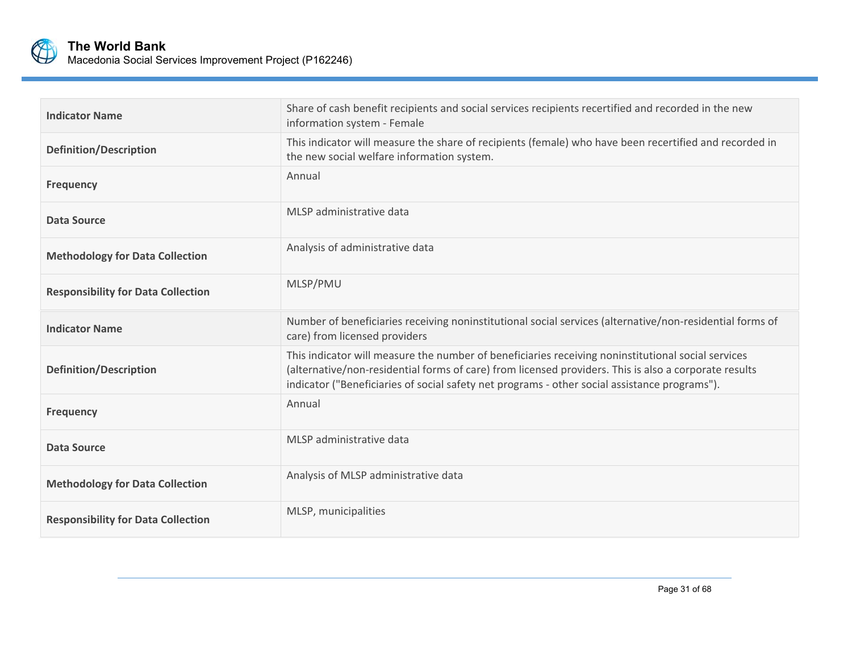

| <b>Indicator Name</b>                     | Share of cash benefit recipients and social services recipients recertified and recorded in the new<br>information system - Female                                                                                                                                                                           |
|-------------------------------------------|--------------------------------------------------------------------------------------------------------------------------------------------------------------------------------------------------------------------------------------------------------------------------------------------------------------|
| <b>Definition/Description</b>             | This indicator will measure the share of recipients (female) who have been recertified and recorded in<br>the new social welfare information system.                                                                                                                                                         |
| <b>Frequency</b>                          | Annual                                                                                                                                                                                                                                                                                                       |
| Data Source                               | MLSP administrative data                                                                                                                                                                                                                                                                                     |
| <b>Methodology for Data Collection</b>    | Analysis of administrative data                                                                                                                                                                                                                                                                              |
| <b>Responsibility for Data Collection</b> | MLSP/PMU                                                                                                                                                                                                                                                                                                     |
| <b>Indicator Name</b>                     | Number of beneficiaries receiving noninstitutional social services (alternative/non-residential forms of<br>care) from licensed providers                                                                                                                                                                    |
| <b>Definition/Description</b>             | This indicator will measure the number of beneficiaries receiving noninstitutional social services<br>(alternative/non-residential forms of care) from licensed providers. This is also a corporate results<br>indicator ("Beneficiaries of social safety net programs - other social assistance programs"). |
| <b>Frequency</b>                          | Annual                                                                                                                                                                                                                                                                                                       |
| Data Source                               | MLSP administrative data                                                                                                                                                                                                                                                                                     |
| <b>Methodology for Data Collection</b>    | Analysis of MLSP administrative data                                                                                                                                                                                                                                                                         |
| <b>Responsibility for Data Collection</b> | MLSP, municipalities                                                                                                                                                                                                                                                                                         |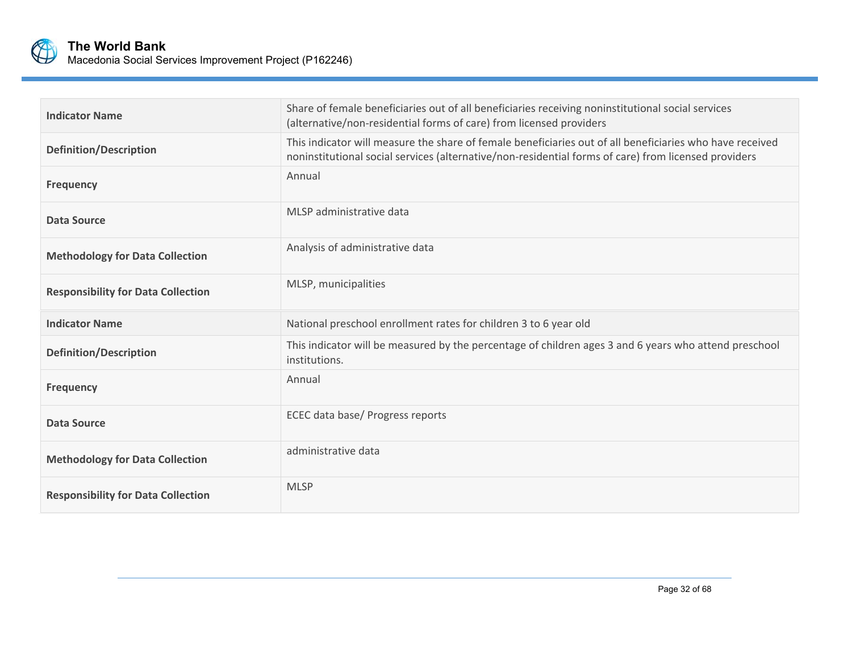

| <b>Indicator Name</b>                     | Share of female beneficiaries out of all beneficiaries receiving noninstitutional social services<br>(alternative/non-residential forms of care) from licensed providers                                         |
|-------------------------------------------|------------------------------------------------------------------------------------------------------------------------------------------------------------------------------------------------------------------|
| <b>Definition/Description</b>             | This indicator will measure the share of female beneficiaries out of all beneficiaries who have received<br>noninstitutional social services (alternative/non-residential forms of care) from licensed providers |
| <b>Frequency</b>                          | Annual                                                                                                                                                                                                           |
| Data Source                               | MLSP administrative data                                                                                                                                                                                         |
| <b>Methodology for Data Collection</b>    | Analysis of administrative data                                                                                                                                                                                  |
| <b>Responsibility for Data Collection</b> | MLSP, municipalities                                                                                                                                                                                             |
| <b>Indicator Name</b>                     | National preschool enrollment rates for children 3 to 6 year old                                                                                                                                                 |
| <b>Definition/Description</b>             | This indicator will be measured by the percentage of children ages 3 and 6 years who attend preschool<br>institutions.                                                                                           |
| <b>Frequency</b>                          | Annual                                                                                                                                                                                                           |
| Data Source                               | ECEC data base/ Progress reports                                                                                                                                                                                 |
| <b>Methodology for Data Collection</b>    | administrative data                                                                                                                                                                                              |
| <b>Responsibility for Data Collection</b> | <b>MLSP</b>                                                                                                                                                                                                      |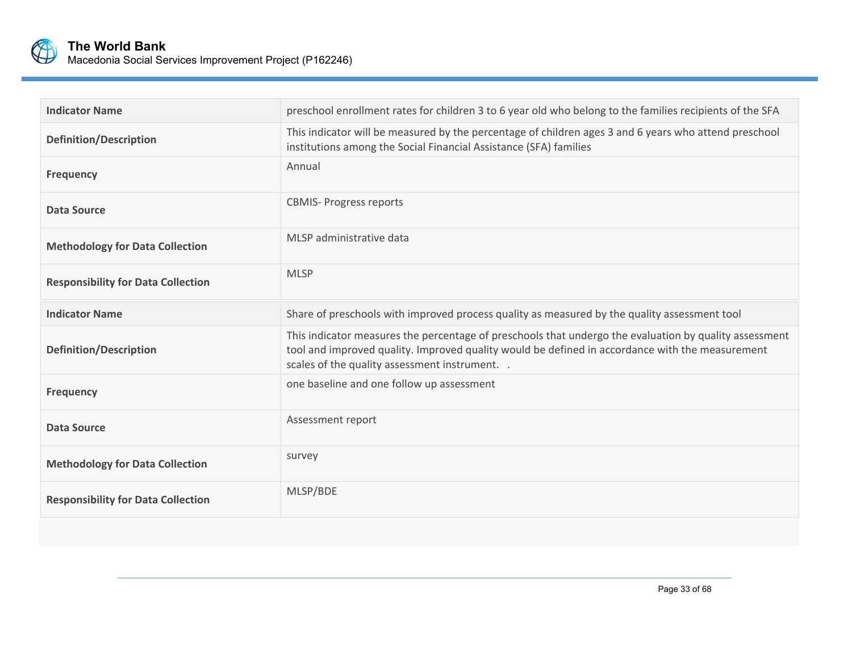

| <b>Indicator Name</b>                     | preschool enrollment rates for children 3 to 6 year old who belong to the families recipients of the SFA                                                                                                                                                    |
|-------------------------------------------|-------------------------------------------------------------------------------------------------------------------------------------------------------------------------------------------------------------------------------------------------------------|
| <b>Definition/Description</b>             | This indicator will be measured by the percentage of children ages 3 and 6 years who attend preschool<br>institutions among the Social Financial Assistance (SFA) families                                                                                  |
| <b>Frequency</b>                          | Annual                                                                                                                                                                                                                                                      |
| Data Source                               | <b>CBMIS- Progress reports</b>                                                                                                                                                                                                                              |
| <b>Methodology for Data Collection</b>    | MLSP administrative data                                                                                                                                                                                                                                    |
| <b>Responsibility for Data Collection</b> | <b>MLSP</b>                                                                                                                                                                                                                                                 |
| <b>Indicator Name</b>                     | Share of preschools with improved process quality as measured by the quality assessment tool                                                                                                                                                                |
| <b>Definition/Description</b>             | This indicator measures the percentage of preschools that undergo the evaluation by quality assessment<br>tool and improved quality. Improved quality would be defined in accordance with the measurement<br>scales of the quality assessment instrument. . |
| <b>Frequency</b>                          | one baseline and one follow up assessment                                                                                                                                                                                                                   |
| Data Source                               | Assessment report                                                                                                                                                                                                                                           |
| <b>Methodology for Data Collection</b>    | survey                                                                                                                                                                                                                                                      |
| <b>Responsibility for Data Collection</b> | MLSP/BDE                                                                                                                                                                                                                                                    |
|                                           |                                                                                                                                                                                                                                                             |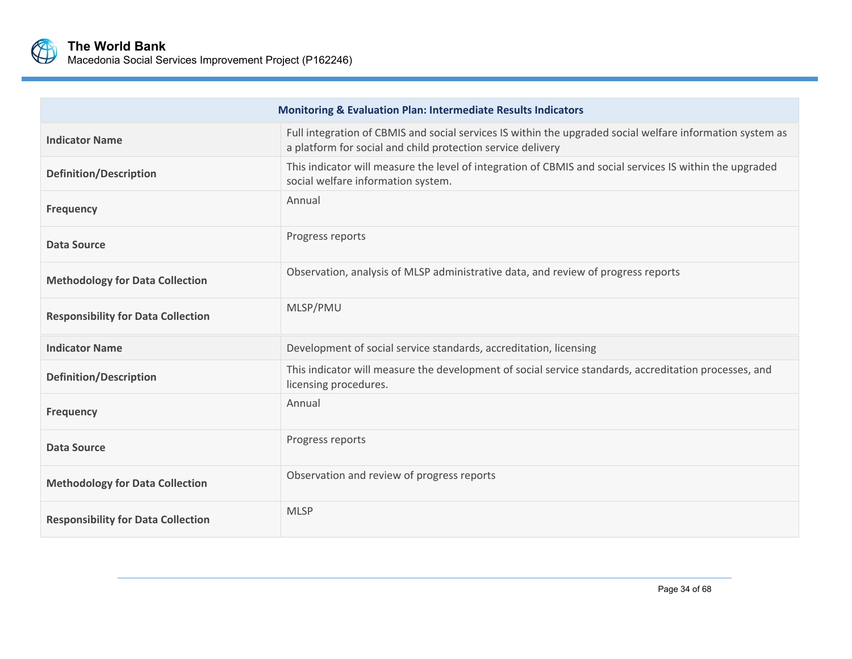

| <b>Monitoring &amp; Evaluation Plan: Intermediate Results Indicators</b> |                                                                                                                                                                          |  |  |  |
|--------------------------------------------------------------------------|--------------------------------------------------------------------------------------------------------------------------------------------------------------------------|--|--|--|
| <b>Indicator Name</b>                                                    | Full integration of CBMIS and social services IS within the upgraded social welfare information system as<br>a platform for social and child protection service delivery |  |  |  |
| <b>Definition/Description</b>                                            | This indicator will measure the level of integration of CBMIS and social services IS within the upgraded<br>social welfare information system.                           |  |  |  |
| <b>Frequency</b>                                                         | Annual                                                                                                                                                                   |  |  |  |
| Data Source                                                              | Progress reports                                                                                                                                                         |  |  |  |
| <b>Methodology for Data Collection</b>                                   | Observation, analysis of MLSP administrative data, and review of progress reports                                                                                        |  |  |  |
| <b>Responsibility for Data Collection</b>                                | MLSP/PMU                                                                                                                                                                 |  |  |  |
| <b>Indicator Name</b>                                                    | Development of social service standards, accreditation, licensing                                                                                                        |  |  |  |
| <b>Definition/Description</b>                                            | This indicator will measure the development of social service standards, accreditation processes, and<br>licensing procedures.                                           |  |  |  |
| <b>Frequency</b>                                                         | Annual                                                                                                                                                                   |  |  |  |
| Data Source                                                              | Progress reports                                                                                                                                                         |  |  |  |
| <b>Methodology for Data Collection</b>                                   | Observation and review of progress reports                                                                                                                               |  |  |  |
| <b>Responsibility for Data Collection</b>                                | <b>MLSP</b>                                                                                                                                                              |  |  |  |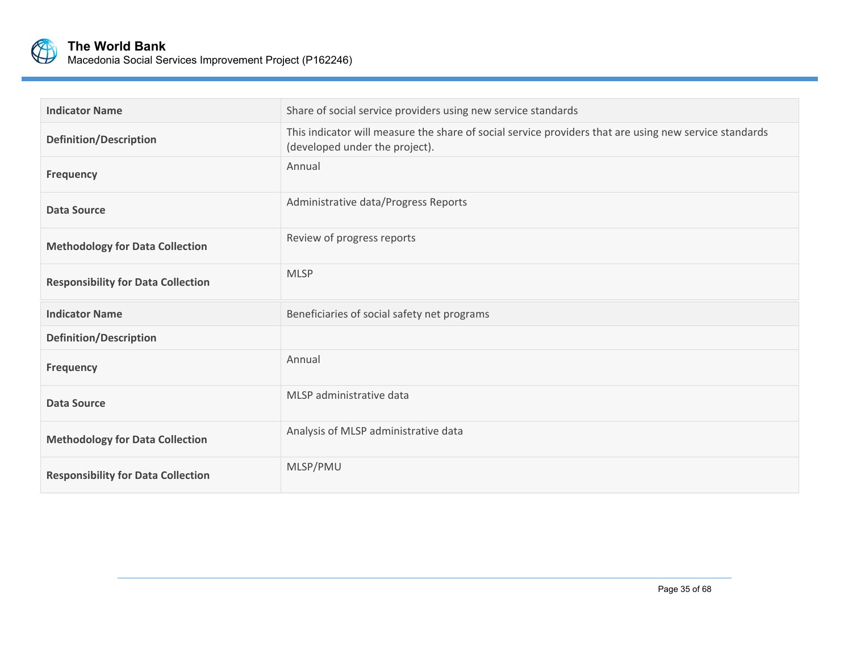

| <b>Indicator Name</b>                     | Share of social service providers using new service standards                                                                            |
|-------------------------------------------|------------------------------------------------------------------------------------------------------------------------------------------|
| <b>Definition/Description</b>             | This indicator will measure the share of social service providers that are using new service standards<br>(developed under the project). |
| <b>Frequency</b>                          | Annual                                                                                                                                   |
| <b>Data Source</b>                        | Administrative data/Progress Reports                                                                                                     |
| <b>Methodology for Data Collection</b>    | Review of progress reports                                                                                                               |
| <b>Responsibility for Data Collection</b> | <b>MLSP</b>                                                                                                                              |
| <b>Indicator Name</b>                     | Beneficiaries of social safety net programs                                                                                              |
| <b>Definition/Description</b>             |                                                                                                                                          |
| <b>Frequency</b>                          | Annual                                                                                                                                   |
| <b>Data Source</b>                        | MLSP administrative data                                                                                                                 |
| <b>Methodology for Data Collection</b>    | Analysis of MLSP administrative data                                                                                                     |
| <b>Responsibility for Data Collection</b> | MLSP/PMU                                                                                                                                 |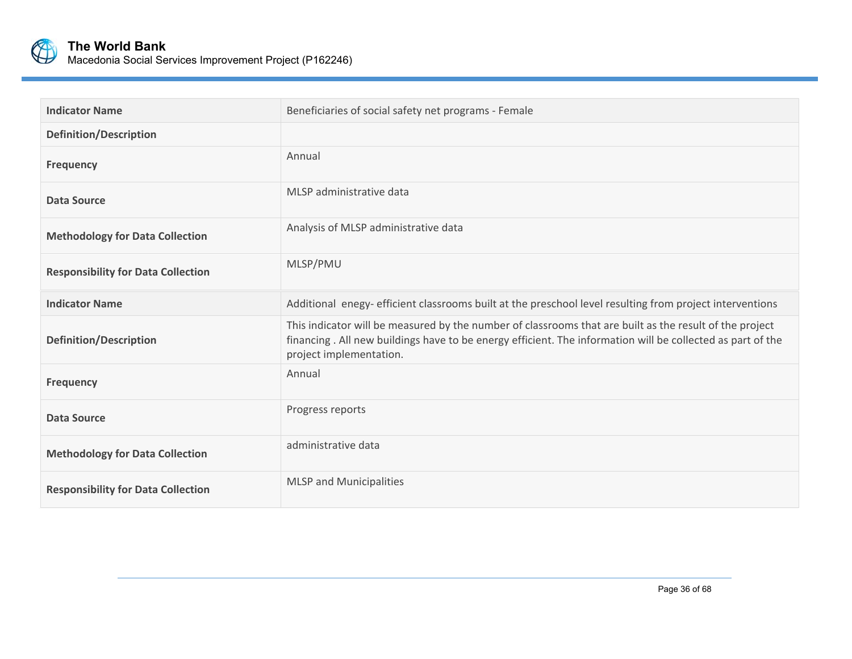

| <b>Indicator Name</b>                     | Beneficiaries of social safety net programs - Female                                                                                                                                                                                             |
|-------------------------------------------|--------------------------------------------------------------------------------------------------------------------------------------------------------------------------------------------------------------------------------------------------|
| <b>Definition/Description</b>             |                                                                                                                                                                                                                                                  |
| <b>Frequency</b>                          | Annual                                                                                                                                                                                                                                           |
| Data Source                               | MLSP administrative data                                                                                                                                                                                                                         |
| <b>Methodology for Data Collection</b>    | Analysis of MLSP administrative data                                                                                                                                                                                                             |
| <b>Responsibility for Data Collection</b> | MLSP/PMU                                                                                                                                                                                                                                         |
| <b>Indicator Name</b>                     | Additional enegy- efficient classrooms built at the preschool level resulting from project interventions                                                                                                                                         |
| <b>Definition/Description</b>             | This indicator will be measured by the number of classrooms that are built as the result of the project<br>financing. All new buildings have to be energy efficient. The information will be collected as part of the<br>project implementation. |
| <b>Frequency</b>                          | Annual                                                                                                                                                                                                                                           |
| <b>Data Source</b>                        | Progress reports                                                                                                                                                                                                                                 |
| <b>Methodology for Data Collection</b>    | administrative data                                                                                                                                                                                                                              |
| <b>Responsibility for Data Collection</b> | <b>MLSP</b> and Municipalities                                                                                                                                                                                                                   |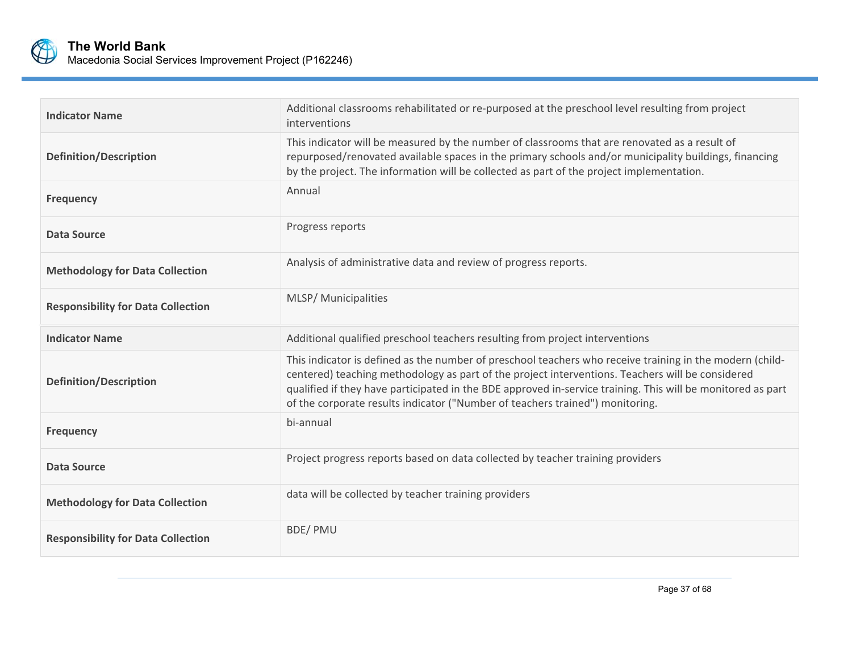

| <b>Indicator Name</b>                     | Additional classrooms rehabilitated or re-purposed at the preschool level resulting from project<br>interventions                                                                                                                                                                                                                                                                                            |
|-------------------------------------------|--------------------------------------------------------------------------------------------------------------------------------------------------------------------------------------------------------------------------------------------------------------------------------------------------------------------------------------------------------------------------------------------------------------|
| <b>Definition/Description</b>             | This indicator will be measured by the number of classrooms that are renovated as a result of<br>repurposed/renovated available spaces in the primary schools and/or municipality buildings, financing<br>by the project. The information will be collected as part of the project implementation.                                                                                                           |
| <b>Frequency</b>                          | Annual                                                                                                                                                                                                                                                                                                                                                                                                       |
| <b>Data Source</b>                        | Progress reports                                                                                                                                                                                                                                                                                                                                                                                             |
| <b>Methodology for Data Collection</b>    | Analysis of administrative data and review of progress reports.                                                                                                                                                                                                                                                                                                                                              |
| <b>Responsibility for Data Collection</b> | MLSP/ Municipalities                                                                                                                                                                                                                                                                                                                                                                                         |
| <b>Indicator Name</b>                     | Additional qualified preschool teachers resulting from project interventions                                                                                                                                                                                                                                                                                                                                 |
| <b>Definition/Description</b>             | This indicator is defined as the number of preschool teachers who receive training in the modern (child-<br>centered) teaching methodology as part of the project interventions. Teachers will be considered<br>qualified if they have participated in the BDE approved in-service training. This will be monitored as part<br>of the corporate results indicator ("Number of teachers trained") monitoring. |
| <b>Frequency</b>                          | bi-annual                                                                                                                                                                                                                                                                                                                                                                                                    |
| <b>Data Source</b>                        | Project progress reports based on data collected by teacher training providers                                                                                                                                                                                                                                                                                                                               |
| <b>Methodology for Data Collection</b>    | data will be collected by teacher training providers                                                                                                                                                                                                                                                                                                                                                         |
| <b>Responsibility for Data Collection</b> | <b>BDE/PMU</b>                                                                                                                                                                                                                                                                                                                                                                                               |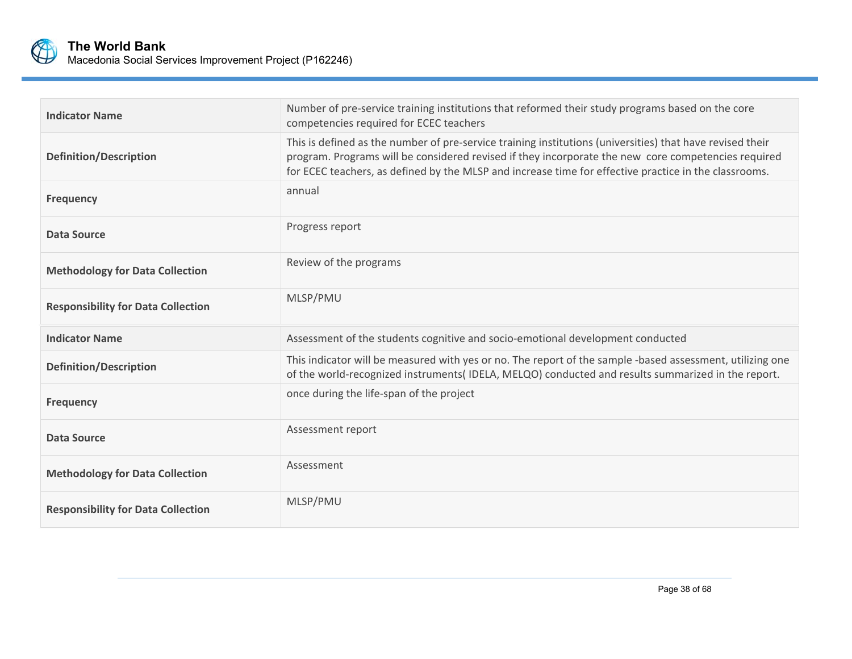

| <b>Indicator Name</b>                     | Number of pre-service training institutions that reformed their study programs based on the core<br>competencies required for ECEC teachers                                                                                                                                                                               |
|-------------------------------------------|---------------------------------------------------------------------------------------------------------------------------------------------------------------------------------------------------------------------------------------------------------------------------------------------------------------------------|
| <b>Definition/Description</b>             | This is defined as the number of pre-service training institutions (universities) that have revised their<br>program. Programs will be considered revised if they incorporate the new core competencies required<br>for ECEC teachers, as defined by the MLSP and increase time for effective practice in the classrooms. |
| <b>Frequency</b>                          | annual                                                                                                                                                                                                                                                                                                                    |
| <b>Data Source</b>                        | Progress report                                                                                                                                                                                                                                                                                                           |
| <b>Methodology for Data Collection</b>    | Review of the programs                                                                                                                                                                                                                                                                                                    |
| <b>Responsibility for Data Collection</b> | MLSP/PMU                                                                                                                                                                                                                                                                                                                  |
| <b>Indicator Name</b>                     | Assessment of the students cognitive and socio-emotional development conducted                                                                                                                                                                                                                                            |
| <b>Definition/Description</b>             | This indicator will be measured with yes or no. The report of the sample -based assessment, utilizing one<br>of the world-recognized instruments(IDELA, MELQO) conducted and results summarized in the report.                                                                                                            |
| <b>Frequency</b>                          | once during the life-span of the project                                                                                                                                                                                                                                                                                  |
| <b>Data Source</b>                        | Assessment report                                                                                                                                                                                                                                                                                                         |
| <b>Methodology for Data Collection</b>    | Assessment                                                                                                                                                                                                                                                                                                                |
| <b>Responsibility for Data Collection</b> | MLSP/PMU                                                                                                                                                                                                                                                                                                                  |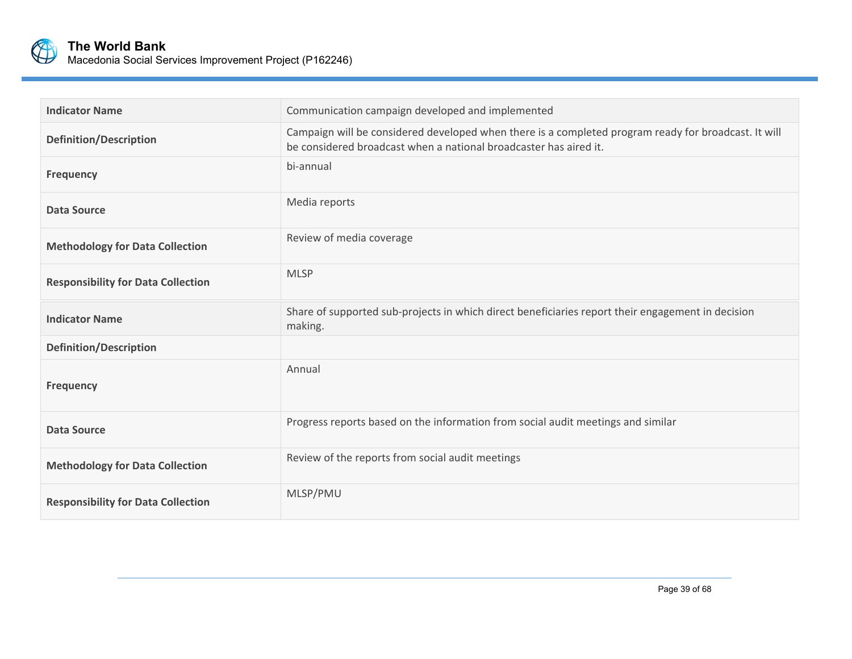

| <b>Indicator Name</b>                     | Communication campaign developed and implemented                                                                                                                          |
|-------------------------------------------|---------------------------------------------------------------------------------------------------------------------------------------------------------------------------|
| <b>Definition/Description</b>             | Campaign will be considered developed when there is a completed program ready for broadcast. It will<br>be considered broadcast when a national broadcaster has aired it. |
| <b>Frequency</b>                          | bi-annual                                                                                                                                                                 |
| <b>Data Source</b>                        | Media reports                                                                                                                                                             |
| <b>Methodology for Data Collection</b>    | Review of media coverage                                                                                                                                                  |
| <b>Responsibility for Data Collection</b> | <b>MLSP</b>                                                                                                                                                               |
| <b>Indicator Name</b>                     | Share of supported sub-projects in which direct beneficiaries report their engagement in decision<br>making.                                                              |
| <b>Definition/Description</b>             |                                                                                                                                                                           |
| <b>Frequency</b>                          | Annual                                                                                                                                                                    |
| <b>Data Source</b>                        | Progress reports based on the information from social audit meetings and similar                                                                                          |
| <b>Methodology for Data Collection</b>    | Review of the reports from social audit meetings                                                                                                                          |
| <b>Responsibility for Data Collection</b> | MLSP/PMU                                                                                                                                                                  |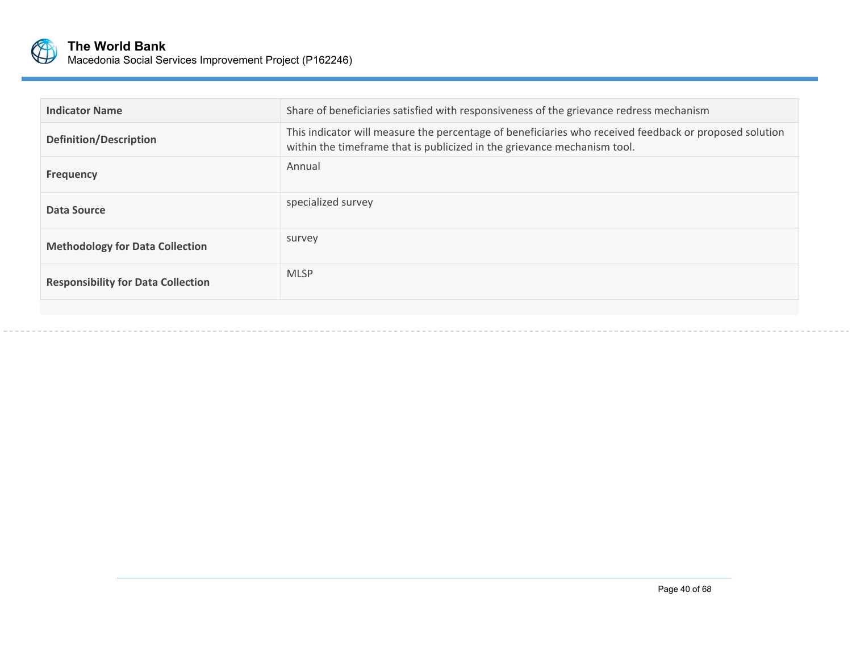

| <b>Indicator Name</b>                     | Share of beneficiaries satisfied with responsiveness of the grievance redress mechanism                                                                                            |
|-------------------------------------------|------------------------------------------------------------------------------------------------------------------------------------------------------------------------------------|
| <b>Definition/Description</b>             | This indicator will measure the percentage of beneficiaries who received feedback or proposed solution<br>within the timeframe that is publicized in the grievance mechanism tool. |
| <b>Frequency</b>                          | Annual                                                                                                                                                                             |
| Data Source                               | specialized survey                                                                                                                                                                 |
| <b>Methodology for Data Collection</b>    | survey                                                                                                                                                                             |
| <b>Responsibility for Data Collection</b> | <b>MLSP</b>                                                                                                                                                                        |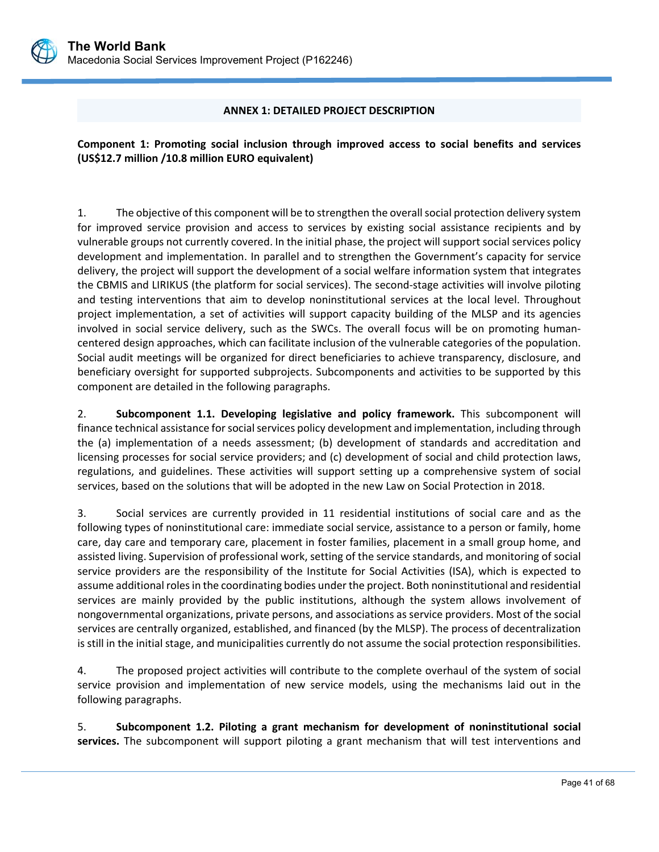

#### **ANNEX 1: DETAILED PROJECT DESCRIPTION**

**Component 1: Promoting social inclusion through improved access to social benefits and services (US\$12.7 million /10.8 million EURO equivalent)**

1. The objective of this component will be to strengthen the overall social protection delivery system for improved service provision and access to services by existing social assistance recipients and by vulnerable groups not currently covered. In the initial phase, the project will support social services policy development and implementation. In parallel and to strengthen the Government's capacity for service delivery, the project will support the development of a social welfare information system that integrates the CBMIS and LIRIKUS (the platform for social services). The second‐stage activities will involve piloting and testing interventions that aim to develop noninstitutional services at the local level. Throughout project implementation, a set of activities will support capacity building of the MLSP and its agencies involved in social service delivery, such as the SWCs. The overall focus will be on promoting humancentered design approaches, which can facilitate inclusion of the vulnerable categories of the population. Social audit meetings will be organized for direct beneficiaries to achieve transparency, disclosure, and beneficiary oversight for supported subprojects. Subcomponents and activities to be supported by this component are detailed in the following paragraphs.

2. **Subcomponent 1.1. Developing legislative and policy framework.** This subcomponent will finance technical assistance for social services policy development and implementation, including through the (a) implementation of a needs assessment; (b) development of standards and accreditation and licensing processes for social service providers; and (c) development of social and child protection laws, regulations, and guidelines. These activities will support setting up a comprehensive system of social services, based on the solutions that will be adopted in the new Law on Social Protection in 2018.

3. Social services are currently provided in 11 residential institutions of social care and as the following types of noninstitutional care: immediate social service, assistance to a person or family, home care, day care and temporary care, placement in foster families, placement in a small group home, and assisted living. Supervision of professional work, setting of the service standards, and monitoring of social service providers are the responsibility of the Institute for Social Activities (ISA), which is expected to assume additional roles in the coordinating bodies under the project. Both noninstitutional and residential services are mainly provided by the public institutions, although the system allows involvement of nongovernmental organizations, private persons, and associations as service providers. Most of the social services are centrally organized, established, and financed (by the MLSP). The process of decentralization is still in the initial stage, and municipalities currently do not assume the social protection responsibilities.

4. The proposed project activities will contribute to the complete overhaul of the system of social service provision and implementation of new service models, using the mechanisms laid out in the following paragraphs.

5. **Subcomponent 1.2. Piloting a grant mechanism for development of noninstitutional social**  services. The subcomponent will support piloting a grant mechanism that will test interventions and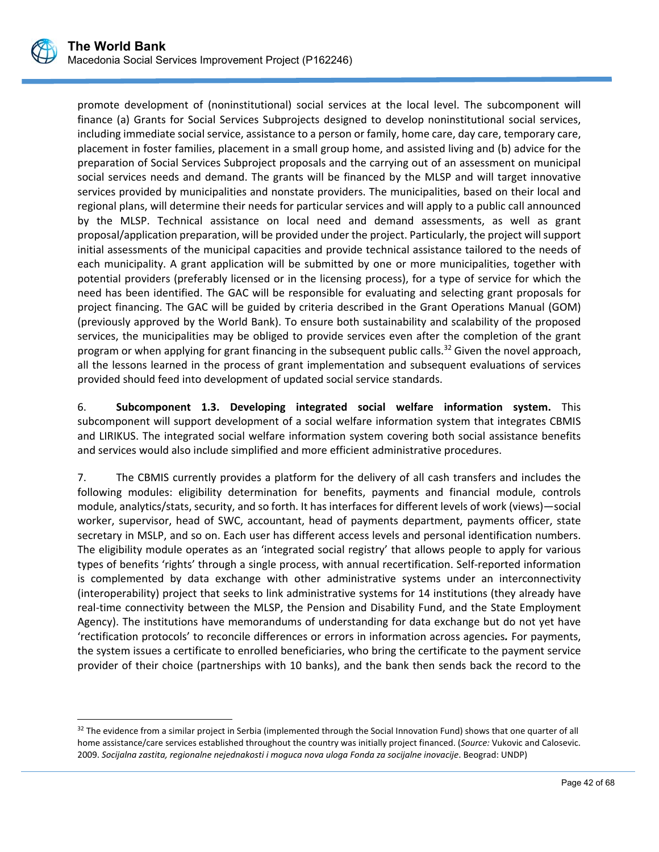

 $\overline{a}$ 

promote development of (noninstitutional) social services at the local level. The subcomponent will finance (a) Grants for Social Services Subprojects designed to develop noninstitutional social services, including immediate social service, assistance to a person or family, home care, day care, temporary care, placement in foster families, placement in a small group home, and assisted living and (b) advice for the preparation of Social Services Subproject proposals and the carrying out of an assessment on municipal social services needs and demand. The grants will be financed by the MLSP and will target innovative services provided by municipalities and nonstate providers. The municipalities, based on their local and regional plans, will determine their needs for particular services and will apply to a public call announced by the MLSP. Technical assistance on local need and demand assessments, as well as grant proposal/application preparation, will be provided under the project. Particularly, the project will support initial assessments of the municipal capacities and provide technical assistance tailored to the needs of each municipality. A grant application will be submitted by one or more municipalities, together with potential providers (preferably licensed or in the licensing process), for a type of service for which the need has been identified. The GAC will be responsible for evaluating and selecting grant proposals for project financing. The GAC will be guided by criteria described in the Grant Operations Manual (GOM) (previously approved by the World Bank). To ensure both sustainability and scalability of the proposed services, the municipalities may be obliged to provide services even after the completion of the grant program or when applying for grant financing in the subsequent public calls.<sup>32</sup> Given the novel approach, all the lessons learned in the process of grant implementation and subsequent evaluations of services provided should feed into development of updated social service standards.

6. **Subcomponent 1.3. Developing integrated social welfare information system.** This subcomponent will support development of a social welfare information system that integrates CBMIS and LIRIKUS. The integrated social welfare information system covering both social assistance benefits and services would also include simplified and more efficient administrative procedures.

7. The CBMIS currently provides a platform for the delivery of all cash transfers and includes the following modules: eligibility determination for benefits, payments and financial module, controls module, analytics/stats, security, and so forth. It has interfaces for different levels of work (views)—social worker, supervisor, head of SWC, accountant, head of payments department, payments officer, state secretary in MSLP, and so on. Each user has different access levels and personal identification numbers. The eligibility module operates as an 'integrated social registry' that allows people to apply for various types of benefits 'rights' through a single process, with annual recertification. Self‐reported information is complemented by data exchange with other administrative systems under an interconnectivity (interoperability) project that seeks to link administrative systems for 14 institutions (they already have real-time connectivity between the MLSP, the Pension and Disability Fund, and the State Employment Agency). The institutions have memorandums of understanding for data exchange but do not yet have 'rectification protocols' to reconcile differences or errors in information across agencies*.* For payments, the system issues a certificate to enrolled beneficiaries, who bring the certificate to the payment service provider of their choice (partnerships with 10 banks), and the bank then sends back the record to the

<sup>&</sup>lt;sup>32</sup> The evidence from a similar project in Serbia (implemented through the Social Innovation Fund) shows that one quarter of all home assistance/care services established throughout the country was initially project financed. (*Source:* Vukovic and Calosevic. 2009. *Socijalna zastita, regionalne nejednakosti i moguca nova uloga Fonda za socijalne inovacije*. Beograd: UNDP)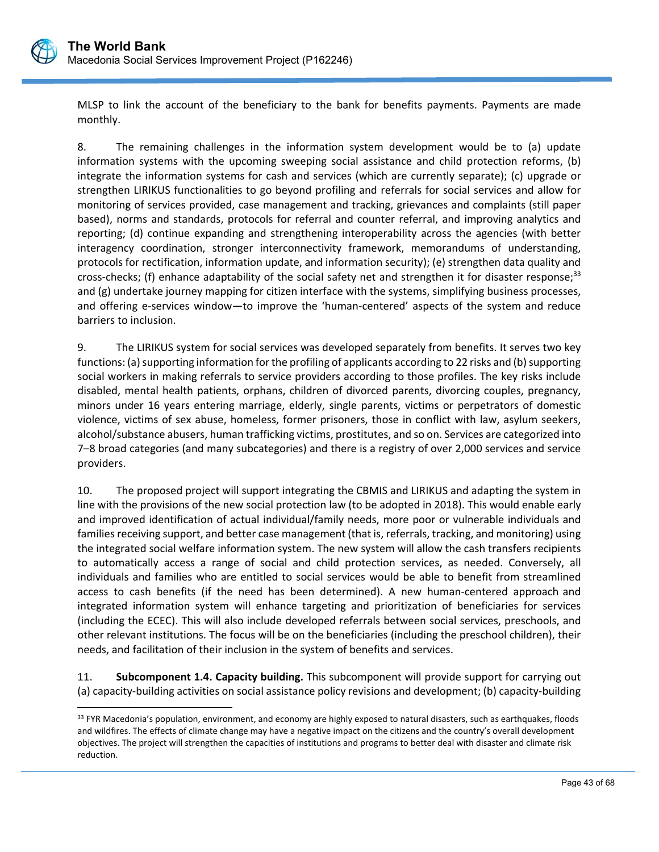

 $\overline{a}$ 

MLSP to link the account of the beneficiary to the bank for benefits payments. Payments are made monthly.

8. The remaining challenges in the information system development would be to (a) update information systems with the upcoming sweeping social assistance and child protection reforms, (b) integrate the information systems for cash and services (which are currently separate); (c) upgrade or strengthen LIRIKUS functionalities to go beyond profiling and referrals for social services and allow for monitoring of services provided, case management and tracking, grievances and complaints (still paper based), norms and standards, protocols for referral and counter referral, and improving analytics and reporting; (d) continue expanding and strengthening interoperability across the agencies (with better interagency coordination, stronger interconnectivity framework, memorandums of understanding, protocols for rectification, information update, and information security); (e) strengthen data quality and cross-checks; (f) enhance adaptability of the social safety net and strengthen it for disaster response;<sup>33</sup> and (g) undertake journey mapping for citizen interface with the systems, simplifying business processes, and offering e-services window—to improve the 'human-centered' aspects of the system and reduce barriers to inclusion.

9. The LIRIKUS system for social services was developed separately from benefits. It serves two key functions: (a) supporting information for the profiling of applicants according to 22 risks and (b) supporting social workers in making referrals to service providers according to those profiles. The key risks include disabled, mental health patients, orphans, children of divorced parents, divorcing couples, pregnancy, minors under 16 years entering marriage, elderly, single parents, victims or perpetrators of domestic violence, victims of sex abuse, homeless, former prisoners, those in conflict with law, asylum seekers, alcohol/substance abusers, human trafficking victims, prostitutes, and so on. Services are categorized into 7–8 broad categories (and many subcategories) and there is a registry of over 2,000 services and service providers.

10. The proposed project will support integrating the CBMIS and LIRIKUS and adapting the system in line with the provisions of the new social protection law (to be adopted in 2018). This would enable early and improved identification of actual individual/family needs, more poor or vulnerable individuals and families receiving support, and better case management (that is, referrals, tracking, and monitoring) using the integrated social welfare information system. The new system will allow the cash transfers recipients to automatically access a range of social and child protection services, as needed. Conversely, all individuals and families who are entitled to social services would be able to benefit from streamlined access to cash benefits (if the need has been determined). A new human-centered approach and integrated information system will enhance targeting and prioritization of beneficiaries for services (including the ECEC). This will also include developed referrals between social services, preschools, and other relevant institutions. The focus will be on the beneficiaries (including the preschool children), their needs, and facilitation of their inclusion in the system of benefits and services.

11. **Subcomponent 1.4. Capacity building.** This subcomponent will provide support for carrying out (a) capacity‐building activities on social assistance policy revisions and development; (b) capacity‐building

<sup>&</sup>lt;sup>33</sup> FYR Macedonia's population, environment, and economy are highly exposed to natural disasters, such as earthquakes, floods and wildfires. The effects of climate change may have a negative impact on the citizens and the country's overall development objectives. The project will strengthen the capacities of institutions and programs to better deal with disaster and climate risk reduction.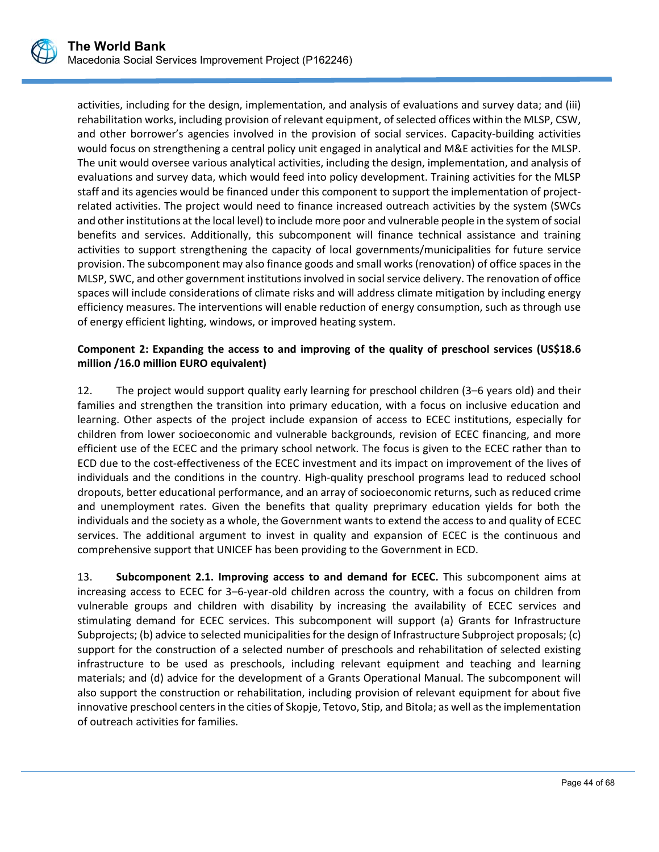

activities, including for the design, implementation, and analysis of evaluations and survey data; and (iii) rehabilitation works, including provision of relevant equipment, of selected offices within the MLSP, CSW, and other borrower's agencies involved in the provision of social services. Capacity-building activities would focus on strengthening a central policy unit engaged in analytical and M&E activities for the MLSP. The unit would oversee various analytical activities, including the design, implementation, and analysis of evaluations and survey data, which would feed into policy development. Training activities for the MLSP staff and its agencies would be financed under this component to support the implementation of projectrelated activities. The project would need to finance increased outreach activities by the system (SWCs and other institutions at the local level) to include more poor and vulnerable people in the system of social benefits and services. Additionally, this subcomponent will finance technical assistance and training activities to support strengthening the capacity of local governments/municipalities for future service provision. The subcomponent may also finance goods and small works (renovation) of office spaces in the MLSP, SWC, and other government institutions involved in social service delivery. The renovation of office spaces will include considerations of climate risks and will address climate mitigation by including energy efficiency measures. The interventions will enable reduction of energy consumption, such as through use of energy efficient lighting, windows, or improved heating system.

## **Component 2: Expanding the access to and improving of the quality of preschool services (US\$18.6 million /16.0 million EURO equivalent)**

12. The project would support quality early learning for preschool children (3–6 years old) and their families and strengthen the transition into primary education, with a focus on inclusive education and learning. Other aspects of the project include expansion of access to ECEC institutions, especially for children from lower socioeconomic and vulnerable backgrounds, revision of ECEC financing, and more efficient use of the ECEC and the primary school network. The focus is given to the ECEC rather than to ECD due to the cost‐effectiveness of the ECEC investment and its impact on improvement of the lives of individuals and the conditions in the country. High‐quality preschool programs lead to reduced school dropouts, better educational performance, and an array of socioeconomic returns, such as reduced crime and unemployment rates. Given the benefits that quality preprimary education yields for both the individuals and the society as a whole, the Government wants to extend the access to and quality of ECEC services. The additional argument to invest in quality and expansion of ECEC is the continuous and comprehensive support that UNICEF has been providing to the Government in ECD.

13. **Subcomponent 2.1. Improving access to and demand for ECEC.**  This subcomponent aims at increasing access to ECEC for 3–6‐year‐old children across the country, with a focus on children from vulnerable groups and children with disability by increasing the availability of ECEC services and stimulating demand for ECEC services. This subcomponent will support (a) Grants for Infrastructure Subprojects; (b) advice to selected municipalities for the design of Infrastructure Subproject proposals; (c) support for the construction of a selected number of preschools and rehabilitation of selected existing infrastructure to be used as preschools, including relevant equipment and teaching and learning materials; and (d) advice for the development of a Grants Operational Manual. The subcomponent will also support the construction or rehabilitation, including provision of relevant equipment for about five innovative preschool centers in the cities of Skopje, Tetovo, Stip, and Bitola; as well as the implementation of outreach activities for families.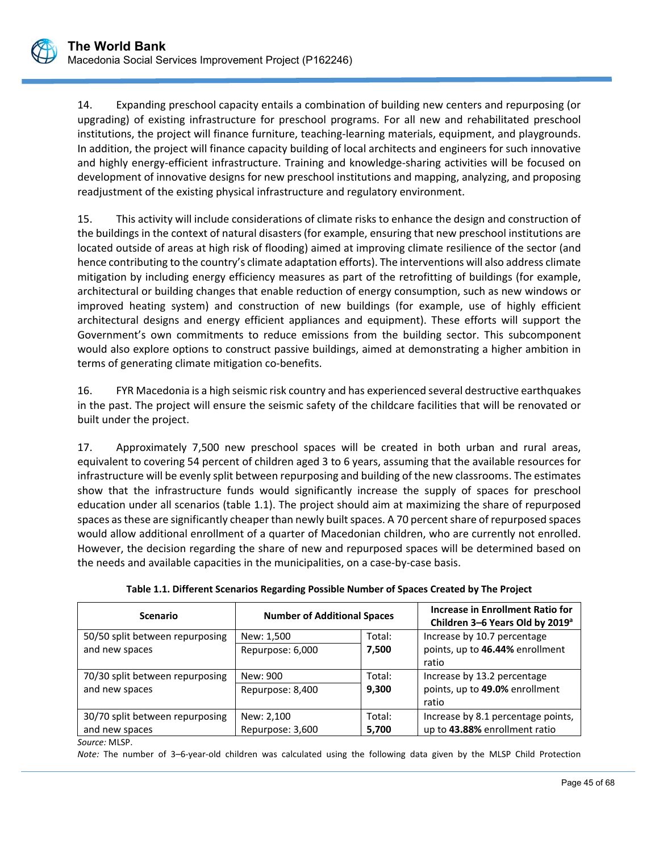14. Expanding preschool capacity entails a combination of building new centers and repurposing (or upgrading) of existing infrastructure for preschool programs. For all new and rehabilitated preschool institutions, the project will finance furniture, teaching‐learning materials, equipment, and playgrounds. In addition, the project will finance capacity building of local architects and engineers for such innovative and highly energy-efficient infrastructure. Training and knowledge-sharing activities will be focused on development of innovative designs for new preschool institutions and mapping, analyzing, and proposing readjustment of the existing physical infrastructure and regulatory environment.

15. This activity will include considerations of climate risks to enhance the design and construction of the buildings in the context of natural disasters (for example, ensuring that new preschool institutions are located outside of areas at high risk of flooding) aimed at improving climate resilience of the sector (and hence contributing to the country's climate adaptation efforts). The interventions will also address climate mitigation by including energy efficiency measures as part of the retrofitting of buildings (for example, architectural or building changes that enable reduction of energy consumption, such as new windows or improved heating system) and construction of new buildings (for example, use of highly efficient architectural designs and energy efficient appliances and equipment). These efforts will support the Government's own commitments to reduce emissions from the building sector. This subcomponent would also explore options to construct passive buildings, aimed at demonstrating a higher ambition in terms of generating climate mitigation co-benefits.

16. FYR Macedonia is a high seismic risk country and has experienced several destructive earthquakes in the past. The project will ensure the seismic safety of the childcare facilities that will be renovated or built under the project.

17. Approximately 7,500 new preschool spaces will be created in both urban and rural areas, equivalent to covering 54 percent of children aged 3 to 6 years, assuming that the available resources for infrastructure will be evenly split between repurposing and building of the new classrooms. The estimates show that the infrastructure funds would significantly increase the supply of spaces for preschool education under all scenarios (table 1.1). The project should aim at maximizing the share of repurposed spaces as these are significantly cheaper than newly built spaces. A 70 percent share of repurposed spaces would allow additional enrollment of a quarter of Macedonian children, who are currently not enrolled. However, the decision regarding the share of new and repurposed spaces will be determined based on the needs and available capacities in the municipalities, on a case‐by‐case basis.

| <b>Scenario</b>                 | <b>Number of Additional Spaces</b> |        | Increase in Enrollment Ratio for<br>Children 3-6 Years Old by 2019 <sup>a</sup> |
|---------------------------------|------------------------------------|--------|---------------------------------------------------------------------------------|
| 50/50 split between repurposing | New: 1,500                         | Total: | Increase by 10.7 percentage                                                     |
| and new spaces                  | Repurpose: 6,000                   | 7,500  | points, up to 46.44% enrollment<br>ratio                                        |
| 70/30 split between repurposing | New: 900                           | Total: | Increase by 13.2 percentage                                                     |
| and new spaces                  | Repurpose: 8,400                   | 9,300  | points, up to 49.0% enrollment<br>ratio                                         |
| 30/70 split between repurposing | New: 2,100                         | Total: | Increase by 8.1 percentage points,                                              |
| and new spaces                  | Repurpose: 3,600                   | 5,700  | up to 43.88% enrollment ratio                                                   |

**Table 1.1. Different Scenarios Regarding Possible Number of Spaces Created by The Project** 

L *Note:* The number of 3–6‐year‐old children was calculated using the following data given by the MLSP Child Protection

*Source:* MLSP.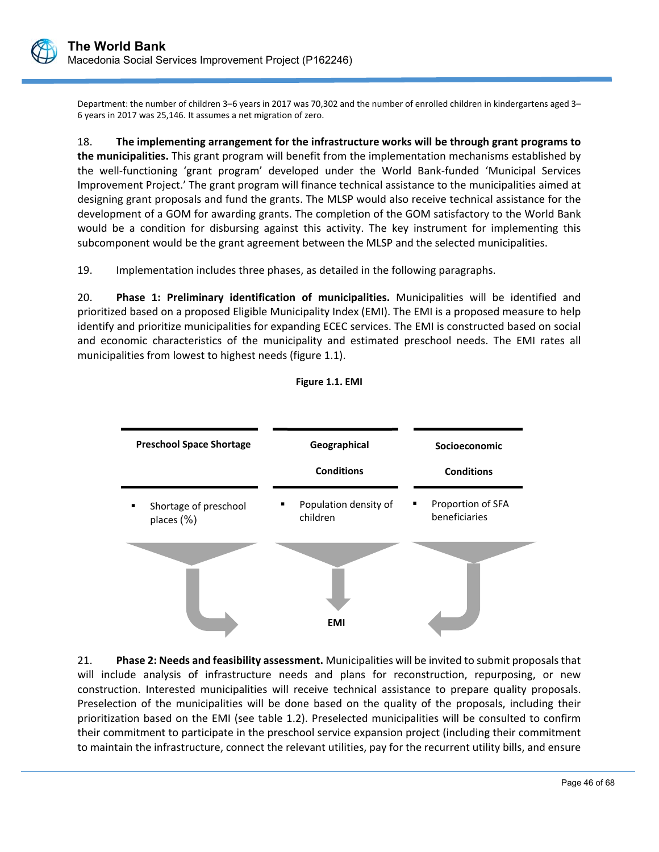

Department: the number of children 3–6 years in 2017 was 70,302 and the number of enrolled children in kindergartens aged 3– 6 years in 2017 was 25,146. It assumes a net migration of zero.

18. **The implementing arrangement for the infrastructure works will be through grant programs to the municipalities.** This grant program will benefit from the implementation mechanisms established by the well‐functioning 'grant program' developed under the World Bank‐funded 'Municipal Services Improvement Project.' The grant program will finance technical assistance to the municipalities aimed at designing grant proposals and fund the grants. The MLSP would also receive technical assistance for the development of a GOM for awarding grants. The completion of the GOM satisfactory to the World Bank would be a condition for disbursing against this activity. The key instrument for implementing this subcomponent would be the grant agreement between the MLSP and the selected municipalities.

19. Implementation includes three phases, as detailed in the following paragraphs.

20. **Phase 1: Preliminary identification of municipalities.**  Municipalities will be identified and prioritized based on a proposed Eligible Municipality Index (EMI). The EMI is a proposed measure to help identify and prioritize municipalities for expanding ECEC services. The EMI is constructed based on social and economic characteristics of the municipality and estimated preschool needs. The EMI rates all municipalities from lowest to highest needs (figure 1.1).





21. **Phase 2: Needs and feasibility assessment.** Municipalities will be invited to submit proposals that will include analysis of infrastructure needs and plans for reconstruction, repurposing, or new construction. Interested municipalities will receive technical assistance to prepare quality proposals. Preselection of the municipalities will be done based on the quality of the proposals, including their prioritization based on the EMI (see table 1.2). Preselected municipalities will be consulted to confirm their commitment to participate in the preschool service expansion project (including their commitment to maintain the infrastructure, connect the relevant utilities, pay for the recurrent utility bills, and ensure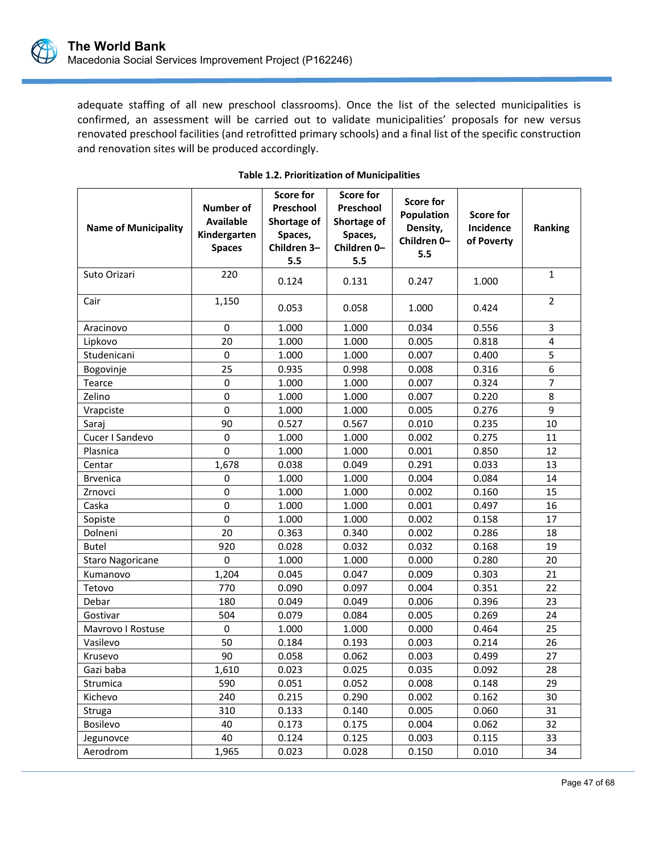

adequate staffing of all new preschool classrooms). Once the list of the selected municipalities is confirmed, an assessment will be carried out to validate municipalities' proposals for new versus renovated preschool facilities (and retrofitted primary schools) and a final list of the specific construction and renovation sites will be produced accordingly.

| <b>Name of Municipality</b> | Number of<br><b>Available</b><br>Kindergarten<br><b>Spaces</b> | <b>Score for</b><br>Preschool<br>Shortage of<br>Spaces,<br>Children 3-<br>5.5 | <b>Score for</b><br>Preschool<br>Shortage of<br>Spaces,<br>Children 0-<br>5.5 | <b>Score for</b><br>Population<br>Density,<br>Children 0-<br>5.5 | <b>Score for</b><br>Incidence<br>of Poverty | Ranking        |
|-----------------------------|----------------------------------------------------------------|-------------------------------------------------------------------------------|-------------------------------------------------------------------------------|------------------------------------------------------------------|---------------------------------------------|----------------|
| Suto Orizari                | 220                                                            | 0.124                                                                         | 0.131                                                                         | 0.247                                                            | 1.000                                       | $\mathbf{1}$   |
| Cair                        | 1,150                                                          | 0.053                                                                         | 0.058                                                                         | 1.000                                                            | 0.424                                       | $\overline{2}$ |
| Aracinovo                   | 0                                                              | 1.000                                                                         | 1.000                                                                         | 0.034                                                            | 0.556                                       | 3              |
| Lipkovo                     | 20                                                             | 1.000                                                                         | 1.000                                                                         | 0.005                                                            | 0.818                                       | 4              |
| Studenicani                 | 0                                                              | 1.000                                                                         | 1.000                                                                         | 0.007                                                            | 0.400                                       | 5              |
| Bogovinje                   | 25                                                             | 0.935                                                                         | 0.998                                                                         | 0.008                                                            | 0.316                                       | 6              |
| Tearce                      | 0                                                              | 1.000                                                                         | 1.000                                                                         | 0.007                                                            | 0.324                                       | $\overline{7}$ |
| Zelino                      | $\mathbf 0$                                                    | 1.000                                                                         | 1.000                                                                         | 0.007                                                            | 0.220                                       | 8              |
| Vrapciste                   | $\mathbf 0$                                                    | 1.000                                                                         | 1.000                                                                         | 0.005                                                            | 0.276                                       | 9              |
| Saraj                       | 90                                                             | 0.527                                                                         | 0.567                                                                         | 0.010                                                            | 0.235                                       | 10             |
| Cucer I Sandevo             | $\mathbf 0$                                                    | 1.000                                                                         | 1.000                                                                         | 0.002                                                            | 0.275                                       | 11             |
| Plasnica                    | $\mathbf 0$                                                    | 1.000                                                                         | 1.000                                                                         | 0.001                                                            | 0.850                                       | 12             |
| Centar                      | 1,678                                                          | 0.038                                                                         | 0.049                                                                         | 0.291                                                            | 0.033                                       | 13             |
| <b>Brvenica</b>             | 0                                                              | 1.000                                                                         | 1.000                                                                         | 0.004                                                            | 0.084                                       | 14             |
| Zrnovci                     | $\mathbf 0$                                                    | 1.000                                                                         | 1.000                                                                         | 0.002                                                            | 0.160                                       | 15             |
| Caska                       | $\mathbf 0$                                                    | 1.000                                                                         | 1.000                                                                         | 0.001                                                            | 0.497                                       | 16             |
| Sopiste                     | 0                                                              | 1.000                                                                         | 1.000                                                                         | 0.002                                                            | 0.158                                       | 17             |
| Dolneni                     | 20                                                             | 0.363                                                                         | 0.340                                                                         | 0.002                                                            | 0.286                                       | 18             |
| <b>Butel</b>                | 920                                                            | 0.028                                                                         | 0.032                                                                         | 0.032                                                            | 0.168                                       | 19             |
| <b>Staro Nagoricane</b>     | 0                                                              | 1.000                                                                         | 1.000                                                                         | 0.000                                                            | 0.280                                       | 20             |
| Kumanovo                    | 1,204                                                          | 0.045                                                                         | 0.047                                                                         | 0.009                                                            | 0.303                                       | 21             |
| Tetovo                      | 770                                                            | 0.090                                                                         | 0.097                                                                         | 0.004                                                            | 0.351                                       | 22             |
| Debar                       | 180                                                            | 0.049                                                                         | 0.049                                                                         | 0.006                                                            | 0.396                                       | 23             |
| Gostivar                    | 504                                                            | 0.079                                                                         | 0.084                                                                         | 0.005                                                            | 0.269                                       | 24             |
| Mavrovo I Rostuse           | 0                                                              | 1.000                                                                         | 1.000                                                                         | 0.000                                                            | 0.464                                       | 25             |
| Vasilevo                    | 50                                                             | 0.184                                                                         | 0.193                                                                         | 0.003                                                            | 0.214                                       | 26             |
| Krusevo                     | 90                                                             | 0.058                                                                         | 0.062                                                                         | 0.003                                                            | 0.499                                       | 27             |
| Gazi baba                   | 1,610                                                          | 0.023                                                                         | 0.025                                                                         | 0.035                                                            | 0.092                                       | 28             |
| Strumica                    | 590                                                            | 0.051                                                                         | 0.052                                                                         | 0.008                                                            | 0.148                                       | 29             |
| Kichevo                     | 240                                                            | 0.215                                                                         | 0.290                                                                         | 0.002                                                            | 0.162                                       | 30             |
| Struga                      | 310                                                            | 0.133                                                                         | 0.140                                                                         | 0.005                                                            | 0.060                                       | 31             |
| <b>Bosilevo</b>             | 40                                                             | 0.173                                                                         | 0.175                                                                         | 0.004                                                            | 0.062                                       | 32             |
| Jegunovce                   | 40                                                             | 0.124                                                                         | 0.125                                                                         | 0.003                                                            | 0.115                                       | 33             |
| Aerodrom                    | 1,965                                                          | 0.023                                                                         | 0.028                                                                         | 0.150                                                            | 0.010                                       | 34             |

L

# **Table 1.2. Prioritization of Municipalities**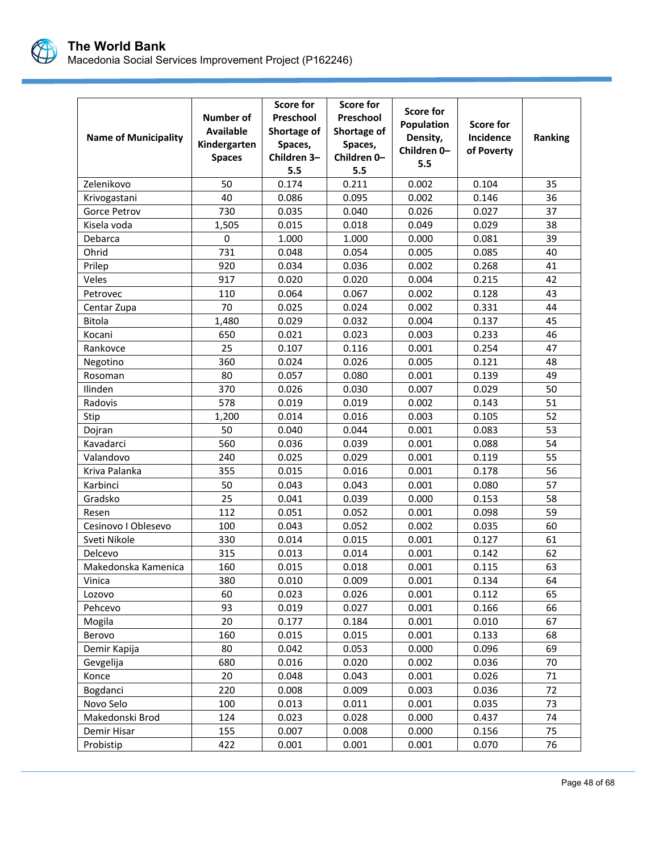

| <b>Name of Municipality</b> | <b>Number of</b><br><b>Available</b><br>Kindergarten<br><b>Spaces</b> | <b>Score for</b><br>Preschool<br>Shortage of<br>Spaces,<br>Children 3-<br>5.5 | <b>Score for</b><br>Preschool<br>Shortage of<br>Spaces,<br>Children 0-<br>5.5 | <b>Score for</b><br>Population<br>Density,<br>Children 0-<br>5.5 | Score for<br><b>Incidence</b><br>of Poverty | Ranking |
|-----------------------------|-----------------------------------------------------------------------|-------------------------------------------------------------------------------|-------------------------------------------------------------------------------|------------------------------------------------------------------|---------------------------------------------|---------|
| Zelenikovo                  | 50                                                                    | 0.174                                                                         | 0.211                                                                         | 0.002                                                            | 0.104                                       | 35      |
| Krivogastani                | 40                                                                    | 0.086                                                                         | 0.095                                                                         | 0.002                                                            | 0.146                                       | 36      |
| <b>Gorce Petrov</b>         | 730                                                                   | 0.035                                                                         | 0.040                                                                         | 0.026                                                            | 0.027                                       | 37      |
| Kisela voda                 | 1,505                                                                 | 0.015                                                                         | 0.018                                                                         | 0.049                                                            | 0.029                                       | 38      |
| Debarca                     | $\pmb{0}$                                                             | 1.000                                                                         | 1.000                                                                         | 0.000                                                            | 0.081                                       | 39      |
| Ohrid                       | 731                                                                   | 0.048                                                                         | 0.054                                                                         | 0.005                                                            | 0.085                                       | 40      |
| Prilep                      | 920                                                                   | 0.034                                                                         | 0.036                                                                         | 0.002                                                            | 0.268                                       | 41      |
| Veles                       | 917                                                                   | 0.020                                                                         | 0.020                                                                         | 0.004                                                            | 0.215                                       | 42      |
| Petrovec                    | 110                                                                   | 0.064                                                                         | 0.067                                                                         | 0.002                                                            | 0.128                                       | 43      |
| Centar Zupa                 | 70                                                                    | 0.025                                                                         | 0.024                                                                         | 0.002                                                            | 0.331                                       | 44      |
| Bitola                      | 1,480                                                                 | 0.029                                                                         | 0.032                                                                         | 0.004                                                            | 0.137                                       | 45      |
| Kocani                      | 650                                                                   | 0.021                                                                         | 0.023                                                                         | 0.003                                                            | 0.233                                       | 46      |
| Rankovce                    | 25                                                                    | 0.107                                                                         | 0.116                                                                         | 0.001                                                            | 0.254                                       | 47      |
| Negotino                    | 360                                                                   | 0.024                                                                         | 0.026                                                                         | 0.005                                                            | 0.121                                       | 48      |
| Rosoman                     | 80                                                                    | 0.057                                                                         | 0.080                                                                         | 0.001                                                            | 0.139                                       | 49      |
| Ilinden                     | 370                                                                   | 0.026                                                                         | 0.030                                                                         | 0.007                                                            | 0.029                                       | 50      |
| Radovis                     | 578                                                                   | 0.019                                                                         | 0.019                                                                         | 0.002                                                            | 0.143                                       | 51      |
| Stip                        | 1,200                                                                 | 0.014                                                                         | 0.016                                                                         | 0.003                                                            | 0.105                                       | 52      |
| Dojran                      | 50                                                                    | 0.040                                                                         | 0.044                                                                         | 0.001                                                            | 0.083                                       | 53      |
| Kavadarci                   | 560                                                                   | 0.036                                                                         | 0.039                                                                         | 0.001                                                            | 0.088                                       | 54      |
| Valandovo                   | 240                                                                   | 0.025                                                                         | 0.029                                                                         | 0.001                                                            | 0.119                                       | 55      |
| Kriva Palanka               | 355                                                                   | 0.015                                                                         | 0.016                                                                         | 0.001                                                            | 0.178                                       | 56      |
| Karbinci                    | 50                                                                    | 0.043                                                                         | 0.043                                                                         | 0.001                                                            | 0.080                                       | 57      |
| Gradsko                     | 25                                                                    | 0.041                                                                         | 0.039                                                                         | 0.000                                                            | 0.153                                       | 58      |
| Resen                       | 112                                                                   | 0.051                                                                         | 0.052                                                                         | 0.001                                                            | 0.098                                       | 59      |
| Cesinovo I Oblesevo         | 100                                                                   | 0.043                                                                         | 0.052                                                                         | 0.002                                                            | 0.035                                       | 60      |
| Sveti Nikole                | 330                                                                   | 0.014                                                                         | 0.015                                                                         | 0.001                                                            | 0.127                                       | 61      |
| Delcevo                     | 315                                                                   | 0.013                                                                         | 0.014                                                                         | 0.001                                                            | 0.142                                       | 62      |
| Makedonska Kamenica         | 160                                                                   | 0.015                                                                         | 0.018                                                                         | 0.001                                                            | 0.115                                       | 63      |
| Vinica                      | 380                                                                   | 0.010                                                                         | 0.009                                                                         | 0.001                                                            | 0.134                                       | 64      |
| Lozovo                      | 60                                                                    | 0.023                                                                         | 0.026                                                                         | 0.001                                                            | 0.112                                       | 65      |
| Pehcevo                     | 93                                                                    | 0.019                                                                         | 0.027                                                                         | 0.001                                                            | 0.166                                       | 66      |
| Mogila                      | 20                                                                    | 0.177                                                                         | 0.184                                                                         | 0.001                                                            | 0.010                                       | 67      |
| Berovo                      | 160                                                                   | 0.015                                                                         | 0.015                                                                         | 0.001                                                            | 0.133                                       | 68      |
| Demir Kapija                | 80                                                                    | 0.042                                                                         | 0.053                                                                         | 0.000                                                            | 0.096                                       | 69      |
| Gevgelija                   | 680                                                                   | 0.016                                                                         | 0.020                                                                         | 0.002                                                            | 0.036                                       | 70      |
| Konce                       | 20                                                                    | 0.048                                                                         | 0.043                                                                         | 0.001                                                            | 0.026                                       | 71      |
| Bogdanci                    | 220                                                                   | 0.008                                                                         | 0.009                                                                         | 0.003                                                            | 0.036                                       | 72      |
| Novo Selo                   | 100                                                                   | 0.013                                                                         | 0.011                                                                         | 0.001                                                            | 0.035                                       | 73      |
| Makedonski Brod             | 124                                                                   | 0.023                                                                         | 0.028                                                                         | 0.000                                                            | 0.437                                       | 74      |
| Demir Hisar                 | 155                                                                   | 0.007                                                                         | 0.008                                                                         | 0.000                                                            | 0.156                                       | 75      |
| Probistip                   | 422                                                                   | 0.001                                                                         | 0.001                                                                         | 0.001                                                            | 0.070                                       | 76      |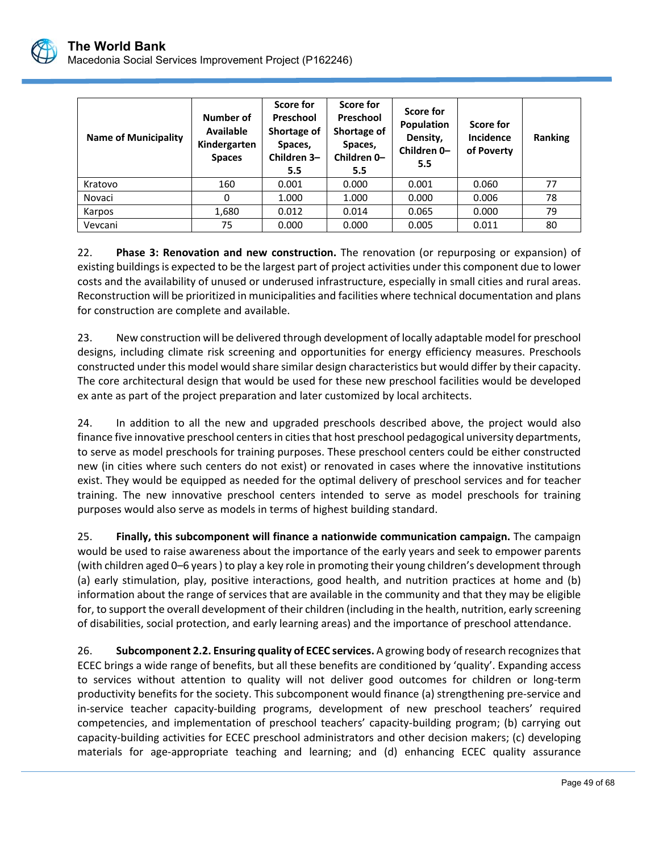

| <b>Name of Municipality</b> | Number of<br>Available<br>Kindergarten<br><b>Spaces</b> | Score for<br>Preschool<br>Shortage of<br>Spaces,<br>Children 3-<br>5.5 | Score for<br><b>Preschool</b><br>Shortage of<br>Spaces,<br>Children 0-<br>5.5 | Score for<br>Population<br>Density,<br>Children 0-<br>5.5 | Score for<br><b>Incidence</b><br>of Poverty | Ranking |
|-----------------------------|---------------------------------------------------------|------------------------------------------------------------------------|-------------------------------------------------------------------------------|-----------------------------------------------------------|---------------------------------------------|---------|
| Kratovo                     | 160                                                     | 0.001                                                                  | 0.000                                                                         | 0.001                                                     | 0.060                                       | 77      |
| Novaci                      | 0                                                       | 1.000                                                                  | 1.000                                                                         | 0.000                                                     | 0.006                                       | 78      |
| Karpos                      | 1,680                                                   | 0.012                                                                  | 0.014                                                                         | 0.065                                                     | 0.000                                       | 79      |
| Vevcani                     | 75                                                      | 0.000                                                                  | 0.000                                                                         | 0.005                                                     | 0.011                                       | 80      |

22. **Phase 3: Renovation and new construction.** The renovation (or repurposing or expansion) of existing buildings is expected to be the largest part of project activities under this component due to lower costs and the availability of unused or underused infrastructure, especially in small cities and rural areas. Reconstruction will be prioritized in municipalities and facilities where technical documentation and plans for construction are complete and available.

23. New construction will be delivered through development of locally adaptable model for preschool designs, including climate risk screening and opportunities for energy efficiency measures. Preschools constructed under this model would share similar design characteristics but would differ by their capacity. The core architectural design that would be used for these new preschool facilities would be developed ex ante as part of the project preparation and later customized by local architects.

24. In addition to all the new and upgraded preschools described above, the project would also finance five innovative preschool centers in cities that host preschool pedagogical university departments, to serve as model preschools for training purposes. These preschool centers could be either constructed new (in cities where such centers do not exist) or renovated in cases where the innovative institutions exist. They would be equipped as needed for the optimal delivery of preschool services and for teacher training. The new innovative preschool centers intended to serve as model preschools for training purposes would also serve as models in terms of highest building standard.

25. **Finally, this subcomponent will finance a nationwide communication campaign.** The campaign would be used to raise awareness about the importance of the early years and seek to empower parents (with children aged 0–6 years ) to play a key role in promoting their young children's development through (a) early stimulation, play, positive interactions, good health, and nutrition practices at home and (b) information about the range of services that are available in the community and that they may be eligible for, to support the overall development of their children (including in the health, nutrition, early screening of disabilities, social protection, and early learning areas) and the importance of preschool attendance.

26. **Subcomponent 2.2. Ensuring quality of ECEC services.** A growing body of research recognizes that ECEC brings a wide range of benefits, but all these benefits are conditioned by 'quality'. Expanding access to services without attention to quality will not deliver good outcomes for children or long-term productivity benefits for the society. This subcomponent would finance (a) strengthening pre‐service and in-service teacher capacity-building programs, development of new preschool teachers' required competencies, and implementation of preschool teachers' capacity‐building program; (b) carrying out capacity‐building activities for ECEC preschool administrators and other decision makers; (c) developing materials for age-appropriate teaching and learning; and (d) enhancing ECEC quality assurance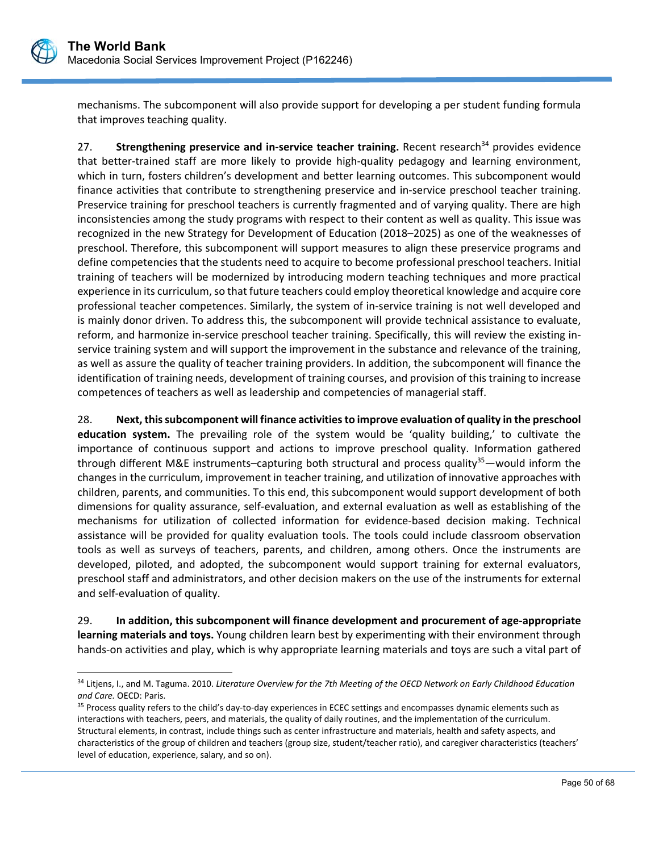

 $\overline{a}$ 

mechanisms. The subcomponent will also provide support for developing a per student funding formula that improves teaching quality.

27. **Strengthening preservice and in-service teacher training.** Recent research<sup>34</sup> provides evidence that better‐trained staff are more likely to provide high‐quality pedagogy and learning environment, which in turn, fosters children's development and better learning outcomes. This subcomponent would finance activities that contribute to strengthening preservice and in‐service preschool teacher training. Preservice training for preschool teachers is currently fragmented and of varying quality. There are high inconsistencies among the study programs with respect to their content as well as quality. This issue was recognized in the new Strategy for Development of Education (2018–2025) as one of the weaknesses of preschool. Therefore, this subcomponent will support measures to align these preservice programs and define competencies that the students need to acquire to become professional preschool teachers. Initial training of teachers will be modernized by introducing modern teaching techniques and more practical experience in its curriculum, so that future teachers could employ theoretical knowledge and acquire core professional teacher competences. Similarly, the system of in‐service training is not well developed and is mainly donor driven. To address this, the subcomponent will provide technical assistance to evaluate, reform, and harmonize in‐service preschool teacher training. Specifically, this will review the existing in‐ service training system and will support the improvement in the substance and relevance of the training, as well as assure the quality of teacher training providers. In addition, the subcomponent will finance the identification of training needs, development of training courses, and provision of this training to increase competences of teachers as well as leadership and competencies of managerial staff.

28. **Next, this subcomponent will finance activities to improve evaluation of quality in the preschool education system.** The prevailing role of the system would be 'quality building,' to cultivate the importance of continuous support and actions to improve preschool quality. Information gathered through different M&E instruments–capturing both structural and process quality<sup>35</sup>—would inform the changes in the curriculum, improvement in teacher training, and utilization of innovative approaches with children, parents, and communities. To this end, this subcomponent would support development of both dimensions for quality assurance, self‐evaluation, and external evaluation as well as establishing of the mechanisms for utilization of collected information for evidence‐based decision making. Technical assistance will be provided for quality evaluation tools. The tools could include classroom observation tools as well as surveys of teachers, parents, and children, among others. Once the instruments are developed, piloted, and adopted, the subcomponent would support training for external evaluators, preschool staff and administrators, and other decision makers on the use of the instruments for external and self‐evaluation of quality.

29. **In addition, this subcomponent will finance development and procurement of age‐appropriate learning materials and toys.** Young children learn best by experimenting with their environment through hands‐on activities and play, which is why appropriate learning materials and toys are such a vital part of

<sup>34</sup> Litjens, I., and M. Taguma. 2010. *Literature Overview for the 7th Meeting of the OECD Network on Early Childhood Education and Care.* OECD: Paris.

<sup>&</sup>lt;sup>35</sup> Process quality refers to the child's day-to-day experiences in ECEC settings and encompasses dynamic elements such as interactions with teachers, peers, and materials, the quality of daily routines, and the implementation of the curriculum. Structural elements, in contrast, include things such as center infrastructure and materials, health and safety aspects, and characteristics of the group of children and teachers (group size, student/teacher ratio), and caregiver characteristics (teachers' level of education, experience, salary, and so on).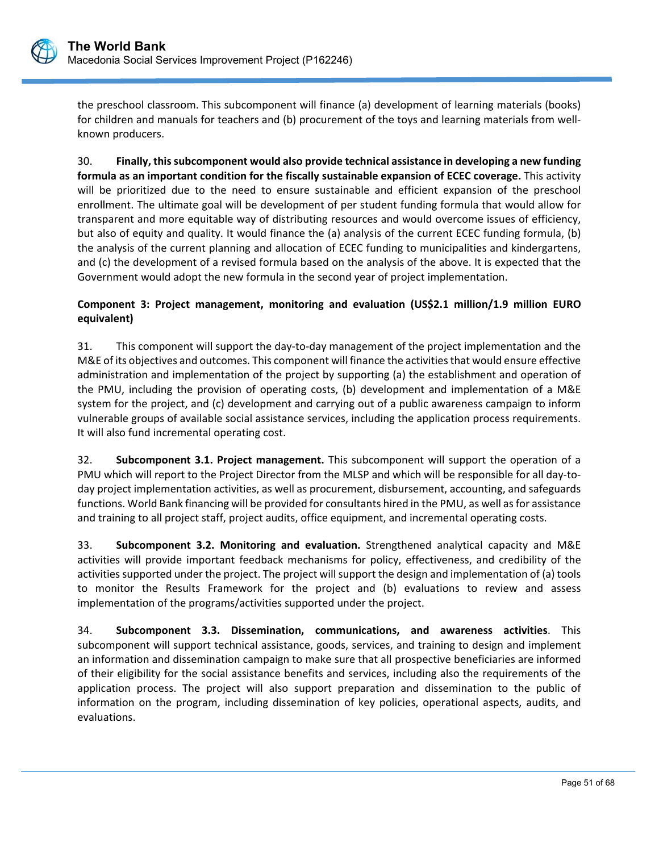

the preschool classroom. This subcomponent will finance (a) development of learning materials (books) for children and manuals for teachers and (b) procurement of the toys and learning materials from wellknown producers.

30. **Finally, this subcomponent would also provide technical assistance in developing a new funding formula as an important condition for the fiscally sustainable expansion of ECEC coverage.** This activity will be prioritized due to the need to ensure sustainable and efficient expansion of the preschool enrollment. The ultimate goal will be development of per student funding formula that would allow for transparent and more equitable way of distributing resources and would overcome issues of efficiency, but also of equity and quality. It would finance the (a) analysis of the current ECEC funding formula, (b) the analysis of the current planning and allocation of ECEC funding to municipalities and kindergartens, and (c) the development of a revised formula based on the analysis of the above. It is expected that the Government would adopt the new formula in the second year of project implementation.

## **Component 3: Project management, monitoring and evaluation (US\$2.1 million/1.9 million EURO equivalent)**

31. This component will support the day‐to‐day management of the project implementation and the M&E of its objectives and outcomes. This component will finance the activities that would ensure effective administration and implementation of the project by supporting (a) the establishment and operation of the PMU, including the provision of operating costs, (b) development and implementation of a M&E system for the project, and (c) development and carrying out of a public awareness campaign to inform vulnerable groups of available social assistance services, including the application process requirements. It will also fund incremental operating cost.

32. **Subcomponent 3.1. Project management.** This subcomponent will support the operation of a PMU which will report to the Project Director from the MLSP and which will be responsible for all day‐to‐ day project implementation activities, as well as procurement, disbursement, accounting, and safeguards functions. World Bank financing will be provided for consultants hired in the PMU, as well as for assistance and training to all project staff, project audits, office equipment, and incremental operating costs.

33. **Subcomponent 3.2. Monitoring and evaluation.** Strengthened analytical capacity and M&E activities will provide important feedback mechanisms for policy, effectiveness, and credibility of the activities supported under the project. The project will support the design and implementation of (a) tools to monitor the Results Framework for the project and (b) evaluations to review and assess implementation of the programs/activities supported under the project.

34. **Subcomponent 3.3. Dissemination, communications, and awareness activities**. This subcomponent will support technical assistance, goods, services, and training to design and implement an information and dissemination campaign to make sure that all prospective beneficiaries are informed of their eligibility for the social assistance benefits and services, including also the requirements of the application process. The project will also support preparation and dissemination to the public of information on the program, including dissemination of key policies, operational aspects, audits, and evaluations.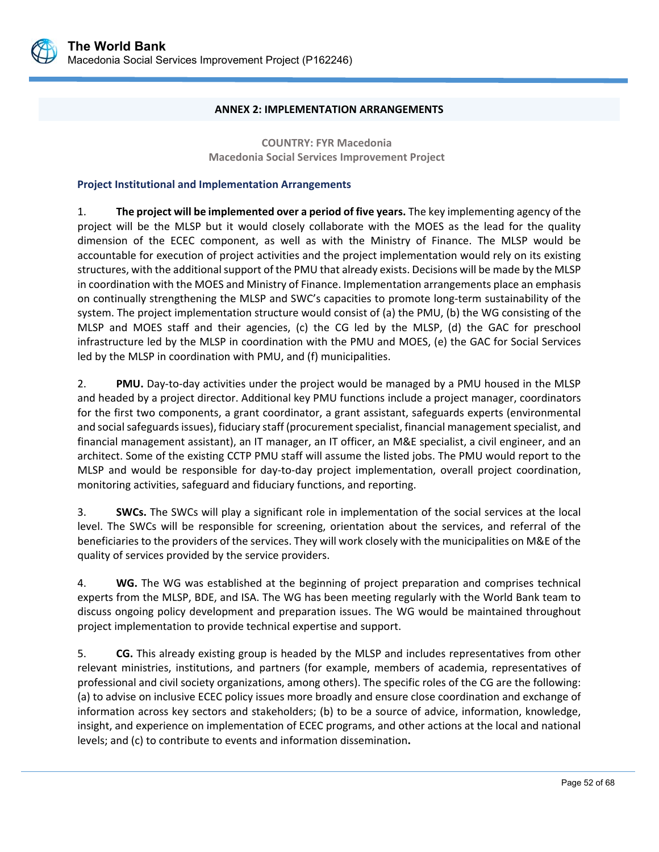

#### **ANNEX 2: IMPLEMENTATION ARRANGEMENTS**

**COUNTRY: FYR Macedonia Macedonia Social Services Improvement Project** 

#### **Project Institutional and Implementation Arrangements**

1. **The project will be implemented over a period of five years.** The key implementing agency of the project will be the MLSP but it would closely collaborate with the MOES as the lead for the quality dimension of the ECEC component, as well as with the Ministry of Finance. The MLSP would be accountable for execution of project activities and the project implementation would rely on its existing structures, with the additional support of the PMU that already exists. Decisions will be made by the MLSP in coordination with the MOES and Ministry of Finance. Implementation arrangements place an emphasis on continually strengthening the MLSP and SWC's capacities to promote long‐term sustainability of the system. The project implementation structure would consist of (a) the PMU, (b) the WG consisting of the MLSP and MOES staff and their agencies, (c) the CG led by the MLSP, (d) the GAC for preschool infrastructure led by the MLSP in coordination with the PMU and MOES, (e) the GAC for Social Services led by the MLSP in coordination with PMU, and (f) municipalities.

2. **PMU.** Day-to-day activities under the project would be managed by a PMU housed in the MLSP and headed by a project director. Additional key PMU functions include a project manager, coordinators for the first two components, a grant coordinator, a grant assistant, safeguards experts (environmental and social safeguards issues), fiduciary staff (procurement specialist, financial management specialist, and financial management assistant), an IT manager, an IT officer, an M&E specialist, a civil engineer, and an architect. Some of the existing CCTP PMU staff will assume the listed jobs. The PMU would report to the MLSP and would be responsible for day-to-day project implementation, overall project coordination, monitoring activities, safeguard and fiduciary functions, and reporting.

3. **SWCs.** The SWCs will play a significant role in implementation of the social services at the local level. The SWCs will be responsible for screening, orientation about the services, and referral of the beneficiaries to the providers of the services. They will work closely with the municipalities on M&E of the quality of services provided by the service providers.

4. **WG.** The WG was established at the beginning of project preparation and comprises technical experts from the MLSP, BDE, and ISA. The WG has been meeting regularly with the World Bank team to discuss ongoing policy development and preparation issues. The WG would be maintained throughout project implementation to provide technical expertise and support.

5. **CG.** This already existing group is headed by the MLSP and includes representatives from other relevant ministries, institutions, and partners (for example, members of academia, representatives of professional and civil society organizations, among others). The specific roles of the CG are the following: (a) to advise on inclusive ECEC policy issues more broadly and ensure close coordination and exchange of information across key sectors and stakeholders; (b) to be a source of advice, information, knowledge, insight, and experience on implementation of ECEC programs, and other actions at the local and national levels; and (c) to contribute to events and information dissemination**.**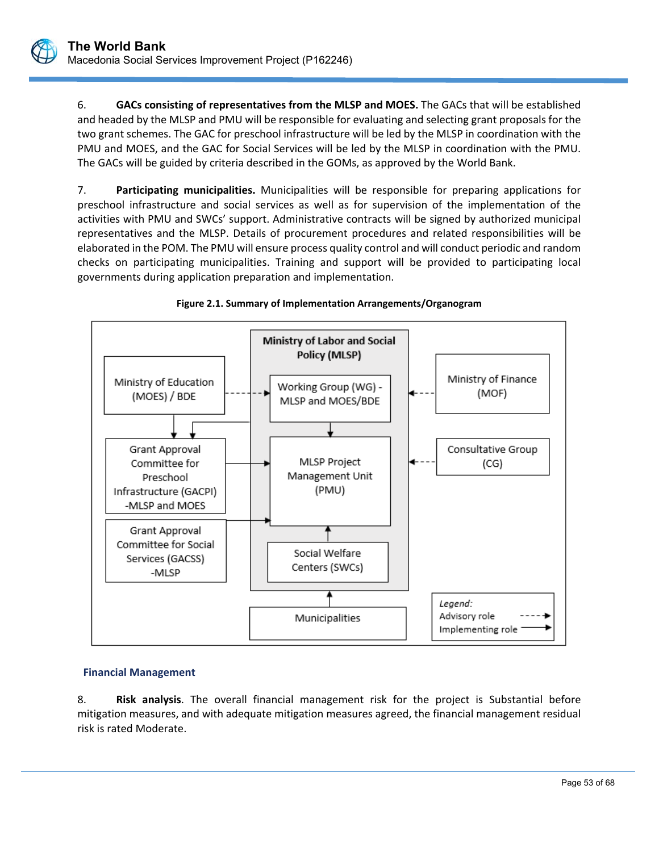6. **GACs consisting of representatives from the MLSP and MOES.** The GACs that will be established and headed by the MLSP and PMU will be responsible for evaluating and selecting grant proposals for the two grant schemes. The GAC for preschool infrastructure will be led by the MLSP in coordination with the PMU and MOES, and the GAC for Social Services will be led by the MLSP in coordination with the PMU. The GACs will be guided by criteria described in the GOMs, as approved by the World Bank.

7. **Participating municipalities.** Municipalities will be responsible for preparing applications for preschool infrastructure and social services as well as for supervision of the implementation of the activities with PMU and SWCs' support. Administrative contracts will be signed by authorized municipal representatives and the MLSP. Details of procurement procedures and related responsibilities will be elaborated in the POM. The PMU will ensure process quality control and will conduct periodic and random checks on participating municipalities. Training and support will be provided to participating local governments during application preparation and implementation.





## **Financial Management**

8. **Risk analysis**. The overall financial management risk for the project is Substantial before mitigation measures, and with adequate mitigation measures agreed, the financial management residual risk is rated Moderate.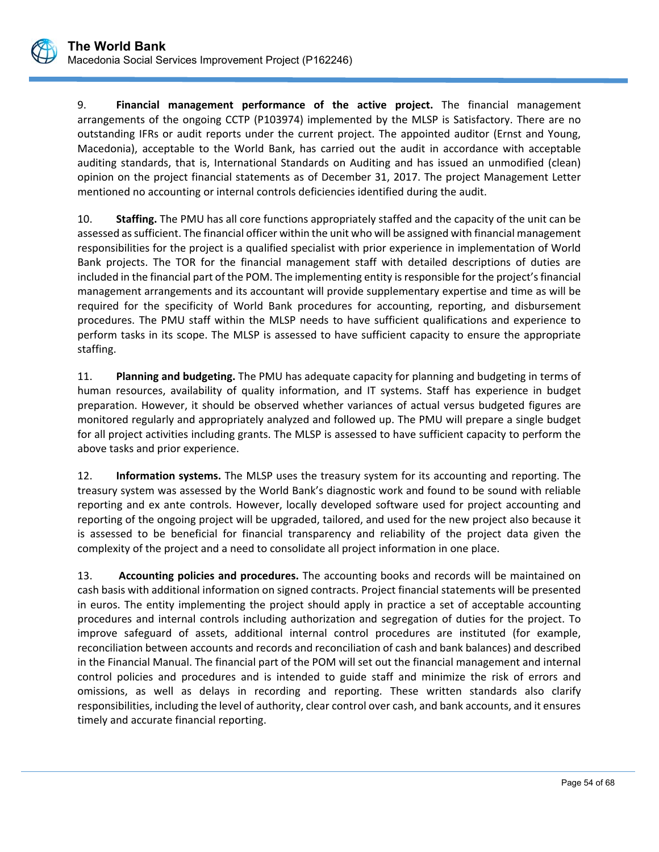9. **Financial management performance of the active project.** The financial management arrangements of the ongoing CCTP (P103974) implemented by the MLSP is Satisfactory. There are no outstanding IFRs or audit reports under the current project. The appointed auditor (Ernst and Young, Macedonia), acceptable to the World Bank, has carried out the audit in accordance with acceptable auditing standards, that is, International Standards on Auditing and has issued an unmodified (clean) opinion on the project financial statements as of December 31, 2017. The project Management Letter mentioned no accounting or internal controls deficiencies identified during the audit.

10. **Staffing.** The PMU has all core functions appropriately staffed and the capacity of the unit can be assessed as sufficient. The financial officer within the unit who will be assigned with financial management responsibilities for the project is a qualified specialist with prior experience in implementation of World Bank projects. The TOR for the financial management staff with detailed descriptions of duties are included in the financial part of the POM. The implementing entity is responsible for the project's financial management arrangements and its accountant will provide supplementary expertise and time as will be required for the specificity of World Bank procedures for accounting, reporting, and disbursement procedures. The PMU staff within the MLSP needs to have sufficient qualifications and experience to perform tasks in its scope. The MLSP is assessed to have sufficient capacity to ensure the appropriate staffing.

11. **Planning and budgeting.** The PMU has adequate capacity for planning and budgeting in terms of human resources, availability of quality information, and IT systems. Staff has experience in budget preparation. However, it should be observed whether variances of actual versus budgeted figures are monitored regularly and appropriately analyzed and followed up. The PMU will prepare a single budget for all project activities including grants. The MLSP is assessed to have sufficient capacity to perform the above tasks and prior experience.

12. **Information systems.** The MLSP uses the treasury system for its accounting and reporting. The treasury system was assessed by the World Bank's diagnostic work and found to be sound with reliable reporting and ex ante controls. However, locally developed software used for project accounting and reporting of the ongoing project will be upgraded, tailored, and used for the new project also because it is assessed to be beneficial for financial transparency and reliability of the project data given the complexity of the project and a need to consolidate all project information in one place.

13. **Accounting policies and procedures.** The accounting books and records will be maintained on cash basis with additional information on signed contracts. Project financial statements will be presented in euros. The entity implementing the project should apply in practice a set of acceptable accounting procedures and internal controls including authorization and segregation of duties for the project. To improve safeguard of assets, additional internal control procedures are instituted (for example, reconciliation between accounts and records and reconciliation of cash and bank balances) and described in the Financial Manual. The financial part of the POM will set out the financial management and internal control policies and procedures and is intended to guide staff and minimize the risk of errors and omissions, as well as delays in recording and reporting. These written standards also clarify responsibilities, including the level of authority, clear control over cash, and bank accounts, and it ensures timely and accurate financial reporting.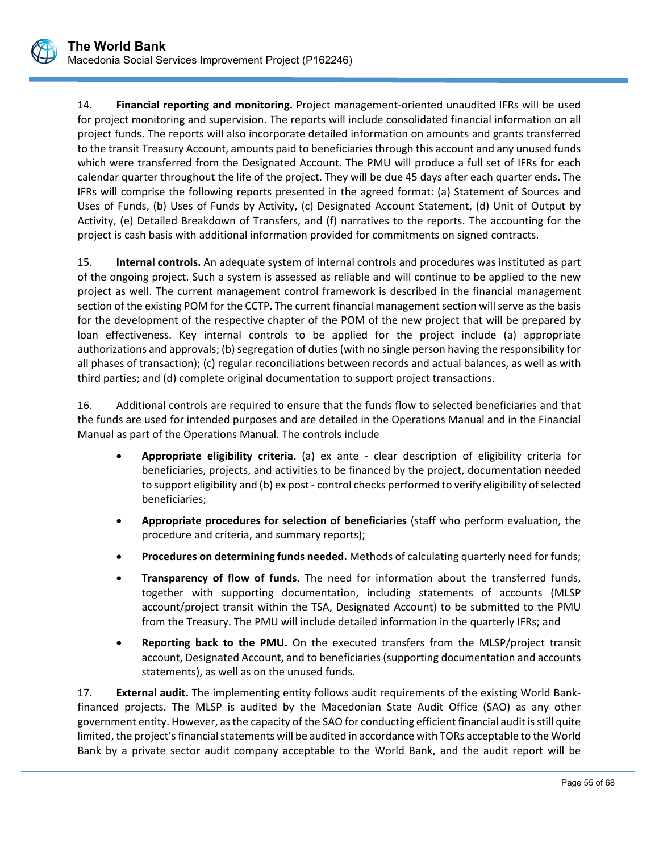14. **Financial reporting and monitoring.** Project management‐oriented unaudited IFRs will be used for project monitoring and supervision. The reports will include consolidated financial information on all project funds. The reports will also incorporate detailed information on amounts and grants transferred to the transit Treasury Account, amounts paid to beneficiaries through this account and any unused funds which were transferred from the Designated Account. The PMU will produce a full set of IFRs for each calendar quarter throughout the life of the project. They will be due 45 days after each quarter ends. The IFRs will comprise the following reports presented in the agreed format: (a) Statement of Sources and Uses of Funds, (b) Uses of Funds by Activity, (c) Designated Account Statement, (d) Unit of Output by Activity, (e) Detailed Breakdown of Transfers, and (f) narratives to the reports. The accounting for the project is cash basis with additional information provided for commitments on signed contracts.

15. **Internal controls.** An adequate system of internal controls and procedures was instituted as part of the ongoing project. Such a system is assessed as reliable and will continue to be applied to the new project as well. The current management control framework is described in the financial management section of the existing POM for the CCTP. The current financial management section will serve as the basis for the development of the respective chapter of the POM of the new project that will be prepared by loan effectiveness. Key internal controls to be applied for the project include (a) appropriate authorizations and approvals; (b) segregation of duties (with no single person having the responsibility for all phases of transaction); (c) regular reconciliations between records and actual balances, as well as with third parties; and (d) complete original documentation to support project transactions.

16. Additional controls are required to ensure that the funds flow to selected beneficiaries and that the funds are used for intended purposes and are detailed in the Operations Manual and in the Financial Manual as part of the Operations Manual. The controls include

- **Appropriate eligibility criteria.** (a) ex ante clear description of eligibility criteria for beneficiaries, projects, and activities to be financed by the project, documentation needed to support eligibility and (b) ex post ‐ control checks performed to verify eligibility of selected beneficiaries;
- **Appropriate procedures for selection of beneficiaries** (staff who perform evaluation, the procedure and criteria, and summary reports);
- **Procedures on determining funds needed.** Methods of calculating quarterly need for funds;
- **Transparency of flow of funds.** The need for information about the transferred funds, together with supporting documentation, including statements of accounts (MLSP account/project transit within the TSA, Designated Account) to be submitted to the PMU from the Treasury. The PMU will include detailed information in the quarterly IFRs; and
- **Reporting back to the PMU.** On the executed transfers from the MLSP/project transit account, Designated Account, and to beneficiaries (supporting documentation and accounts statements), as well as on the unused funds.

17. **External audit.** The implementing entity follows audit requirements of the existing World Bank‐ financed projects. The MLSP is audited by the Macedonian State Audit Office (SAO) as any other government entity. However, as the capacity of the SAO for conducting efficient financial audit is still quite limited, the project's financial statements will be audited in accordance with TORs acceptable to the World Bank by a private sector audit company acceptable to the World Bank, and the audit report will be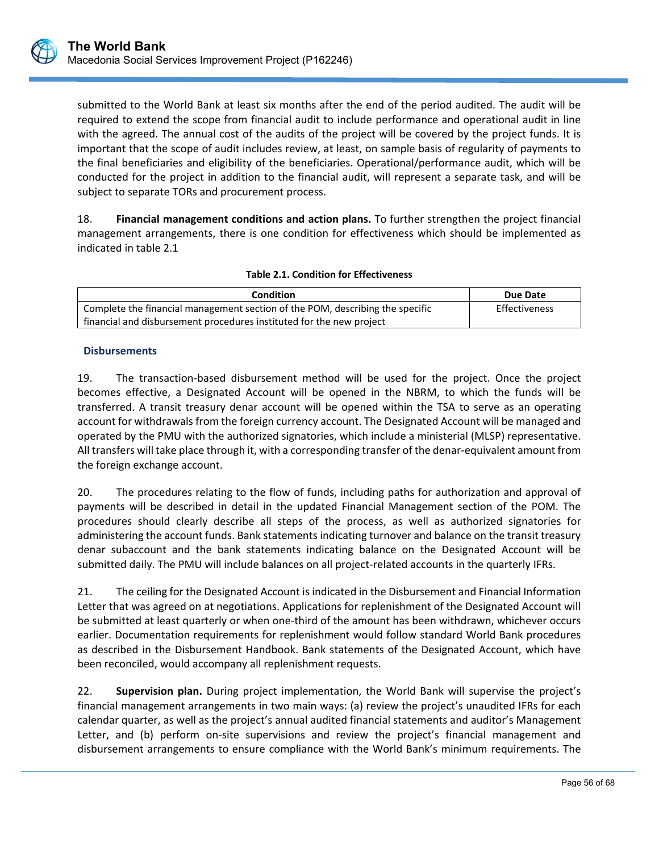submitted to the World Bank at least six months after the end of the period audited. The audit will be required to extend the scope from financial audit to include performance and operational audit in line with the agreed. The annual cost of the audits of the project will be covered by the project funds. It is important that the scope of audit includes review, at least, on sample basis of regularity of payments to the final beneficiaries and eligibility of the beneficiaries. Operational/performance audit, which will be conducted for the project in addition to the financial audit, will represent a separate task, and will be subject to separate TORs and procurement process.

18. **Financial management conditions and action plans.** To further strengthen the project financial management arrangements, there is one condition for effectiveness which should be implemented as indicated in table 2.1

| <b>Condition</b>                                                              | Due Date      |
|-------------------------------------------------------------------------------|---------------|
| Complete the financial management section of the POM, describing the specific | Effectiveness |
| financial and disbursement procedures instituted for the new project          |               |

#### **Disbursements**

19. The transaction-based disbursement method will be used for the project. Once the project becomes effective, a Designated Account will be opened in the NBRM, to which the funds will be transferred. A transit treasury denar account will be opened within the TSA to serve as an operating account for withdrawals from the foreign currency account. The Designated Account will be managed and operated by the PMU with the authorized signatories, which include a ministerial (MLSP) representative. All transfers will take place through it, with a corresponding transfer of the denar‐equivalent amount from the foreign exchange account.

20. The procedures relating to the flow of funds, including paths for authorization and approval of payments will be described in detail in the updated Financial Management section of the POM. The procedures should clearly describe all steps of the process, as well as authorized signatories for administering the account funds. Bank statements indicating turnover and balance on the transit treasury denar subaccount and the bank statements indicating balance on the Designated Account will be submitted daily. The PMU will include balances on all project-related accounts in the quarterly IFRs.

21. The ceiling for the Designated Account is indicated in the Disbursement and Financial Information Letter that was agreed on at negotiations. Applications for replenishment of the Designated Account will be submitted at least quarterly or when one-third of the amount has been withdrawn, whichever occurs earlier. Documentation requirements for replenishment would follow standard World Bank procedures as described in the Disbursement Handbook. Bank statements of the Designated Account, which have been reconciled, would accompany all replenishment requests.

22. **Supervision plan.** During project implementation, the World Bank will supervise the project's financial management arrangements in two main ways: (a) review the project's unaudited IFRs for each calendar quarter, as well as the project's annual audited financial statements and auditor's Management Letter, and (b) perform on-site supervisions and review the project's financial management and disbursement arrangements to ensure compliance with the World Bank's minimum requirements. The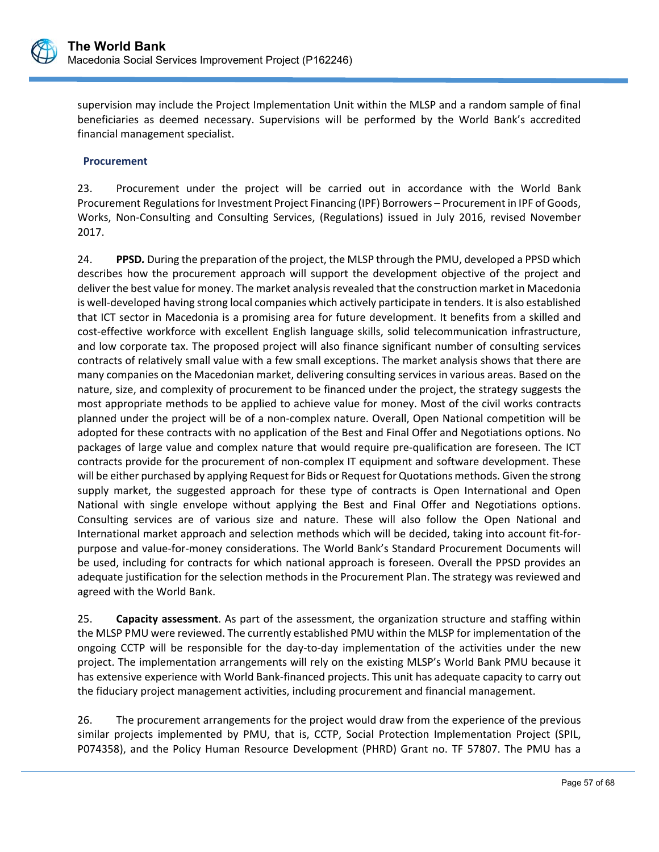

supervision may include the Project Implementation Unit within the MLSP and a random sample of final beneficiaries as deemed necessary. Supervisions will be performed by the World Bank's accredited financial management specialist.

#### **Procurement**

23. Procurement under the project will be carried out in accordance with the World Bank Procurement Regulations for Investment Project Financing (IPF) Borrowers – Procurement in IPF of Goods, Works, Non‐Consulting and Consulting Services, (Regulations) issued in July 2016, revised November 2017.

24. **PPSD***.* During the preparation of the project, the MLSP through the PMU, developed a PPSD which describes how the procurement approach will support the development objective of the project and deliver the best value for money. The market analysis revealed that the construction market in Macedonia is well‐developed having strong local companies which actively participate in tenders. It is also established that ICT sector in Macedonia is a promising area for future development. It benefits from a skilled and cost-effective workforce with excellent English language skills, solid telecommunication infrastructure, and low corporate tax. The proposed project will also finance significant number of consulting services contracts of relatively small value with a few small exceptions. The market analysis shows that there are many companies on the Macedonian market, delivering consulting services in various areas. Based on the nature, size, and complexity of procurement to be financed under the project, the strategy suggests the most appropriate methods to be applied to achieve value for money. Most of the civil works contracts planned under the project will be of a non‐complex nature. Overall, Open National competition will be adopted for these contracts with no application of the Best and Final Offer and Negotiations options. No packages of large value and complex nature that would require pre‐qualification are foreseen. The ICT contracts provide for the procurement of non-complex IT equipment and software development. These will be either purchased by applying Request for Bids or Request for Quotations methods. Given the strong supply market, the suggested approach for these type of contracts is Open International and Open National with single envelope without applying the Best and Final Offer and Negotiations options. Consulting services are of various size and nature. These will also follow the Open National and International market approach and selection methods which will be decided, taking into account fit‐for‐ purpose and value‐for‐money considerations. The World Bank's Standard Procurement Documents will be used, including for contracts for which national approach is foreseen. Overall the PPSD provides an adequate justification for the selection methods in the Procurement Plan. The strategy was reviewed and agreed with the World Bank.

25. **Capacity assessment**. As part of the assessment, the organization structure and staffing within the MLSP PMU were reviewed. The currently established PMU within the MLSP for implementation of the ongoing CCTP will be responsible for the day‐to‐day implementation of the activities under the new project. The implementation arrangements will rely on the existing MLSP's World Bank PMU because it has extensive experience with World Bank‐financed projects. This unit has adequate capacity to carry out the fiduciary project management activities, including procurement and financial management.

26. The procurement arrangements for the project would draw from the experience of the previous similar projects implemented by PMU, that is, CCTP, Social Protection Implementation Project (SPIL, P074358), and the Policy Human Resource Development (PHRD) Grant no. TF 57807. The PMU has a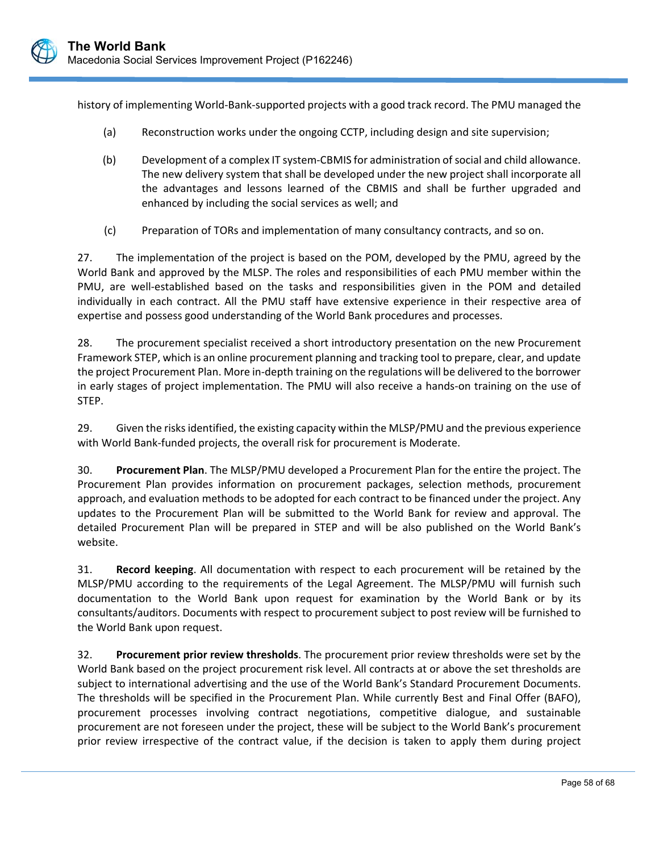history of implementing World‐Bank‐supported projects with a good track record. The PMU managed the

- (a) Reconstruction works under the ongoing CCTP, including design and site supervision;
- (b) Development of a complex IT system‐CBMIS for administration of social and child allowance. The new delivery system that shall be developed under the new project shall incorporate all the advantages and lessons learned of the CBMIS and shall be further upgraded and enhanced by including the social services as well; and
- (c) Preparation of TORs and implementation of many consultancy contracts, and so on.

27. The implementation of the project is based on the POM, developed by the PMU, agreed by the World Bank and approved by the MLSP. The roles and responsibilities of each PMU member within the PMU, are well‐established based on the tasks and responsibilities given in the POM and detailed individually in each contract. All the PMU staff have extensive experience in their respective area of expertise and possess good understanding of the World Bank procedures and processes.

28. The procurement specialist received a short introductory presentation on the new Procurement Framework STEP, which is an online procurement planning and tracking tool to prepare, clear, and update the project Procurement Plan. More in‐depth training on the regulations will be delivered to the borrower in early stages of project implementation. The PMU will also receive a hands‐on training on the use of STEP.

29. Given the risks identified, the existing capacity within the MLSP/PMU and the previous experience with World Bank-funded projects, the overall risk for procurement is Moderate.

30. **Procurement Plan**. The MLSP/PMU developed a Procurement Plan for the entire the project. The Procurement Plan provides information on procurement packages, selection methods, procurement approach, and evaluation methods to be adopted for each contract to be financed under the project. Any updates to the Procurement Plan will be submitted to the World Bank for review and approval. The detailed Procurement Plan will be prepared in STEP and will be also published on the World Bank's website.

31. **Record keeping**. All documentation with respect to each procurement will be retained by the MLSP/PMU according to the requirements of the Legal Agreement. The MLSP/PMU will furnish such documentation to the World Bank upon request for examination by the World Bank or by its consultants/auditors. Documents with respect to procurement subject to post review will be furnished to the World Bank upon request.

32. **Procurement prior review thresholds**. The procurement prior review thresholds were set by the World Bank based on the project procurement risk level. All contracts at or above the set thresholds are subject to international advertising and the use of the World Bank's Standard Procurement Documents. The thresholds will be specified in the Procurement Plan. While currently Best and Final Offer (BAFO), procurement processes involving contract negotiations, competitive dialogue, and sustainable procurement are not foreseen under the project, these will be subject to the World Bank's procurement prior review irrespective of the contract value, if the decision is taken to apply them during project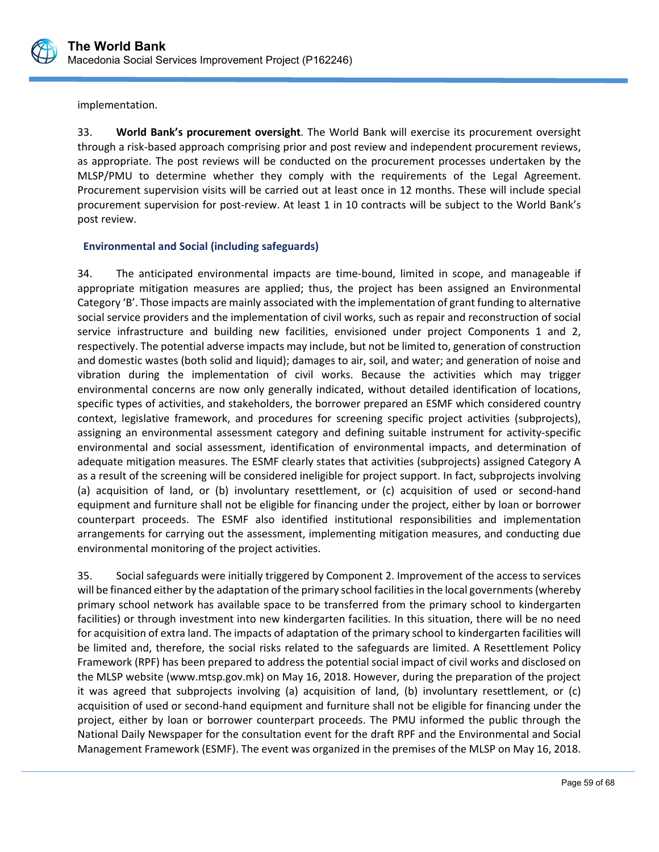

implementation.

33. **World Bank's procurement oversight**. The World Bank will exercise its procurement oversight through a risk‐based approach comprising prior and post review and independent procurement reviews, as appropriate. The post reviews will be conducted on the procurement processes undertaken by the MLSP/PMU to determine whether they comply with the requirements of the Legal Agreement. Procurement supervision visits will be carried out at least once in 12 months. These will include special procurement supervision for post‐review. At least 1 in 10 contracts will be subject to the World Bank's post review.

## **Environmental and Social (including safeguards)**

34. The anticipated environmental impacts are time-bound, limited in scope, and manageable if appropriate mitigation measures are applied; thus, the project has been assigned an Environmental Category 'B'. Those impacts are mainly associated with the implementation of grant funding to alternative social service providers and the implementation of civil works, such as repair and reconstruction of social service infrastructure and building new facilities, envisioned under project Components 1 and 2, respectively. The potential adverse impacts may include, but not be limited to, generation of construction and domestic wastes (both solid and liquid); damages to air, soil, and water; and generation of noise and vibration during the implementation of civil works. Because the activities which may trigger environmental concerns are now only generally indicated, without detailed identification of locations, specific types of activities, and stakeholders, the borrower prepared an ESMF which considered country context, legislative framework, and procedures for screening specific project activities (subprojects), assigning an environmental assessment category and defining suitable instrument for activity‐specific environmental and social assessment, identification of environmental impacts, and determination of adequate mitigation measures. The ESMF clearly states that activities (subprojects) assigned Category A as a result of the screening will be considered ineligible for project support. In fact, subprojects involving (a) acquisition of land, or (b) involuntary resettlement, or (c) acquisition of used or second‐hand equipment and furniture shall not be eligible for financing under the project, either by loan or borrower counterpart proceeds. The ESMF also identified institutional responsibilities and implementation arrangements for carrying out the assessment, implementing mitigation measures, and conducting due environmental monitoring of the project activities.

35. Social safeguards were initially triggered by Component 2. Improvement of the access to services will be financed either by the adaptation of the primary school facilities in the local governments (whereby primary school network has available space to be transferred from the primary school to kindergarten facilities) or through investment into new kindergarten facilities. In this situation, there will be no need for acquisition of extra land. The impacts of adaptation of the primary school to kindergarten facilities will be limited and, therefore, the social risks related to the safeguards are limited. A Resettlement Policy Framework (RPF) has been prepared to address the potential social impact of civil works and disclosed on the MLSP website (www.mtsp.gov.mk) on May 16, 2018. However, during the preparation of the project it was agreed that subprojects involving (a) acquisition of land, (b) involuntary resettlement, or (c) acquisition of used or second‐hand equipment and furniture shall not be eligible for financing under the project, either by loan or borrower counterpart proceeds. The PMU informed the public through the National Daily Newspaper for the consultation event for the draft RPF and the Environmental and Social Management Framework (ESMF). The event was organized in the premises of the MLSP on May 16, 2018.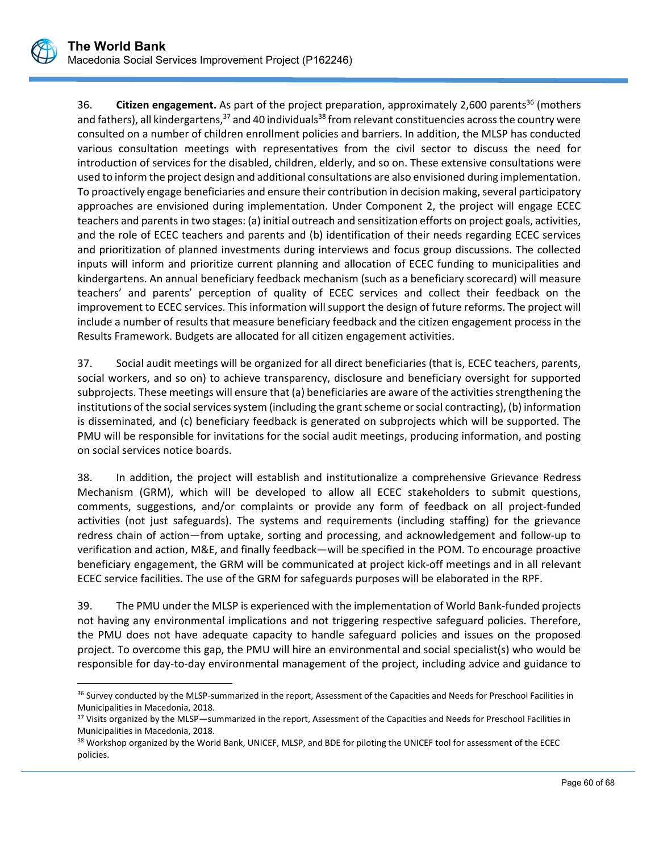$\overline{a}$ 

36. **Citizen engagement.** As part of the project preparation, approximately 2,600 parents<sup>36</sup> (mothers and fathers), all kindergartens, $37$  and 40 individuals $38$  from relevant constituencies across the country were consulted on a number of children enrollment policies and barriers. In addition, the MLSP has conducted various consultation meetings with representatives from the civil sector to discuss the need for introduction of services for the disabled, children, elderly, and so on. These extensive consultations were used to inform the project design and additional consultations are also envisioned during implementation. To proactively engage beneficiaries and ensure their contribution in decision making, several participatory approaches are envisioned during implementation. Under Component 2, the project will engage ECEC teachers and parents in two stages: (a) initial outreach and sensitization efforts on project goals, activities, and the role of ECEC teachers and parents and (b) identification of their needs regarding ECEC services and prioritization of planned investments during interviews and focus group discussions. The collected inputs will inform and prioritize current planning and allocation of ECEC funding to municipalities and kindergartens. An annual beneficiary feedback mechanism (such as a beneficiary scorecard) will measure teachers' and parents' perception of quality of ECEC services and collect their feedback on the improvement to ECEC services. This information will support the design of future reforms. The project will include a number of results that measure beneficiary feedback and the citizen engagement process in the Results Framework. Budgets are allocated for all citizen engagement activities.

37. Social audit meetings will be organized for all direct beneficiaries (that is, ECEC teachers, parents, social workers, and so on) to achieve transparency, disclosure and beneficiary oversight for supported subprojects. These meetings will ensure that (a) beneficiaries are aware of the activities strengthening the institutions of the social services system (including the grant scheme or social contracting), (b) information is disseminated, and (c) beneficiary feedback is generated on subprojects which will be supported. The PMU will be responsible for invitations for the social audit meetings, producing information, and posting on social services notice boards.

38. In addition, the project will establish and institutionalize a comprehensive Grievance Redress Mechanism (GRM), which will be developed to allow all ECEC stakeholders to submit questions, comments, suggestions, and/or complaints or provide any form of feedback on all project-funded activities (not just safeguards). The systems and requirements (including staffing) for the grievance redress chain of action—from uptake, sorting and processing, and acknowledgement and follow‐up to verification and action, M&E, and finally feedback—will be specified in the POM. To encourage proactive beneficiary engagement, the GRM will be communicated at project kick-off meetings and in all relevant ECEC service facilities. The use of the GRM for safeguards purposes will be elaborated in the RPF.

39. The PMU under the MLSP is experienced with the implementation of World Bank‐funded projects not having any environmental implications and not triggering respective safeguard policies. Therefore, the PMU does not have adequate capacity to handle safeguard policies and issues on the proposed project. To overcome this gap, the PMU will hire an environmental and social specialist(s) who would be responsible for day‐to‐day environmental management of the project, including advice and guidance to

<sup>&</sup>lt;sup>36</sup> Survey conducted by the MLSP-summarized in the report, Assessment of the Capacities and Needs for Preschool Facilities in Municipalities in Macedonia, 2018.

<sup>&</sup>lt;sup>37</sup> Visits organized by the MLSP—summarized in the report, Assessment of the Capacities and Needs for Preschool Facilities in Municipalities in Macedonia, 2018.

<sup>&</sup>lt;sup>38</sup> Workshop organized by the World Bank, UNICEF, MLSP, and BDE for piloting the UNICEF tool for assessment of the ECEC policies.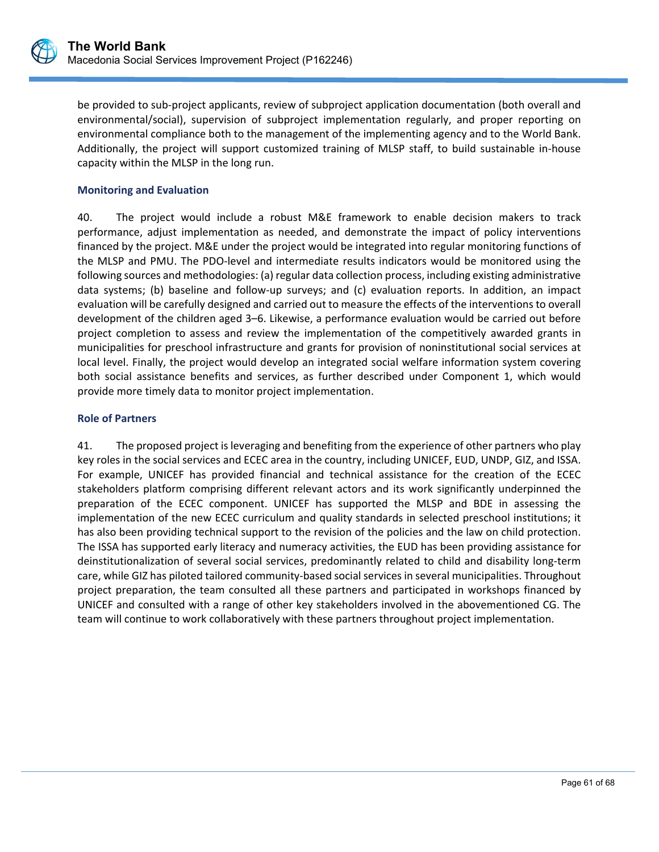

be provided to sub-project applicants, review of subproject application documentation (both overall and environmental/social), supervision of subproject implementation regularly, and proper reporting on environmental compliance both to the management of the implementing agency and to the World Bank. Additionally, the project will support customized training of MLSP staff, to build sustainable in-house capacity within the MLSP in the long run.

## **Monitoring and Evaluation**

40. The project would include a robust M&E framework to enable decision makers to track performance, adjust implementation as needed, and demonstrate the impact of policy interventions financed by the project. M&E under the project would be integrated into regular monitoring functions of the MLSP and PMU. The PDO‐level and intermediate results indicators would be monitored using the following sources and methodologies: (a) regular data collection process, including existing administrative data systems; (b) baseline and follow-up surveys; and (c) evaluation reports. In addition, an impact evaluation will be carefully designed and carried out to measure the effects of the interventions to overall development of the children aged 3–6. Likewise, a performance evaluation would be carried out before project completion to assess and review the implementation of the competitively awarded grants in municipalities for preschool infrastructure and grants for provision of noninstitutional social services at local level. Finally, the project would develop an integrated social welfare information system covering both social assistance benefits and services, as further described under Component 1, which would provide more timely data to monitor project implementation.

#### **Role of Partners**

41. The proposed project is leveraging and benefiting from the experience of other partners who play key roles in the social services and ECEC area in the country, including UNICEF, EUD, UNDP, GIZ, and ISSA. For example, UNICEF has provided financial and technical assistance for the creation of the ECEC stakeholders platform comprising different relevant actors and its work significantly underpinned the preparation of the ECEC component. UNICEF has supported the MLSP and BDE in assessing the implementation of the new ECEC curriculum and quality standards in selected preschool institutions; it has also been providing technical support to the revision of the policies and the law on child protection. The ISSA has supported early literacy and numeracy activities, the EUD has been providing assistance for deinstitutionalization of several social services, predominantly related to child and disability long-term care, while GIZ has piloted tailored community‐based social services in several municipalities. Throughout project preparation, the team consulted all these partners and participated in workshops financed by UNICEF and consulted with a range of other key stakeholders involved in the abovementioned CG. The team will continue to work collaboratively with these partners throughout project implementation.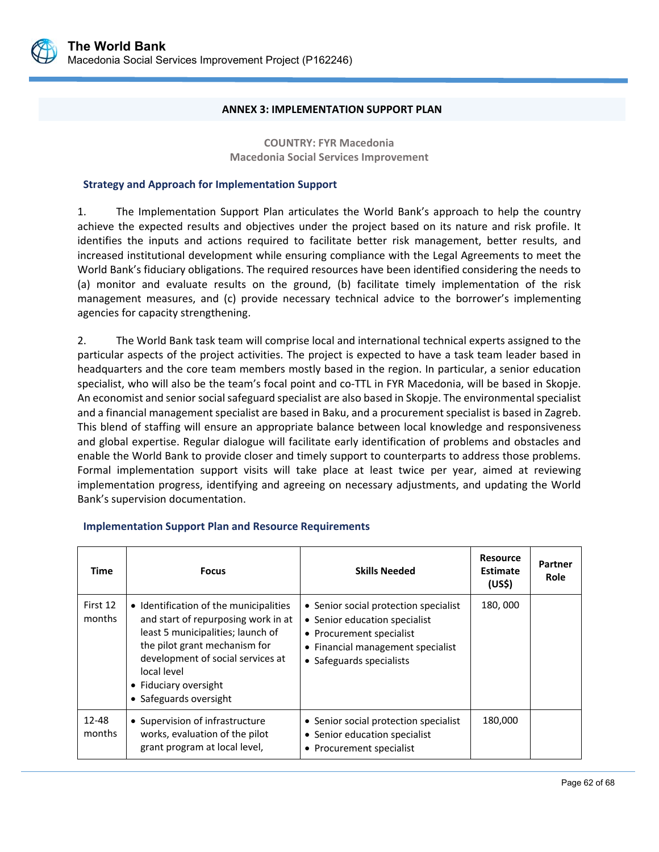#### **ANNEX 3: IMPLEMENTATION SUPPORT PLAN**

**COUNTRY: FYR Macedonia Macedonia Social Services Improvement** 

#### **Strategy and Approach for Implementation Support**

1. The Implementation Support Plan articulates the World Bank's approach to help the country achieve the expected results and objectives under the project based on its nature and risk profile. It identifies the inputs and actions required to facilitate better risk management, better results, and increased institutional development while ensuring compliance with the Legal Agreements to meet the World Bank's fiduciary obligations. The required resources have been identified considering the needs to (a) monitor and evaluate results on the ground, (b) facilitate timely implementation of the risk management measures, and (c) provide necessary technical advice to the borrower's implementing agencies for capacity strengthening.

2. The World Bank task team will comprise local and international technical experts assigned to the particular aspects of the project activities. The project is expected to have a task team leader based in headquarters and the core team members mostly based in the region. In particular, a senior education specialist, who will also be the team's focal point and co-TTL in FYR Macedonia, will be based in Skopje. An economist and senior social safeguard specialist are also based in Skopje. The environmental specialist and a financial management specialist are based in Baku, and a procurement specialist is based in Zagreb. This blend of staffing will ensure an appropriate balance between local knowledge and responsiveness and global expertise. Regular dialogue will facilitate early identification of problems and obstacles and enable the World Bank to provide closer and timely support to counterparts to address those problems. Formal implementation support visits will take place at least twice per year, aimed at reviewing implementation progress, identifying and agreeing on necessary adjustments, and updating the World Bank's supervision documentation.

| Time               | <b>Focus</b>                                                                                                                                                                                                                                               | <b>Skills Needed</b>                                                                                                                                                | <b>Resource</b><br><b>Estimate</b><br>(US\$) | Partner<br><b>Role</b> |
|--------------------|------------------------------------------------------------------------------------------------------------------------------------------------------------------------------------------------------------------------------------------------------------|---------------------------------------------------------------------------------------------------------------------------------------------------------------------|----------------------------------------------|------------------------|
| First 12<br>months | • Identification of the municipalities<br>and start of repurposing work in at<br>least 5 municipalities; launch of<br>the pilot grant mechanism for<br>development of social services at<br>local level<br>• Fiduciary oversight<br>• Safeguards oversight | • Senior social protection specialist<br>• Senior education specialist<br>• Procurement specialist<br>• Financial management specialist<br>• Safeguards specialists | 180,000                                      |                        |
| 12-48<br>months    | • Supervision of infrastructure<br>works, evaluation of the pilot<br>grant program at local level,                                                                                                                                                         | • Senior social protection specialist<br>• Senior education specialist<br>• Procurement specialist                                                                  | 180,000                                      |                        |

L

#### **Implementation Support Plan and Resource Requirements**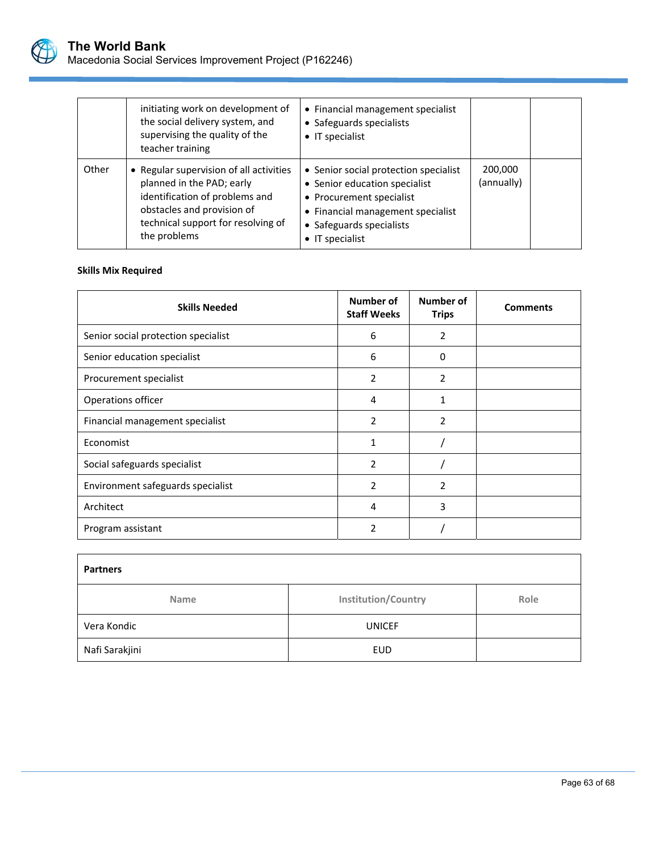

|       | initiating work on development of<br>the social delivery system, and<br>supervising the quality of the<br>teacher training                                                                 | • Financial management specialist<br>• Safeguards specialists<br>• IT specialist                                                                                                               |                       |  |
|-------|--------------------------------------------------------------------------------------------------------------------------------------------------------------------------------------------|------------------------------------------------------------------------------------------------------------------------------------------------------------------------------------------------|-----------------------|--|
| Other | • Regular supervision of all activities<br>planned in the PAD; early<br>identification of problems and<br>obstacles and provision of<br>technical support for resolving of<br>the problems | • Senior social protection specialist<br>• Senior education specialist<br>• Procurement specialist<br>• Financial management specialist<br>• Safeguards specialists<br>$\bullet$ IT specialist | 200,000<br>(annually) |  |

# **Skills Mix Required**

| <b>Skills Needed</b>                | Number of<br><b>Staff Weeks</b> | Number of<br><b>Trips</b> | <b>Comments</b> |
|-------------------------------------|---------------------------------|---------------------------|-----------------|
| Senior social protection specialist | 6                               | 2                         |                 |
| Senior education specialist         | 6                               | 0                         |                 |
| Procurement specialist              | 2                               | $\overline{2}$            |                 |
| Operations officer                  | 4                               | 1                         |                 |
| Financial management specialist     | $\overline{2}$                  | 2                         |                 |
| Economist                           | 1                               |                           |                 |
| Social safeguards specialist        | 2                               |                           |                 |
| Environment safeguards specialist   | $\overline{2}$                  | 2                         |                 |
| Architect                           | 4                               | 3                         |                 |
| Program assistant                   | 2                               |                           |                 |

| <b>Partners</b> |                            |      |  |  |
|-----------------|----------------------------|------|--|--|
| <b>Name</b>     | <b>Institution/Country</b> | Role |  |  |
| Vera Kondic     | <b>UNICEF</b>              |      |  |  |
| Nafi Sarakjini  | <b>EUD</b>                 |      |  |  |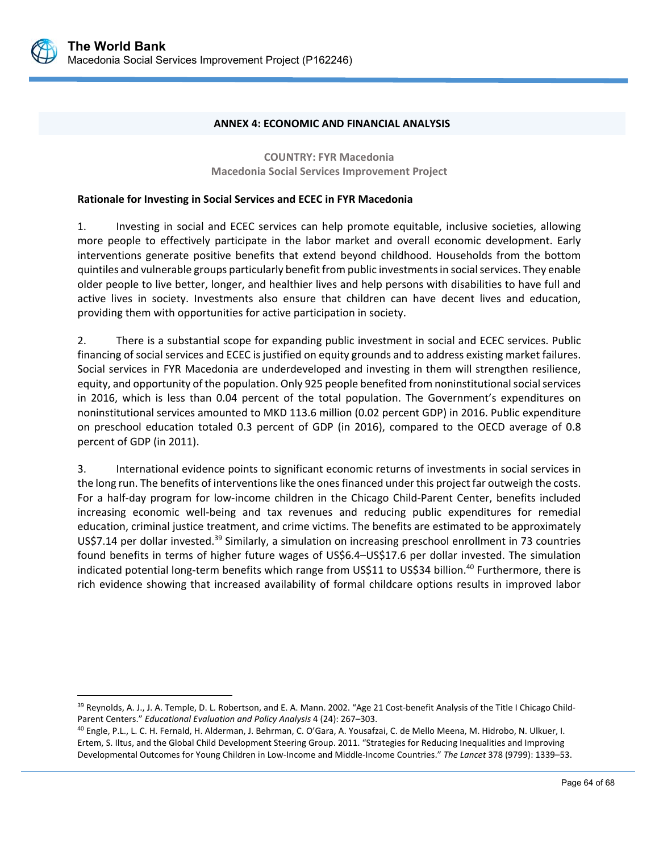

 $\overline{a}$ 

#### **ANNEX 4: ECONOMIC AND FINANCIAL ANALYSIS**

**COUNTRY: FYR Macedonia Macedonia Social Services Improvement Project** 

#### **Rationale for Investing in Social Services and ECEC in FYR Macedonia**

1. Investing in social and ECEC services can help promote equitable, inclusive societies, allowing more people to effectively participate in the labor market and overall economic development. Early interventions generate positive benefits that extend beyond childhood. Households from the bottom quintiles and vulnerable groups particularly benefit from public investments in social services. They enable older people to live better, longer, and healthier lives and help persons with disabilities to have full and active lives in society. Investments also ensure that children can have decent lives and education, providing them with opportunities for active participation in society.

2. There is a substantial scope for expanding public investment in social and ECEC services. Public financing of social services and ECEC is justified on equity grounds and to address existing market failures. Social services in FYR Macedonia are underdeveloped and investing in them will strengthen resilience, equity, and opportunity of the population. Only 925 people benefited from noninstitutional social services in 2016, which is less than 0.04 percent of the total population. The Government's expenditures on noninstitutional services amounted to MKD 113.6 million (0.02 percent GDP) in 2016. Public expenditure on preschool education totaled 0.3 percent of GDP (in 2016), compared to the OECD average of 0.8 percent of GDP (in 2011).

3. International evidence points to significant economic returns of investments in social services in the long run. The benefits of interventions like the ones financed under this project far outweigh the costs. For a half-day program for low-income children in the Chicago Child-Parent Center, benefits included increasing economic well‐being and tax revenues and reducing public expenditures for remedial education, criminal justice treatment, and crime victims. The benefits are estimated to be approximately US\$7.14 per dollar invested.<sup>39</sup> Similarly, a simulation on increasing preschool enrollment in 73 countries found benefits in terms of higher future wages of US\$6.4–US\$17.6 per dollar invested. The simulation indicated potential long-term benefits which range from US\$11 to US\$34 billion.<sup>40</sup> Furthermore, there is rich evidence showing that increased availability of formal childcare options results in improved labor

<sup>39</sup> Reynolds, A. J., J. A. Temple, D. L. Robertson, and E. A. Mann. 2002. "Age 21 Cost-benefit Analysis of the Title I Chicago Child-Parent Centers." *Educational Evaluation and Policy Analysis* 4 (24): 267–303.

<sup>40</sup> Engle, P.L., L. C. H. Fernald, H. Alderman, J. Behrman, C. O'Gara, A. Yousafzai, C. de Mello Meena, M. Hidrobo, N. Ulkuer, I. Ertem, S. Iltus, and the Global Child Development Steering Group. 2011. "Strategies for Reducing Inequalities and Improving Developmental Outcomes for Young Children in Low‐Income and Middle‐Income Countries." *The Lancet* 378 (9799): 1339–53.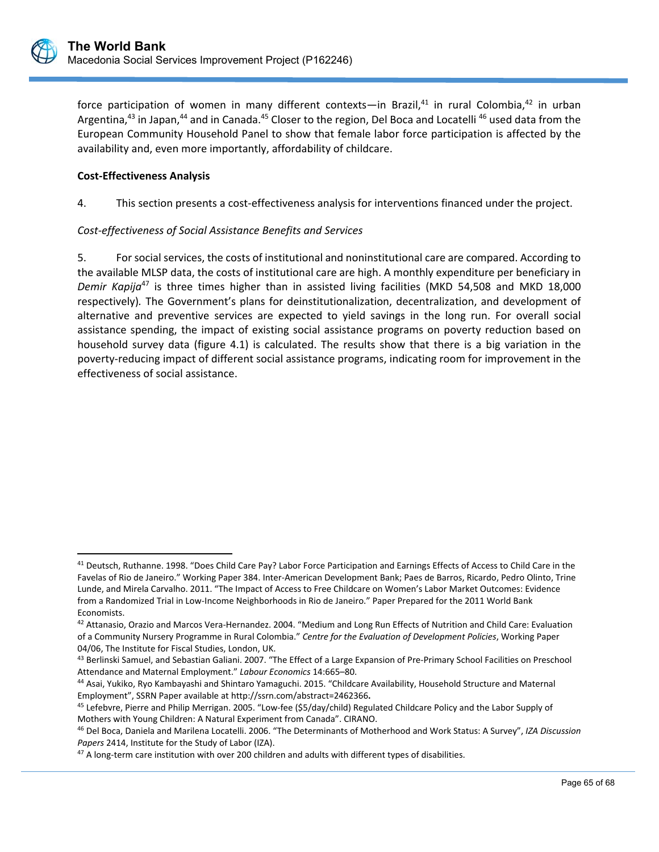$\overline{a}$ 

force participation of women in many different contexts—in Brazil, $41$  in rural Colombia, $42$  in urban Argentina,<sup>43</sup> in Japan,<sup>44</sup> and in Canada.<sup>45</sup> Closer to the region, Del Boca and Locatelli<sup>46</sup> used data from the European Community Household Panel to show that female labor force participation is affected by the availability and, even more importantly, affordability of childcare.

## **Cost‐Effectiveness Analysis**

4. This section presents a cost‐effectiveness analysis for interventions financed under the project.

## *Cost‐effectiveness of Social Assistance Benefits and Services*

5. For social services, the costs of institutional and noninstitutional care are compared. According to the available MLSP data, the costs of institutional care are high. A monthly expenditure per beneficiary in *Demir Kapija*<sup>47</sup> is three times higher than in assisted living facilities (MKD 54,508 and MKD 18,000 respectively)*.* The Government's plans for deinstitutionalization, decentralization, and development of alternative and preventive services are expected to yield savings in the long run. For overall social assistance spending, the impact of existing social assistance programs on poverty reduction based on household survey data (figure 4.1) is calculated. The results show that there is a big variation in the poverty‐reducing impact of different social assistance programs, indicating room for improvement in the effectiveness of social assistance.

<sup>41</sup> Deutsch, Ruthanne. 1998. "Does Child Care Pay? Labor Force Participation and Earnings Effects of Access to Child Care in the Favelas of Rio de Janeiro." Working Paper 384. Inter‐American Development Bank; Paes de Barros, Ricardo, Pedro Olinto, Trine Lunde, and Mirela Carvalho. 2011. "The Impact of Access to Free Childcare on Women's Labor Market Outcomes: Evidence from a Randomized Trial in Low‐Income Neighborhoods in Rio de Janeiro." Paper Prepared for the 2011 World Bank Economists.

<sup>42</sup> Attanasio, Orazio and Marcos Vera-Hernandez. 2004. "Medium and Long Run Effects of Nutrition and Child Care: Evaluation of a Community Nursery Programme in Rural Colombia." *Centre for the Evaluation of Development Policies*, Working Paper 04/06, The Institute for Fiscal Studies, London, UK.

<sup>43</sup> Berlinski Samuel, and Sebastian Galiani. 2007. "The Effect of a Large Expansion of Pre-Primary School Facilities on Preschool Attendance and Maternal Employment." *Labour Economics* 14:665–80.

<sup>44</sup> Asai, Yukiko, Ryo Kambayashi and Shintaro Yamaguchi. 2015. "Childcare Availability, Household Structure and Maternal Employment", SSRN Paper available at http://ssrn.com/abstract=2462366**.** 

<sup>&</sup>lt;sup>45</sup> Lefebvre, Pierre and Philip Merrigan. 2005. "Low-fee (\$5/day/child) Regulated Childcare Policy and the Labor Supply of Mothers with Young Children: A Natural Experiment from Canada". CIRANO.

<sup>46</sup> Del Boca, Daniela and Marilena Locatelli. 2006. "The Determinants of Motherhood and Work Status: A Survey", *IZA Discussion Papers* 2414, Institute for the Study of Labor (IZA).

<sup>47</sup> A long-term care institution with over 200 children and adults with different types of disabilities.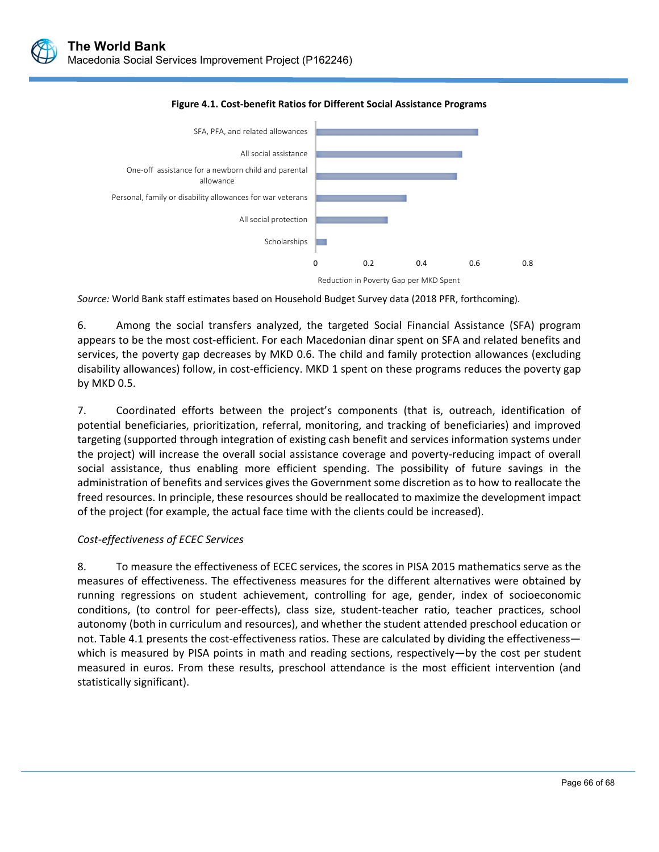

#### **Figure 4.1. Cost‐benefit Ratios for Different Social Assistance Programs**

*Source:* World Bank staff estimates based on Household Budget Survey data (2018 PFR, forthcoming).

6. Among the social transfers analyzed, the targeted Social Financial Assistance (SFA) program appears to be the most cost‐efficient. For each Macedonian dinar spent on SFA and related benefits and services, the poverty gap decreases by MKD 0.6. The child and family protection allowances (excluding disability allowances) follow, in cost‐efficiency. MKD 1 spent on these programs reduces the poverty gap by MKD 0.5.

7. Coordinated efforts between the project's components (that is, outreach, identification of potential beneficiaries, prioritization, referral, monitoring, and tracking of beneficiaries) and improved targeting (supported through integration of existing cash benefit and services information systems under the project) will increase the overall social assistance coverage and poverty-reducing impact of overall social assistance, thus enabling more efficient spending. The possibility of future savings in the administration of benefits and services gives the Government some discretion as to how to reallocate the freed resources. In principle, these resources should be reallocated to maximize the development impact of the project (for example, the actual face time with the clients could be increased).

## *Cost‐effectiveness of ECEC Services*

8. To measure the effectiveness of ECEC services, the scores in PISA 2015 mathematics serve as the measures of effectiveness. The effectiveness measures for the different alternatives were obtained by running regressions on student achievement, controlling for age, gender, index of socioeconomic conditions, (to control for peer‐effects), class size, student‐teacher ratio, teacher practices, school autonomy (both in curriculum and resources), and whether the student attended preschool education or not. Table 4.1 presents the cost-effectiveness ratios. These are calculated by dividing the effectiveness which is measured by PISA points in math and reading sections, respectively—by the cost per student measured in euros. From these results, preschool attendance is the most efficient intervention (and statistically significant).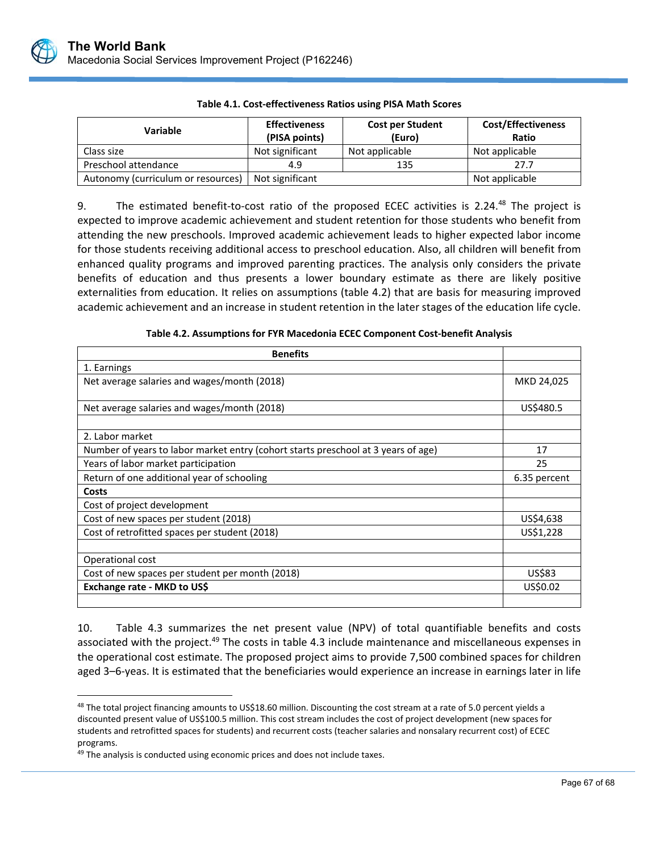

| Variable                           | <b>Effectiveness</b><br>(PISA points) | <b>Cost per Student</b><br>(Euro) | <b>Cost/Effectiveness</b><br>Ratio |
|------------------------------------|---------------------------------------|-----------------------------------|------------------------------------|
| Class size                         | Not significant                       | Not applicable                    | Not applicable                     |
| Preschool attendance               | 4.9                                   | 135                               | 27.7                               |
| Autonomy (curriculum or resources) | Not significant                       |                                   | Not applicable                     |

**Table 4.1. Cost‐effectiveness Ratios using PISA Math Scores** 

9. The estimated benefit-to-cost ratio of the proposed ECEC activities is 2.24.<sup>48</sup> The project is expected to improve academic achievement and student retention for those students who benefit from attending the new preschools. Improved academic achievement leads to higher expected labor income for those students receiving additional access to preschool education. Also, all children will benefit from enhanced quality programs and improved parenting practices. The analysis only considers the private benefits of education and thus presents a lower boundary estimate as there are likely positive externalities from education. It relies on assumptions (table 4.2) that are basis for measuring improved academic achievement and an increase in student retention in the later stages of the education life cycle.

| <b>Benefits</b>                                                                   |              |
|-----------------------------------------------------------------------------------|--------------|
| 1. Earnings                                                                       |              |
| Net average salaries and wages/month (2018)                                       | MKD 24,025   |
|                                                                                   |              |
| Net average salaries and wages/month (2018)                                       | US\$480.5    |
|                                                                                   |              |
| 2. Labor market                                                                   |              |
| Number of years to labor market entry (cohort starts preschool at 3 years of age) | 17           |
| Years of labor market participation                                               | 25           |
| Return of one additional year of schooling                                        | 6.35 percent |
| Costs                                                                             |              |
| Cost of project development                                                       |              |
| Cost of new spaces per student (2018)                                             | US\$4,638    |
| Cost of retrofitted spaces per student (2018)                                     | US\$1,228    |
|                                                                                   |              |
| Operational cost                                                                  |              |
| Cost of new spaces per student per month (2018)                                   | US\$83       |
| Exchange rate - MKD to US\$                                                       | US\$0.02     |
|                                                                                   |              |

**Table 4.2. Assumptions for FYR Macedonia ECEC Component Cost‐benefit Analysis** 

10. Table 4.3 summarizes the net present value (NPV) of total quantifiable benefits and costs associated with the project.<sup>49</sup> The costs in table 4.3 include maintenance and miscellaneous expenses in the operational cost estimate. The proposed project aims to provide 7,500 combined spaces for children aged 3–6‐yeas. It is estimated that the beneficiaries would experience an increase in earnings later in life

L

 $\overline{a}$ 

<sup>&</sup>lt;sup>48</sup> The total project financing amounts to US\$18.60 million. Discounting the cost stream at a rate of 5.0 percent yields a discounted present value of US\$100.5 million. This cost stream includes the cost of project development (new spaces for students and retrofitted spaces for students) and recurrent costs (teacher salaries and nonsalary recurrent cost) of ECEC programs.

<sup>&</sup>lt;sup>49</sup> The analysis is conducted using economic prices and does not include taxes.